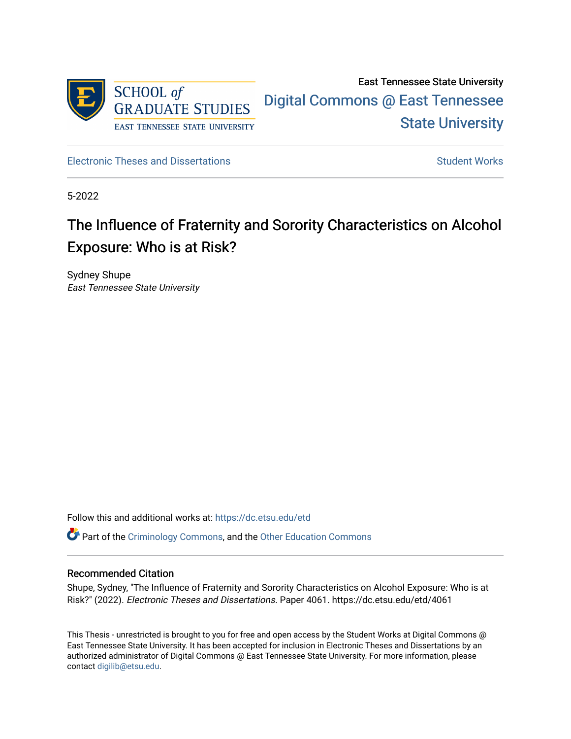

East Tennessee State University [Digital Commons @ East Tennessee](https://dc.etsu.edu/)  [State University](https://dc.etsu.edu/) 

[Electronic Theses and Dissertations](https://dc.etsu.edu/etd) [Student Works](https://dc.etsu.edu/student-works) Student Works

5-2022

# The Influence of Fraternity and Sorority Characteristics on Alcohol Exposure: Who is at Risk?

Sydney Shupe East Tennessee State University

Follow this and additional works at: [https://dc.etsu.edu/etd](https://dc.etsu.edu/etd?utm_source=dc.etsu.edu%2Fetd%2F4061&utm_medium=PDF&utm_campaign=PDFCoverPages)

**P** Part of the [Criminology Commons](http://network.bepress.com/hgg/discipline/417?utm_source=dc.etsu.edu%2Fetd%2F4061&utm_medium=PDF&utm_campaign=PDFCoverPages), and the Other Education Commons

#### Recommended Citation

Shupe, Sydney, "The Influence of Fraternity and Sorority Characteristics on Alcohol Exposure: Who is at Risk?" (2022). Electronic Theses and Dissertations. Paper 4061. https://dc.etsu.edu/etd/4061

This Thesis - unrestricted is brought to you for free and open access by the Student Works at Digital Commons @ East Tennessee State University. It has been accepted for inclusion in Electronic Theses and Dissertations by an authorized administrator of Digital Commons @ East Tennessee State University. For more information, please contact [digilib@etsu.edu](mailto:digilib@etsu.edu).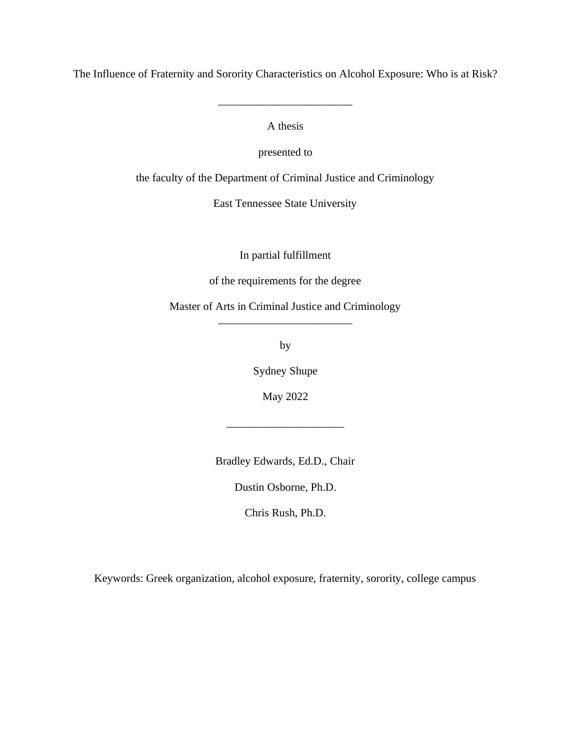The Influence of Fraternity and Sorority Characteristics on Alcohol Exposure: Who is at Risk?

\_\_\_\_\_\_\_\_\_\_\_\_\_\_\_\_\_\_\_\_\_\_\_\_

A thesis

presented to

the faculty of the Department of Criminal Justice and Criminology

East Tennessee State University

In partial fulfillment

of the requirements for the degree

Master of Arts in Criminal Justice and Criminology \_\_\_\_\_\_\_\_\_\_\_\_\_\_\_\_\_\_\_\_\_\_\_\_

by

Sydney Shupe

May 2022

\_\_\_\_\_\_\_\_\_\_\_\_\_\_\_\_\_\_\_\_\_

Bradley Edwards, Ed.D., Chair

Dustin Osborne, Ph.D.

Chris Rush, Ph.D.

Keywords: Greek organization, alcohol exposure, fraternity, sorority, college campus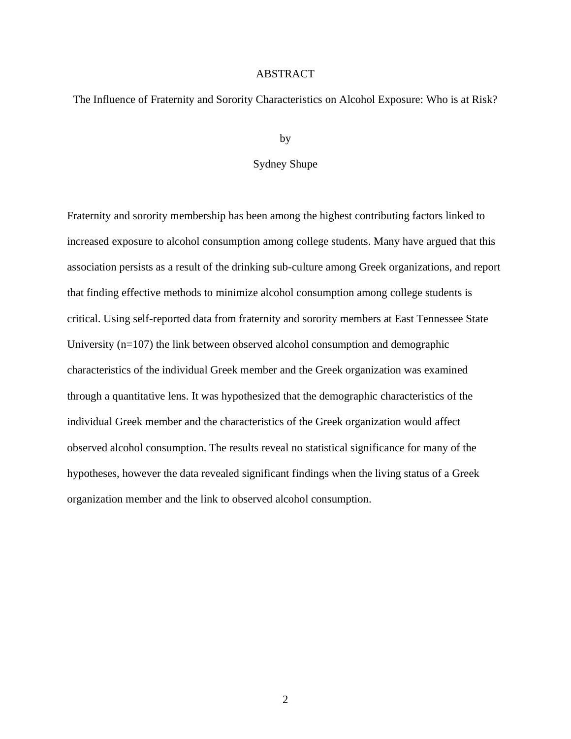# ABSTRACT

<span id="page-2-0"></span>The Influence of Fraternity and Sorority Characteristics on Alcohol Exposure: Who is at Risk?

by

# Sydney Shupe

Fraternity and sorority membership has been among the highest contributing factors linked to increased exposure to alcohol consumption among college students. Many have argued that this association persists as a result of the drinking sub-culture among Greek organizations, and report that finding effective methods to minimize alcohol consumption among college students is critical. Using self-reported data from fraternity and sorority members at East Tennessee State University (n=107) the link between observed alcohol consumption and demographic characteristics of the individual Greek member and the Greek organization was examined through a quantitative lens. It was hypothesized that the demographic characteristics of the individual Greek member and the characteristics of the Greek organization would affect observed alcohol consumption. The results reveal no statistical significance for many of the hypotheses, however the data revealed significant findings when the living status of a Greek organization member and the link to observed alcohol consumption.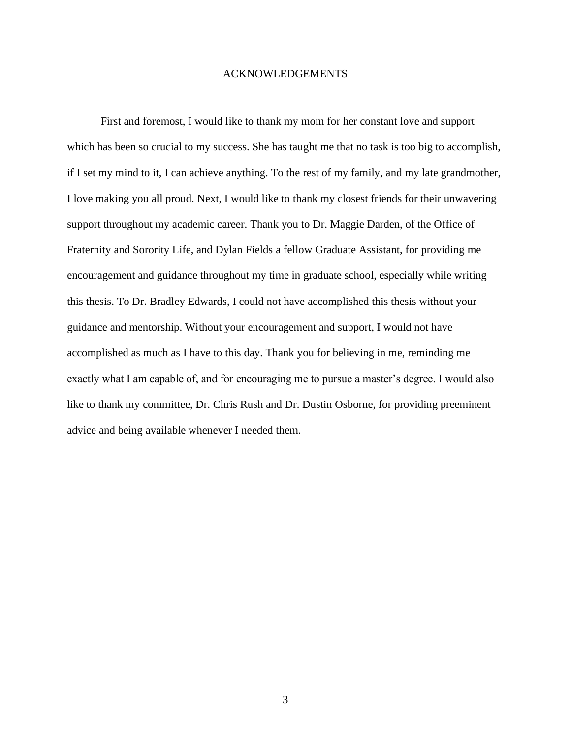# ACKNOWLEDGEMENTS

<span id="page-3-0"></span>First and foremost, I would like to thank my mom for her constant love and support which has been so crucial to my success. She has taught me that no task is too big to accomplish, if I set my mind to it, I can achieve anything. To the rest of my family, and my late grandmother, I love making you all proud. Next, I would like to thank my closest friends for their unwavering support throughout my academic career. Thank you to Dr. Maggie Darden, of the Office of Fraternity and Sorority Life, and Dylan Fields a fellow Graduate Assistant, for providing me encouragement and guidance throughout my time in graduate school, especially while writing this thesis. To Dr. Bradley Edwards, I could not have accomplished this thesis without your guidance and mentorship. Without your encouragement and support, I would not have accomplished as much as I have to this day. Thank you for believing in me, reminding me exactly what I am capable of, and for encouraging me to pursue a master's degree. I would also like to thank my committee, Dr. Chris Rush and Dr. Dustin Osborne, for providing preeminent advice and being available whenever I needed them.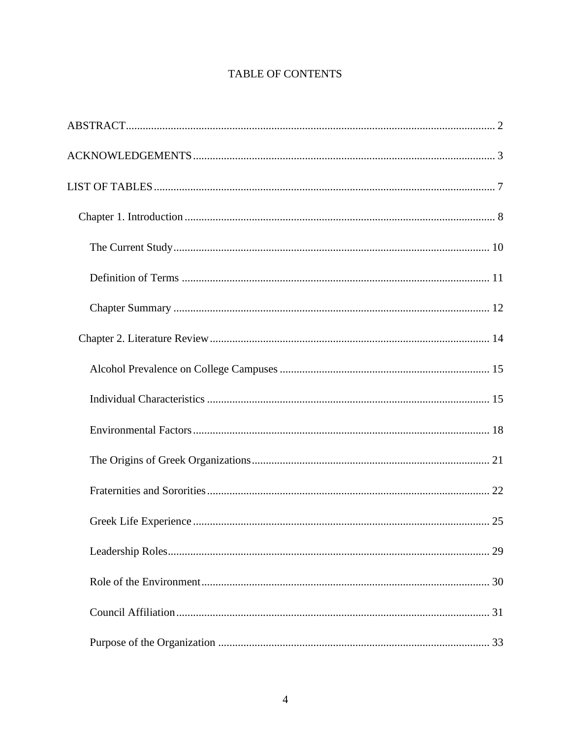# TABLE OF CONTENTS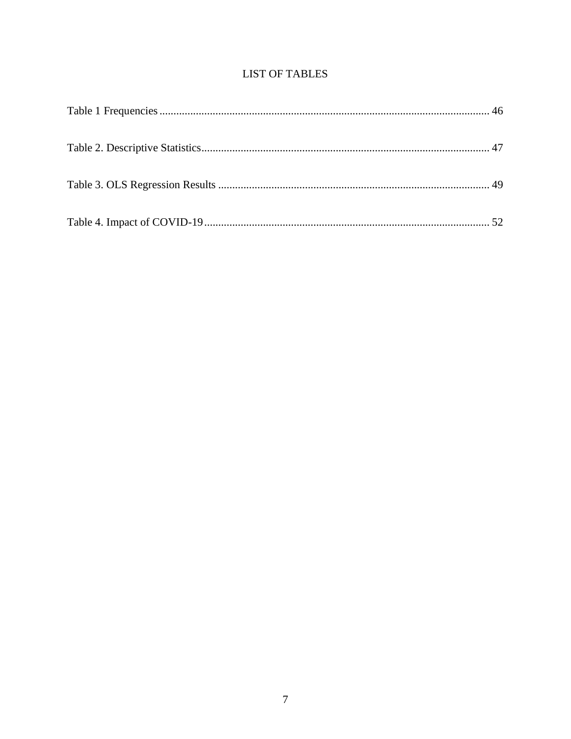# **LIST OF TABLES**

<span id="page-7-0"></span>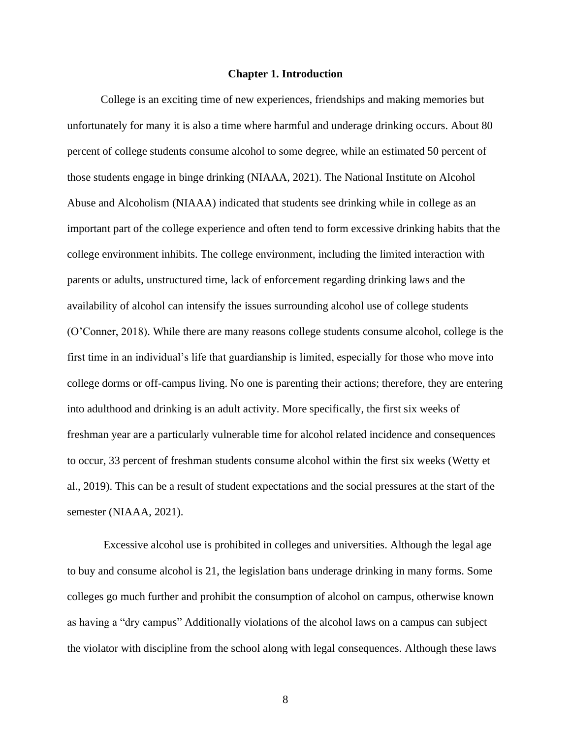#### **Chapter 1. Introduction**

<span id="page-8-0"></span>College is an exciting time of new experiences, friendships and making memories but unfortunately for many it is also a time where harmful and underage drinking occurs. About 80 percent of college students consume alcohol to some degree, while an estimated 50 percent of those students engage in binge drinking (NIAAA, 2021). The National Institute on Alcohol Abuse and Alcoholism (NIAAA) indicated that students see drinking while in college as an important part of the college experience and often tend to form excessive drinking habits that the college environment inhibits. The college environment, including the limited interaction with parents or adults, unstructured time, lack of enforcement regarding drinking laws and the availability of alcohol can intensify the issues surrounding alcohol use of college students (O'Conner, 2018). While there are many reasons college students consume alcohol, college is the first time in an individual's life that guardianship is limited, especially for those who move into college dorms or off-campus living. No one is parenting their actions; therefore, they are entering into adulthood and drinking is an adult activity. More specifically, the first six weeks of freshman year are a particularly vulnerable time for alcohol related incidence and consequences to occur, 33 percent of freshman students consume alcohol within the first six weeks (Wetty et al., 2019). This can be a result of student expectations and the social pressures at the start of the semester (NIAAA, 2021).

Excessive alcohol use is prohibited in colleges and universities. Although the legal age to buy and consume alcohol is 21, the legislation bans underage drinking in many forms. Some colleges go much further and prohibit the consumption of alcohol on campus, otherwise known as having a "dry campus" Additionally violations of the alcohol laws on a campus can subject the violator with discipline from the school along with legal consequences. Although these laws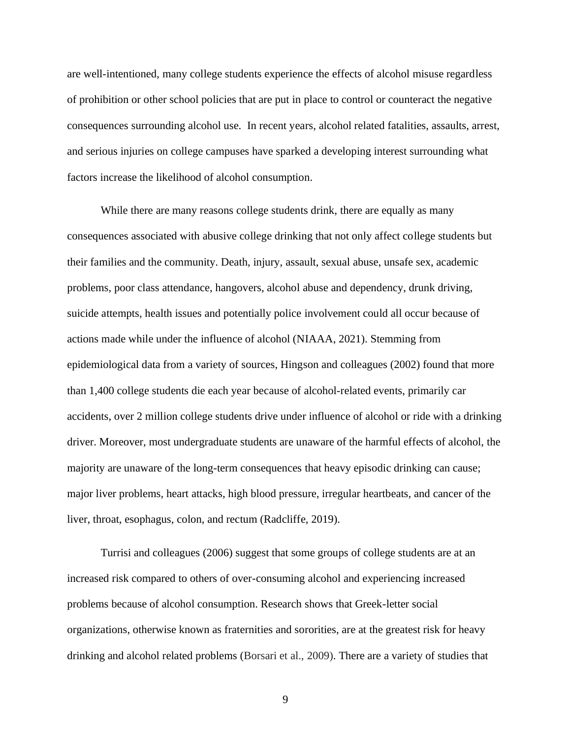are well-intentioned, many college students experience the effects of alcohol misuse regardless of prohibition or other school policies that are put in place to control or counteract the negative consequences surrounding alcohol use. In recent years, alcohol related fatalities, assaults, arrest, and serious injuries on college campuses have sparked a developing interest surrounding what factors increase the likelihood of alcohol consumption.

While there are many reasons college students drink, there are equally as many consequences associated with abusive college drinking that not only affect college students but their families and the community. Death, injury, assault, sexual abuse, unsafe sex, academic problems, poor class attendance, hangovers, alcohol abuse and dependency, drunk driving, suicide attempts, health issues and potentially police involvement could all occur because of actions made while under the influence of alcohol (NIAAA, 2021). Stemming from epidemiological data from a variety of sources, Hingson and colleagues (2002) found that more than 1,400 college students die each year because of alcohol-related events, primarily car accidents, over 2 million college students drive under influence of alcohol or ride with a drinking driver. Moreover, most undergraduate students are unaware of the harmful effects of alcohol, the majority are unaware of the long-term consequences that heavy episodic drinking can cause; major liver problems, heart attacks, high blood pressure, irregular heartbeats, and cancer of the liver, throat, esophagus, colon, and rectum (Radcliffe, 2019).

Turrisi and colleagues (2006) suggest that some groups of college students are at an increased risk compared to others of over-consuming alcohol and experiencing increased problems because of alcohol consumption. Research shows that Greek-letter social organizations, otherwise known as fraternities and sororities, are at the greatest risk for heavy drinking and alcohol related problems (Borsari et al., 2009). There are a variety of studies that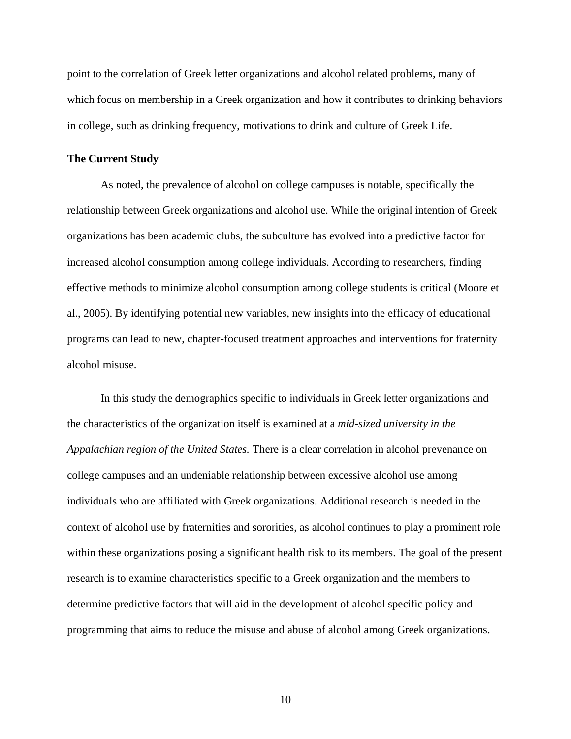point to the correlation of Greek letter organizations and alcohol related problems, many of which focus on membership in a Greek organization and how it contributes to drinking behaviors in college, such as drinking frequency, motivations to drink and culture of Greek Life.

# <span id="page-10-0"></span>**The Current Study**

As noted, the prevalence of alcohol on college campuses is notable, specifically the relationship between Greek organizations and alcohol use. While the original intention of Greek organizations has been academic clubs, the subculture has evolved into a predictive factor for increased alcohol consumption among college individuals. According to researchers, finding effective methods to minimize alcohol consumption among college students is critical (Moore et al., 2005). By identifying potential new variables, new insights into the efficacy of educational programs can lead to new, chapter-focused treatment approaches and interventions for fraternity alcohol misuse.

In this study the demographics specific to individuals in Greek letter organizations and the characteristics of the organization itself is examined at a *mid-sized university in the Appalachian region of the United States.* There is a clear correlation in alcohol prevenance on college campuses and an undeniable relationship between excessive alcohol use among individuals who are affiliated with Greek organizations. Additional research is needed in the context of alcohol use by fraternities and sororities, as alcohol continues to play a prominent role within these organizations posing a significant health risk to its members. The goal of the present research is to examine characteristics specific to a Greek organization and the members to determine predictive factors that will aid in the development of alcohol specific policy and programming that aims to reduce the misuse and abuse of alcohol among Greek organizations.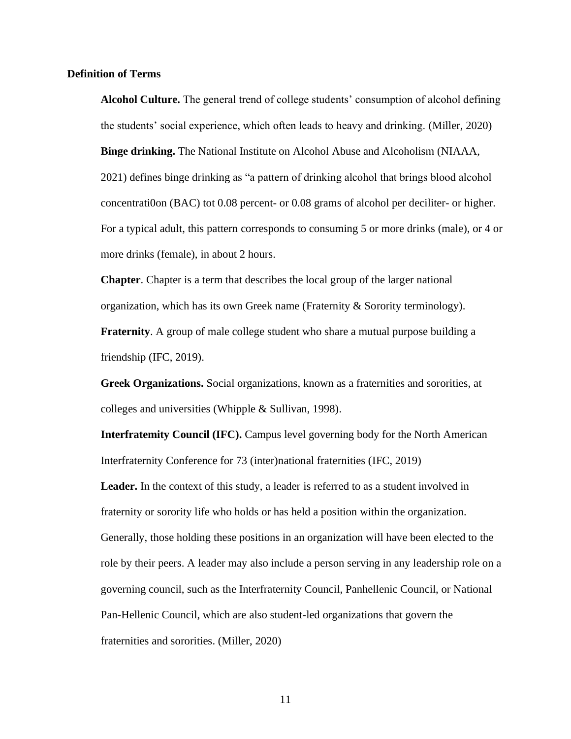# <span id="page-11-0"></span>**Definition of Terms**

**Alcohol Culture.** The general trend of college students' consumption of alcohol defining the students' social experience, which often leads to heavy and drinking. (Miller, 2020) **Binge drinking.** The National Institute on Alcohol Abuse and Alcoholism (NIAAA, 2021) defines binge drinking as "a pattern of drinking alcohol that brings blood alcohol concentrati0on (BAC) tot 0.08 percent- or 0.08 grams of alcohol per deciliter- or higher. For a typical adult, this pattern corresponds to consuming 5 or more drinks (male), or 4 or more drinks (female), in about 2 hours.

**Chapter**. Chapter is a term that describes the local group of the larger national organization, which has its own Greek name (Fraternity & Sorority terminology).

**Fraternity**. A group of male college student who share a mutual purpose building a friendship (IFC, 2019).

**Greek Organizations.** Social organizations, known as a fraternities and sororities, at colleges and universities (Whipple & Sullivan, 1998).

**Interfratemity Council (IFC).** Campus level governing body for the North American Interfraternity Conference for 73 (inter)national fraternities (IFC, 2019)

Leader. In the context of this study, a leader is referred to as a student involved in fraternity or sorority life who holds or has held a position within the organization. Generally, those holding these positions in an organization will have been elected to the role by their peers. A leader may also include a person serving in any leadership role on a governing council, such as the Interfraternity Council, Panhellenic Council, or National Pan-Hellenic Council, which are also student-led organizations that govern the fraternities and sororities. (Miller, 2020)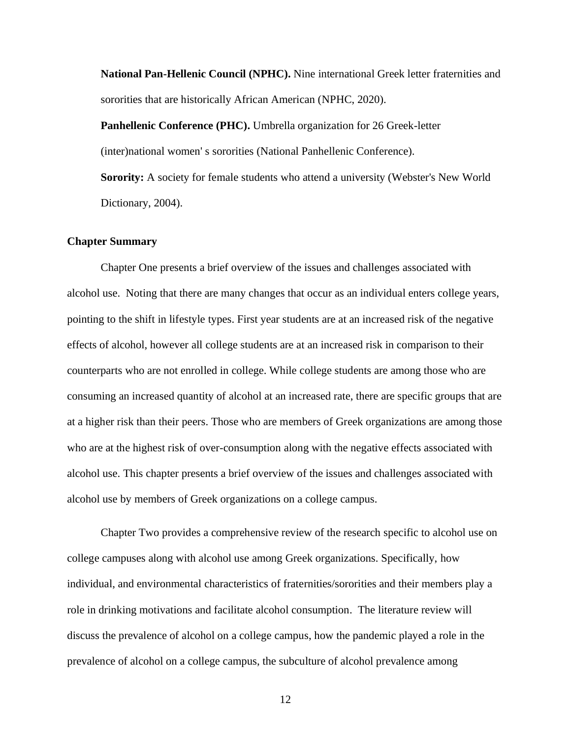**National Pan-Hellenic Council (NPHC).** Nine international Greek letter fraternities and sororities that are historically African American (NPHC, 2020).

**Panhellenic Conference (PHC).** Umbrella organization for 26 Greek-letter (inter)national women' s sororities (National Panhellenic Conference). **Sorority:** A society for female students who attend a university (Webster's New World Dictionary, 2004).

# <span id="page-12-0"></span>**Chapter Summary**

Chapter One presents a brief overview of the issues and challenges associated with alcohol use. Noting that there are many changes that occur as an individual enters college years, pointing to the shift in lifestyle types. First year students are at an increased risk of the negative effects of alcohol, however all college students are at an increased risk in comparison to their counterparts who are not enrolled in college. While college students are among those who are consuming an increased quantity of alcohol at an increased rate, there are specific groups that are at a higher risk than their peers. Those who are members of Greek organizations are among those who are at the highest risk of over-consumption along with the negative effects associated with alcohol use. This chapter presents a brief overview of the issues and challenges associated with alcohol use by members of Greek organizations on a college campus.

Chapter Two provides a comprehensive review of the research specific to alcohol use on college campuses along with alcohol use among Greek organizations. Specifically, how individual, and environmental characteristics of fraternities/sororities and their members play a role in drinking motivations and facilitate alcohol consumption. The literature review will discuss the prevalence of alcohol on a college campus, how the pandemic played a role in the prevalence of alcohol on a college campus, the subculture of alcohol prevalence among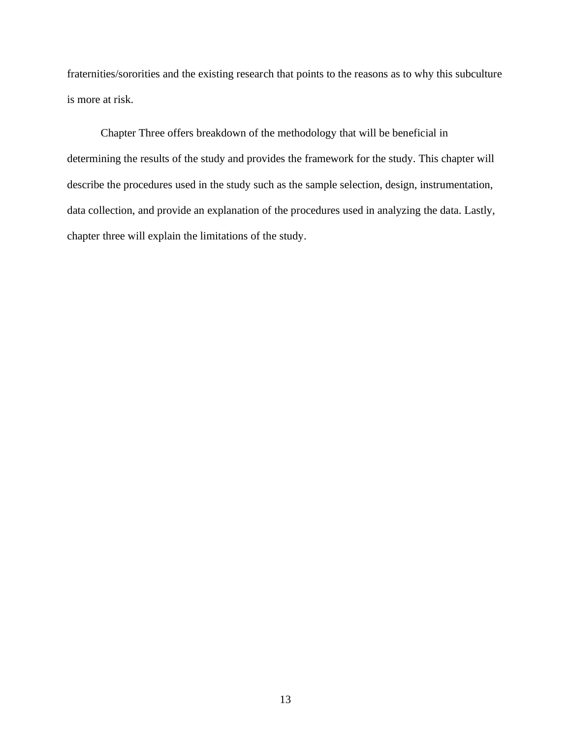fraternities/sororities and the existing research that points to the reasons as to why this subculture is more at risk.

Chapter Three offers breakdown of the methodology that will be beneficial in determining the results of the study and provides the framework for the study. This chapter will describe the procedures used in the study such as the sample selection, design, instrumentation, data collection, and provide an explanation of the procedures used in analyzing the data. Lastly, chapter three will explain the limitations of the study.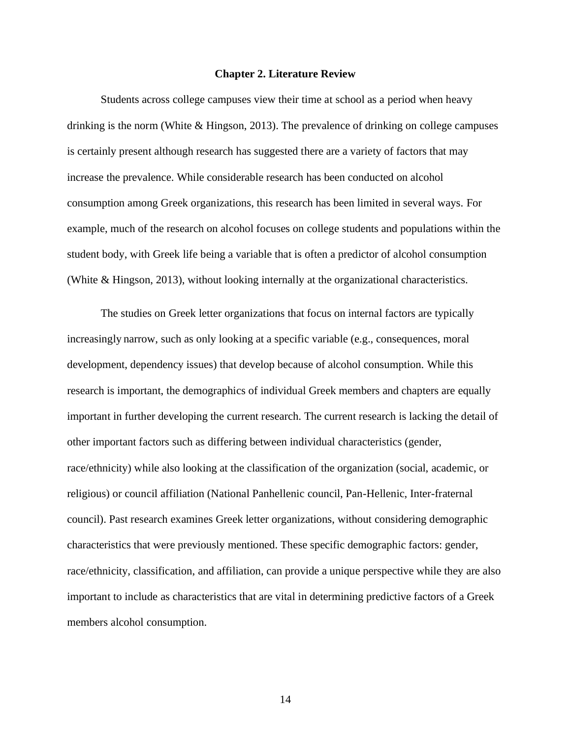# **Chapter 2. Literature Review**

<span id="page-14-0"></span>Students across college campuses view their time at school as a period when heavy drinking is the norm (White  $\&$  Hingson, 2013). The prevalence of drinking on college campuses is certainly present although research has suggested there are a variety of factors that may increase the prevalence. While considerable research has been conducted on alcohol consumption among Greek organizations, this research has been limited in several ways. For example, much of the research on alcohol focuses on college students and populations within the student body, with Greek life being a variable that is often a predictor of alcohol consumption (White & Hingson, 2013), without looking internally at the organizational characteristics.

The studies on Greek letter organizations that focus on internal factors are typically increasingly narrow, such as only looking at a specific variable (e.g., consequences, moral development, dependency issues) that develop because of alcohol consumption. While this research is important, the demographics of individual Greek members and chapters are equally important in further developing the current research. The current research is lacking the detail of other important factors such as differing between individual characteristics (gender, race/ethnicity) while also looking at the classification of the organization (social, academic, or religious) or council affiliation (National Panhellenic council, Pan-Hellenic, Inter-fraternal council). Past research examines Greek letter organizations, without considering demographic characteristics that were previously mentioned. These specific demographic factors: gender, race/ethnicity, classification, and affiliation, can provide a unique perspective while they are also important to include as characteristics that are vital in determining predictive factors of a Greek members alcohol consumption.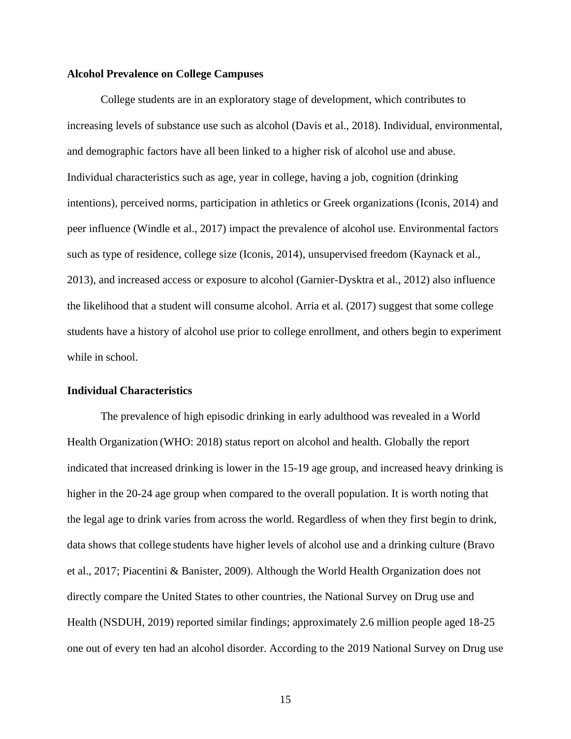# <span id="page-15-0"></span>**Alcohol Prevalence on College Campuses**

College students are in an exploratory stage of development, which contributes to increasing levels of substance use such as alcohol (Davis et al., 2018). Individual, environmental, and demographic factors have all been linked to a higher risk of alcohol use and abuse. Individual characteristics such as age, year in college, having a job, cognition (drinking intentions), perceived norms, participation in athletics or Greek organizations (Iconis, 2014) and peer influence (Windle et al., 2017) impact the prevalence of alcohol use. Environmental factors such as type of residence, college size (Iconis, 2014), unsupervised freedom (Kaynack et al., 2013), and increased access or exposure to alcohol (Garnier-Dysktra et al., 2012) also influence the likelihood that a student will consume alcohol. Arria et al. (2017) suggest that some college students have a history of alcohol use prior to college enrollment, and others begin to experiment while in school.

# <span id="page-15-1"></span>**Individual Characteristics**

The prevalence of high episodic drinking in early adulthood was revealed in a World Health Organization (WHO: 2018) status report on alcohol and health. Globally the report indicated that increased drinking is lower in the 15-19 age group, and increased heavy drinking is higher in the 20-24 age group when compared to the overall population. It is worth noting that the legal age to drink varies from across the world. Regardless of when they first begin to drink, data shows that college students have higher levels of alcohol use and a drinking culture (Bravo et al., 2017; Piacentini & Banister, 2009). Although the World Health Organization does not directly compare the United States to other countries, the National Survey on Drug use and Health (NSDUH, 2019) reported similar findings; approximately 2.6 million people aged 18-25 one out of every ten had an alcohol disorder. According to the 2019 National Survey on Drug use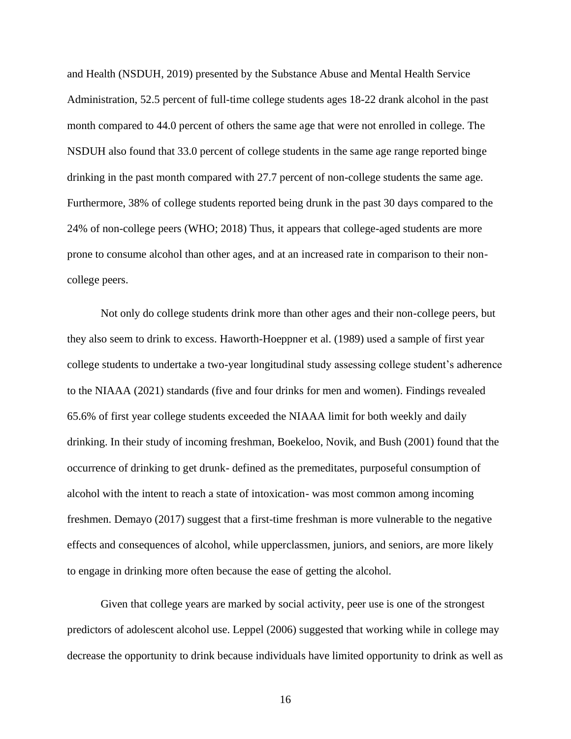and Health (NSDUH, 2019) presented by the Substance Abuse and Mental Health Service Administration, 52.5 percent of full-time college students ages 18-22 drank alcohol in the past month compared to 44.0 percent of others the same age that were not enrolled in college. The NSDUH also found that 33.0 percent of college students in the same age range reported binge drinking in the past month compared with 27.7 percent of non-college students the same age. Furthermore, 38% of college students reported being drunk in the past 30 days compared to the 24% of non-college peers (WHO; 2018) Thus, it appears that college-aged students are more prone to consume alcohol than other ages, and at an increased rate in comparison to their noncollege peers.

Not only do college students drink more than other ages and their non-college peers, but they also seem to drink to excess. Haworth-Hoeppner et al. (1989) used a sample of first year college students to undertake a two-year longitudinal study assessing college student's adherence to the NIAAA (2021) standards (five and four drinks for men and women). Findings revealed 65.6% of first year college students exceeded the NIAAA limit for both weekly and daily drinking. In their study of incoming freshman, Boekeloo, Novik, and Bush (2001) found that the occurrence of drinking to get drunk- defined as the premeditates, purposeful consumption of alcohol with the intent to reach a state of intoxication- was most common among incoming freshmen. Demayo (2017) suggest that a first-time freshman is more vulnerable to the negative effects and consequences of alcohol, while upperclassmen, juniors, and seniors, are more likely to engage in drinking more often because the ease of getting the alcohol.

Given that college years are marked by social activity, peer use is one of the strongest predictors of adolescent alcohol use. Leppel (2006) suggested that working while in college may decrease the opportunity to drink because individuals have limited opportunity to drink as well as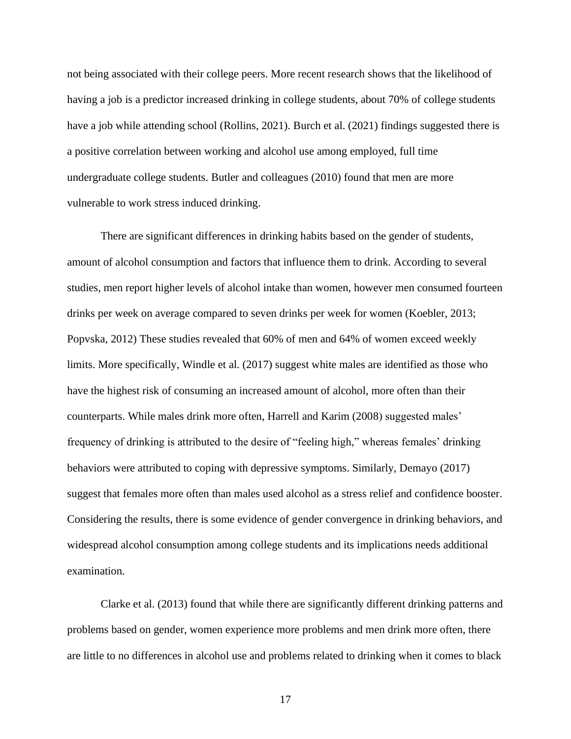not being associated with their college peers. More recent research shows that the likelihood of having a job is a predictor increased drinking in college students, about 70% of college students have a job while attending school (Rollins, 2021). Burch et al. (2021) findings suggested there is a positive correlation between working and alcohol use among employed, full time undergraduate college students. Butler and colleagues (2010) found that men are more vulnerable to work stress induced drinking.

There are significant differences in drinking habits based on the gender of students, amount of alcohol consumption and factors that influence them to drink. According to several studies, men report higher levels of alcohol intake than women, however men consumed fourteen drinks per week on average compared to seven drinks per week for women (Koebler, 2013; Popvska, 2012) These studies revealed that 60% of men and 64% of women exceed weekly limits. More specifically, Windle et al. (2017) suggest white males are identified as those who have the highest risk of consuming an increased amount of alcohol, more often than their counterparts. While males drink more often, Harrell and Karim (2008) suggested males' frequency of drinking is attributed to the desire of "feeling high," whereas females' drinking behaviors were attributed to coping with depressive symptoms. Similarly, Demayo (2017) suggest that females more often than males used alcohol as a stress relief and confidence booster. Considering the results, there is some evidence of gender convergence in drinking behaviors, and widespread alcohol consumption among college students and its implications needs additional examination.

Clarke et al. (2013) found that while there are significantly different drinking patterns and problems based on gender, women experience more problems and men drink more often, there are little to no differences in alcohol use and problems related to drinking when it comes to black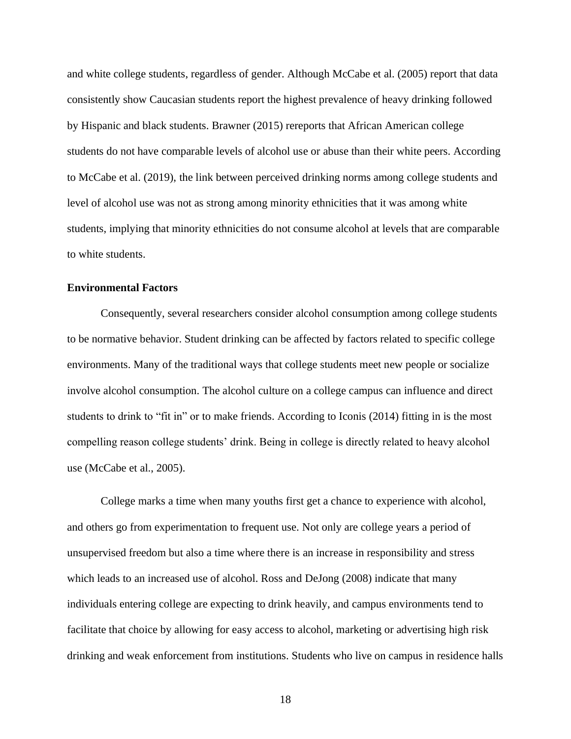and white college students, regardless of gender. Although McCabe et al. (2005) report that data consistently show Caucasian students report the highest prevalence of heavy drinking followed by Hispanic and black students. Brawner (2015) rereports that African American college students do not have comparable levels of alcohol use or abuse than their white peers. According to McCabe et al. (2019), the link between perceived drinking norms among college students and level of alcohol use was not as strong among minority ethnicities that it was among white students, implying that minority ethnicities do not consume alcohol at levels that are comparable to white students.

# <span id="page-18-0"></span>**Environmental Factors**

Consequently, several researchers consider alcohol consumption among college students to be normative behavior. Student drinking can be affected by factors related to specific college environments. Many of the traditional ways that college students meet new people or socialize involve alcohol consumption. The alcohol culture on a college campus can influence and direct students to drink to "fit in" or to make friends. According to Iconis (2014) fitting in is the most compelling reason college students' drink. Being in college is directly related to heavy alcohol use (McCabe et al., 2005).

College marks a time when many youths first get a chance to experience with alcohol, and others go from experimentation to frequent use. Not only are college years a period of unsupervised freedom but also a time where there is an increase in responsibility and stress which leads to an increased use of alcohol. Ross and DeJong (2008) indicate that many individuals entering college are expecting to drink heavily, and campus environments tend to facilitate that choice by allowing for easy access to alcohol, marketing or advertising high risk drinking and weak enforcement from institutions. Students who live on campus in residence halls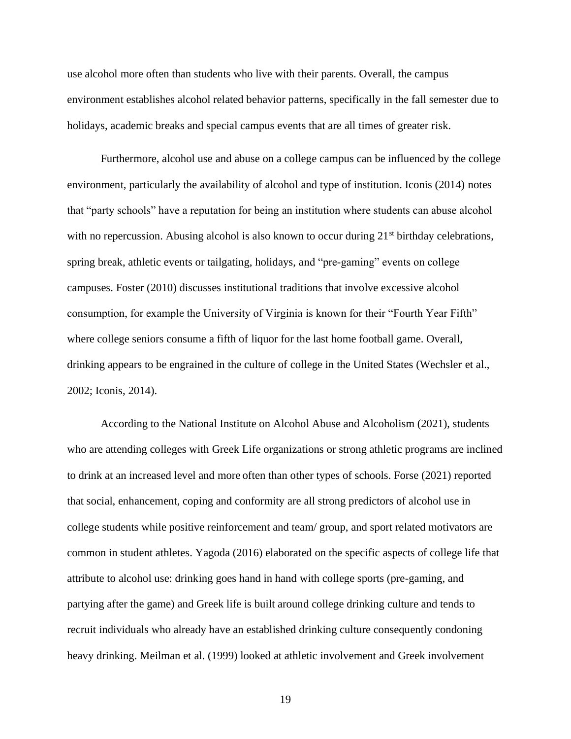use alcohol more often than students who live with their parents. Overall, the campus environment establishes alcohol related behavior patterns, specifically in the fall semester due to holidays, academic breaks and special campus events that are all times of greater risk.

Furthermore, alcohol use and abuse on a college campus can be influenced by the college environment, particularly the availability of alcohol and type of institution. Iconis (2014) notes that "party schools" have a reputation for being an institution where students can abuse alcohol with no repercussion. Abusing alcohol is also known to occur during 21<sup>st</sup> birthday celebrations, spring break, athletic events or tailgating, holidays, and "pre-gaming" events on college campuses. Foster (2010) discusses institutional traditions that involve excessive alcohol consumption, for example the University of Virginia is known for their "Fourth Year Fifth" where college seniors consume a fifth of liquor for the last home football game. Overall, drinking appears to be engrained in the culture of college in the United States (Wechsler et al., 2002; Iconis, 2014).

According to the National Institute on Alcohol Abuse and Alcoholism (2021), students who are attending colleges with Greek Life organizations or strong athletic programs are inclined to drink at an increased level and more often than other types of schools. Forse (2021) reported that social, enhancement, coping and conformity are all strong predictors of alcohol use in college students while positive reinforcement and team/ group, and sport related motivators are common in student athletes. Yagoda (2016) elaborated on the specific aspects of college life that attribute to alcohol use: drinking goes hand in hand with college sports (pre-gaming, and partying after the game) and Greek life is built around college drinking culture and tends to recruit individuals who already have an established drinking culture consequently condoning heavy drinking. Meilman et al. (1999) looked at athletic involvement and Greek involvement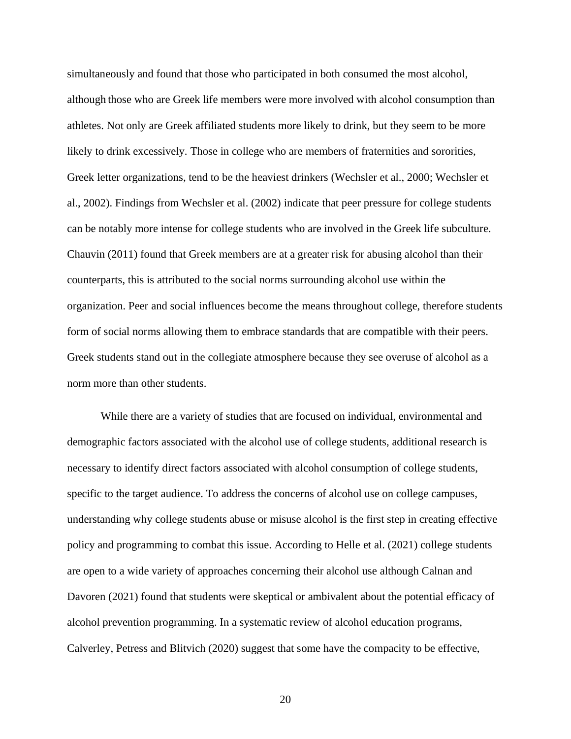simultaneously and found that those who participated in both consumed the most alcohol, although those who are Greek life members were more involved with alcohol consumption than athletes. Not only are Greek affiliated students more likely to drink, but they seem to be more likely to drink excessively. Those in college who are members of fraternities and sororities, Greek letter organizations, tend to be the heaviest drinkers (Wechsler et al., 2000; Wechsler et al., 2002). Findings from Wechsler et al. (2002) indicate that peer pressure for college students can be notably more intense for college students who are involved in the Greek life subculture. Chauvin (2011) found that Greek members are at a greater risk for abusing alcohol than their counterparts, this is attributed to the social norms surrounding alcohol use within the organization. Peer and social influences become the means throughout college, therefore students form of social norms allowing them to embrace standards that are compatible with their peers. Greek students stand out in the collegiate atmosphere because they see overuse of alcohol as a norm more than other students.

While there are a variety of studies that are focused on individual, environmental and demographic factors associated with the alcohol use of college students, additional research is necessary to identify direct factors associated with alcohol consumption of college students, specific to the target audience. To address the concerns of alcohol use on college campuses, understanding why college students abuse or misuse alcohol is the first step in creating effective policy and programming to combat this issue. According to Helle et al. (2021) college students are open to a wide variety of approaches concerning their alcohol use although Calnan and Davoren (2021) found that students were skeptical or ambivalent about the potential efficacy of alcohol prevention programming. In a systematic review of alcohol education programs, Calverley, Petress and Blitvich (2020) suggest that some have the compacity to be effective,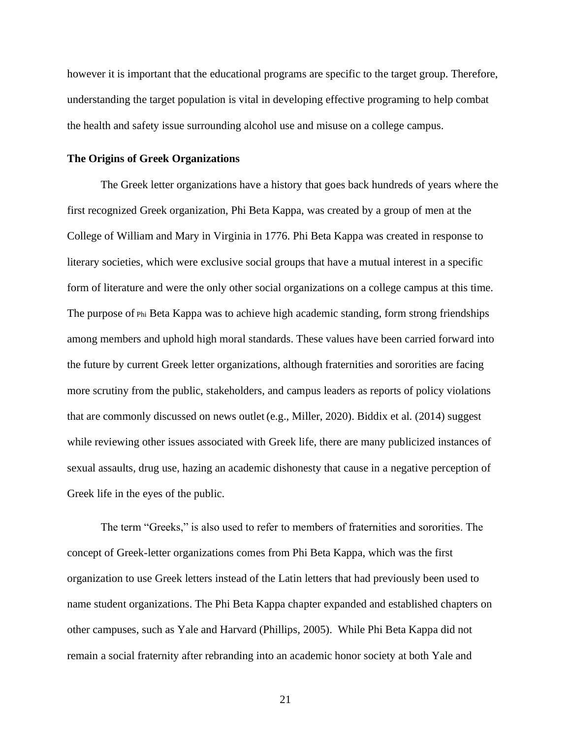however it is important that the educational programs are specific to the target group. Therefore, understanding the target population is vital in developing effective programing to help combat the health and safety issue surrounding alcohol use and misuse on a college campus.

# <span id="page-21-0"></span>**The Origins of Greek Organizations**

The Greek letter organizations have a history that goes back hundreds of years where the first recognized Greek organization, Phi Beta Kappa, was created by a group of men at the College of William and Mary in Virginia in 1776. Phi Beta Kappa was created in response to literary societies, which were exclusive social groups that have a mutual interest in a specific form of literature and were the only other social organizations on a college campus at this time. The purpose of Phi Beta Kappa was to achieve high academic standing, form strong friendships among members and uphold high moral standards. These values have been carried forward into the future by current Greek letter organizations, although fraternities and sororities are facing more scrutiny from the public, stakeholders, and campus leaders as reports of policy violations that are commonly discussed on news outlet (e.g., Miller, 2020). Biddix et al. (2014) suggest while reviewing other issues associated with Greek life, there are many publicized instances of sexual assaults, drug use, hazing an academic dishonesty that cause in a negative perception of Greek life in the eyes of the public.

The term "Greeks," is also used to refer to members of fraternities and sororities. The concept of Greek-letter organizations comes from Phi Beta Kappa, which was the first organization to use Greek letters instead of the Latin letters that had previously been used to name student organizations. The Phi Beta Kappa chapter expanded and established chapters on other campuses, such as Yale and Harvard (Phillips, 2005). While Phi Beta Kappa did not remain a social fraternity after rebranding into an academic honor society at both Yale and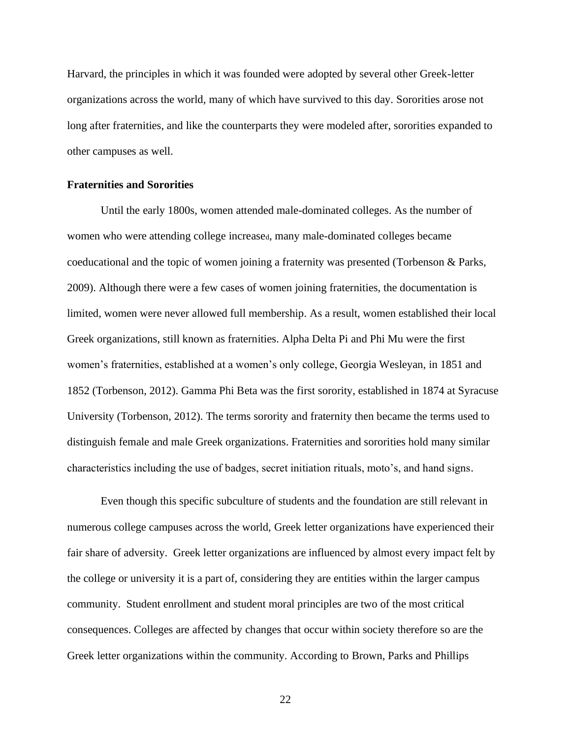Harvard, the principles in which it was founded were adopted by several other Greek-letter organizations across the world, many of which have survived to this day. Sororities arose not long after fraternities, and like the counterparts they were modeled after, sororities expanded to other campuses as well.

# <span id="page-22-0"></span>**Fraternities and Sororities**

Until the early 1800s, women attended male-dominated colleges. As the number of women who were attending college increased, many male-dominated colleges became coeducational and the topic of women joining a fraternity was presented (Torbenson & Parks, 2009). Although there were a few cases of women joining fraternities, the documentation is limited, women were never allowed full membership. As a result, women established their local Greek organizations, still known as fraternities. Alpha Delta Pi and Phi Mu were the first women's fraternities, established at a women's only college, Georgia Wesleyan, in 1851 and 1852 (Torbenson, 2012). Gamma Phi Beta was the first sorority, established in 1874 at Syracuse University (Torbenson, 2012). The terms sorority and fraternity then became the terms used to distinguish female and male Greek organizations. Fraternities and sororities hold many similar characteristics including the use of badges, secret initiation rituals, moto's, and hand signs.

Even though this specific subculture of students and the foundation are still relevant in numerous college campuses across the world, Greek letter organizations have experienced their fair share of adversity. Greek letter organizations are influenced by almost every impact felt by the college or university it is a part of, considering they are entities within the larger campus community. Student enrollment and student moral principles are two of the most critical consequences. Colleges are affected by changes that occur within society therefore so are the Greek letter organizations within the community. According to Brown, Parks and Phillips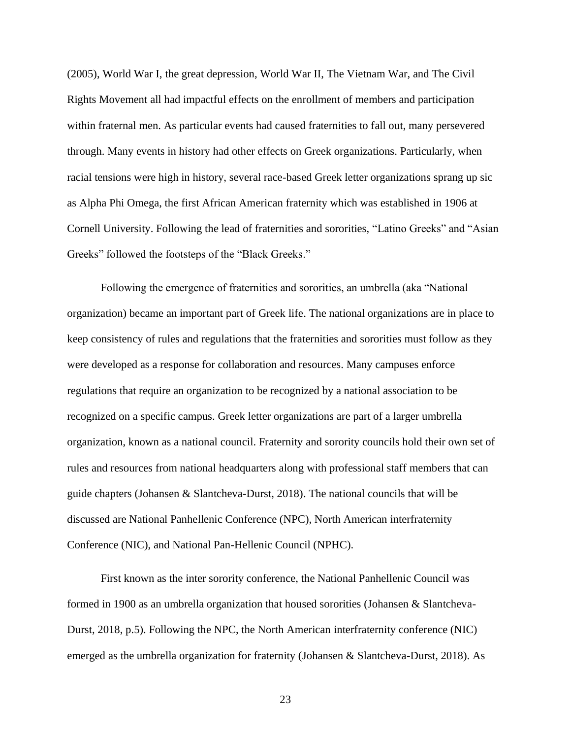(2005), World War I, the great depression, World War II, The Vietnam War, and The Civil Rights Movement all had impactful effects on the enrollment of members and participation within fraternal men. As particular events had caused fraternities to fall out, many persevered through. Many events in history had other effects on Greek organizations. Particularly, when racial tensions were high in history, several race-based Greek letter organizations sprang up sic as Alpha Phi Omega, the first African American fraternity which was established in 1906 at Cornell University. Following the lead of fraternities and sororities, "Latino Greeks" and "Asian Greeks" followed the footsteps of the "Black Greeks."

Following the emergence of fraternities and sororities, an umbrella (aka "National organization) became an important part of Greek life. The national organizations are in place to keep consistency of rules and regulations that the fraternities and sororities must follow as they were developed as a response for collaboration and resources. Many campuses enforce regulations that require an organization to be recognized by a national association to be recognized on a specific campus. Greek letter organizations are part of a larger umbrella organization, known as a national council. Fraternity and sorority councils hold their own set of rules and resources from national headquarters along with professional staff members that can guide chapters (Johansen & Slantcheva-Durst, 2018). The national councils that will be discussed are National Panhellenic Conference (NPC), North American interfraternity Conference (NIC), and National Pan-Hellenic Council (NPHC).

First known as the inter sorority conference, the National Panhellenic Council was formed in 1900 as an umbrella organization that housed sororities (Johansen & Slantcheva-Durst, 2018, p.5). Following the NPC, the North American interfraternity conference (NIC) emerged as the umbrella organization for fraternity (Johansen & Slantcheva-Durst, 2018). As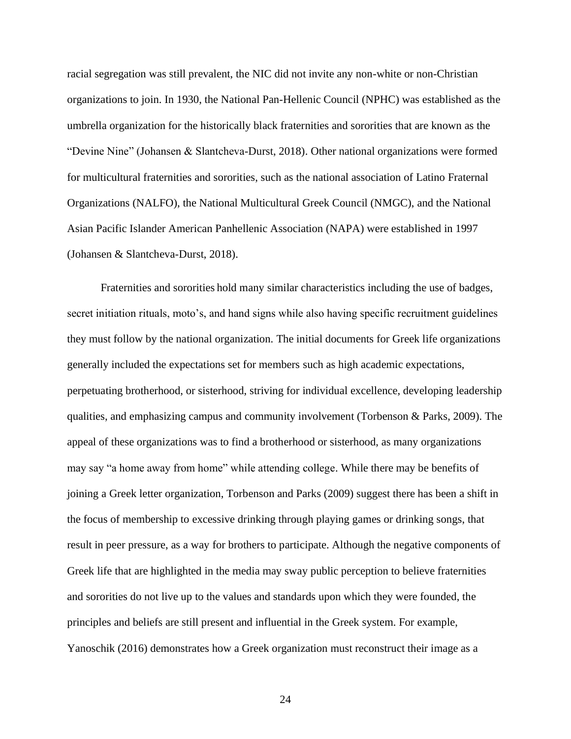racial segregation was still prevalent, the NIC did not invite any non-white or non-Christian organizations to join. In 1930, the National Pan-Hellenic Council (NPHC) was established as the umbrella organization for the historically black fraternities and sororities that are known as the "Devine Nine" (Johansen & Slantcheva-Durst, 2018). Other national organizations were formed for multicultural fraternities and sororities, such as the national association of Latino Fraternal Organizations (NALFO), the National Multicultural Greek Council (NMGC), and the National Asian Pacific Islander American Panhellenic Association (NAPA) were established in 1997 (Johansen & Slantcheva-Durst, 2018).

Fraternities and sororities hold many similar characteristics including the use of badges, secret initiation rituals, moto's, and hand signs while also having specific recruitment guidelines they must follow by the national organization. The initial documents for Greek life organizations generally included the expectations set for members such as high academic expectations, perpetuating brotherhood, or sisterhood, striving for individual excellence, developing leadership qualities, and emphasizing campus and community involvement (Torbenson & Parks, 2009). The appeal of these organizations was to find a brotherhood or sisterhood, as many organizations may say "a home away from home" while attending college. While there may be benefits of joining a Greek letter organization, Torbenson and Parks (2009) suggest there has been a shift in the focus of membership to excessive drinking through playing games or drinking songs, that result in peer pressure, as a way for brothers to participate. Although the negative components of Greek life that are highlighted in the media may sway public perception to believe fraternities and sororities do not live up to the values and standards upon which they were founded, the principles and beliefs are still present and influential in the Greek system. For example, Yanoschik (2016) demonstrates how a Greek organization must reconstruct their image as a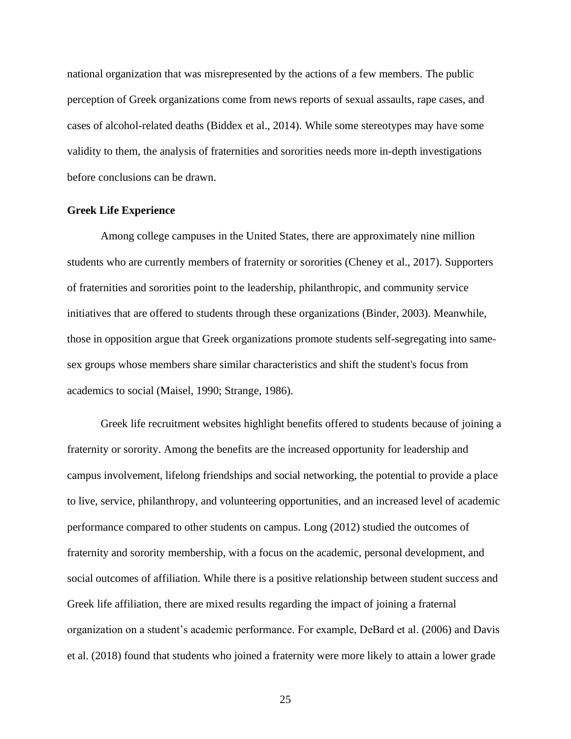national organization that was misrepresented by the actions of a few members. The public perception of Greek organizations come from news reports of sexual assaults, rape cases, and cases of alcohol-related deaths (Biddex et al., 2014). While some stereotypes may have some validity to them, the analysis of fraternities and sororities needs more in-depth investigations before conclusions can be drawn.

# <span id="page-25-0"></span>**Greek Life Experience**

Among college campuses in the United States, there are approximately nine million students who are currently members of fraternity or sororities (Cheney et al., 2017). Supporters of fraternities and sororities point to the leadership, philanthropic, and community service initiatives that are offered to students through these organizations (Binder, 2003). Meanwhile, those in opposition argue that Greek organizations promote students self-segregating into samesex groups whose members share similar characteristics and shift the student's focus from academics to social (Maisel, 1990; Strange, 1986).

Greek life recruitment websites highlight benefits offered to students because of joining a fraternity or sorority. Among the benefits are the increased opportunity for leadership and campus involvement, lifelong friendships and social networking, the potential to provide a place to live, service, philanthropy, and volunteering opportunities, and an increased level of academic performance compared to other students on campus. Long (2012) studied the outcomes of fraternity and sorority membership, with a focus on the academic, personal development, and social outcomes of affiliation. While there is a positive relationship between student success and Greek life affiliation, there are mixed results regarding the impact of joining a fraternal organization on a student's academic performance. For example, DeBard et al. (2006) and Davis et al. (2018) found that students who joined a fraternity were more likely to attain a lower grade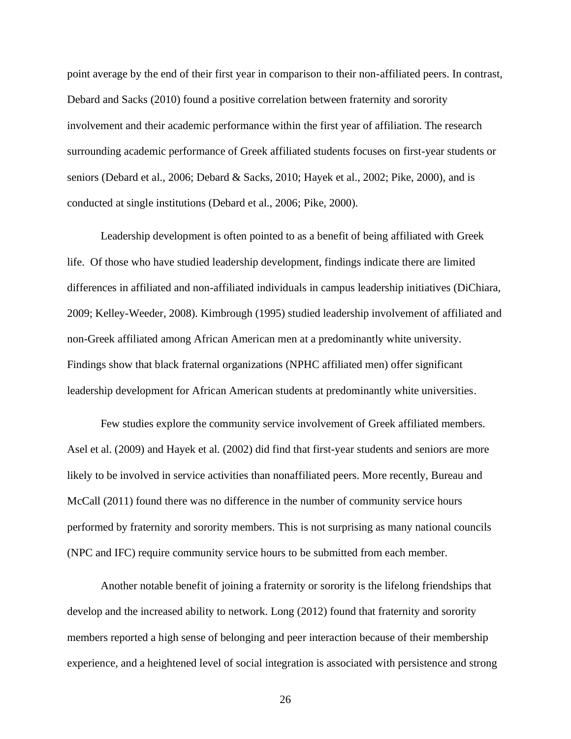point average by the end of their first year in comparison to their non-affiliated peers. In contrast, Debard and Sacks (2010) found a positive correlation between fraternity and sorority involvement and their academic performance within the first year of affiliation. The research surrounding academic performance of Greek affiliated students focuses on first-year students or seniors (Debard et al., 2006; Debard & Sacks, 2010; Hayek et al., 2002; Pike, 2000), and is conducted at single institutions (Debard et al., 2006; Pike, 2000).

Leadership development is often pointed to as a benefit of being affiliated with Greek life. Of those who have studied leadership development, findings indicate there are limited differences in affiliated and non-affiliated individuals in campus leadership initiatives (DiChiara, 2009; Kelley-Weeder, 2008). Kimbrough (1995) studied leadership involvement of affiliated and non-Greek affiliated among African American men at a predominantly white university. Findings show that black fraternal organizations (NPHC affiliated men) offer significant leadership development for African American students at predominantly white universities.

Few studies explore the community service involvement of Greek affiliated members. Asel et al. (2009) and Hayek et al. (2002) did find that first-year students and seniors are more likely to be involved in service activities than nonaffiliated peers. More recently, Bureau and McCall (2011) found there was no difference in the number of community service hours performed by fraternity and sorority members. This is not surprising as many national councils (NPC and IFC) require community service hours to be submitted from each member.

Another notable benefit of joining a fraternity or sorority is the lifelong friendships that develop and the increased ability to network. Long (2012) found that fraternity and sorority members reported a high sense of belonging and peer interaction because of their membership experience, and a heightened level of social integration is associated with persistence and strong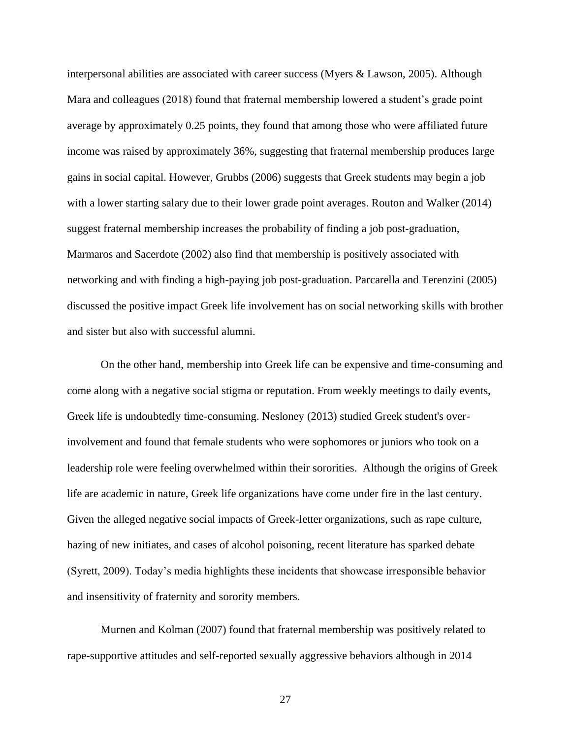interpersonal abilities are associated with career success (Myers & Lawson, 2005). Although Mara and colleagues (2018) found that fraternal membership lowered a student's grade point average by approximately 0.25 points, they found that among those who were affiliated future income was raised by approximately 36%, suggesting that fraternal membership produces large gains in social capital. However, Grubbs (2006) suggests that Greek students may begin a job with a lower starting salary due to their lower grade point averages. Routon and Walker (2014) suggest fraternal membership increases the probability of finding a job post-graduation, Marmaros and Sacerdote (2002) also find that membership is positively associated with networking and with finding a high-paying job post-graduation. Parcarella and Terenzini (2005) discussed the positive impact Greek life involvement has on social networking skills with brother and sister but also with successful alumni.

On the other hand, membership into Greek life can be expensive and time-consuming and come along with a negative social stigma or reputation. From weekly meetings to daily events, Greek life is undoubtedly time-consuming. Nesloney (2013) studied Greek student's overinvolvement and found that female students who were sophomores or juniors who took on a leadership role were feeling overwhelmed within their sororities. Although the origins of Greek life are academic in nature, Greek life organizations have come under fire in the last century. Given the alleged negative social impacts of Greek-letter organizations, such as rape culture, hazing of new initiates, and cases of alcohol poisoning, recent literature has sparked debate (Syrett, 2009). Today's media highlights these incidents that showcase irresponsible behavior and insensitivity of fraternity and sorority members.

Murnen and Kolman (2007) found that fraternal membership was positively related to rape-supportive attitudes and self-reported sexually aggressive behaviors although in 2014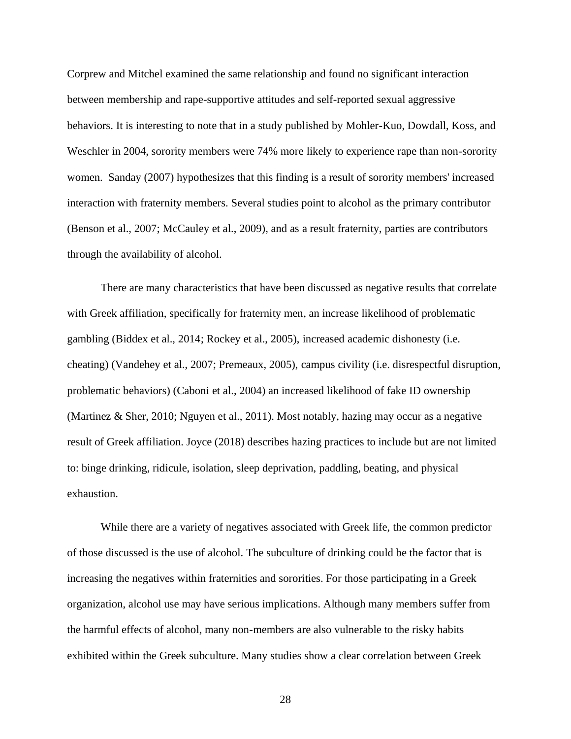Corprew and Mitchel examined the same relationship and found no significant interaction between membership and rape-supportive attitudes and self-reported sexual aggressive behaviors. It is interesting to note that in a study published by Mohler-Kuo, Dowdall, Koss, and Weschler in 2004, sorority members were 74% more likely to experience rape than non-sorority women. Sanday (2007) hypothesizes that this finding is a result of sorority members' increased interaction with fraternity members. Several studies point to alcohol as the primary contributor (Benson et al., 2007; McCauley et al., 2009), and as a result fraternity, parties are contributors through the availability of alcohol.

There are many characteristics that have been discussed as negative results that correlate with Greek affiliation, specifically for fraternity men, an increase likelihood of problematic gambling (Biddex et al., 2014; Rockey et al., 2005), increased academic dishonesty (i.e. cheating) (Vandehey et al., 2007; Premeaux, 2005), campus civility (i.e. disrespectful disruption, problematic behaviors) (Caboni et al., 2004) an increased likelihood of fake ID ownership (Martinez & Sher, 2010; Nguyen et al., 2011). Most notably, hazing may occur as a negative result of Greek affiliation. Joyce (2018) describes hazing practices to include but are not limited to: binge drinking, ridicule, isolation, sleep deprivation, paddling, beating, and physical exhaustion.

While there are a variety of negatives associated with Greek life, the common predictor of those discussed is the use of alcohol. The subculture of drinking could be the factor that is increasing the negatives within fraternities and sororities. For those participating in a Greek organization, alcohol use may have serious implications. Although many members suffer from the harmful effects of alcohol, many non-members are also vulnerable to the risky habits exhibited within the Greek subculture. Many studies show a clear correlation between Greek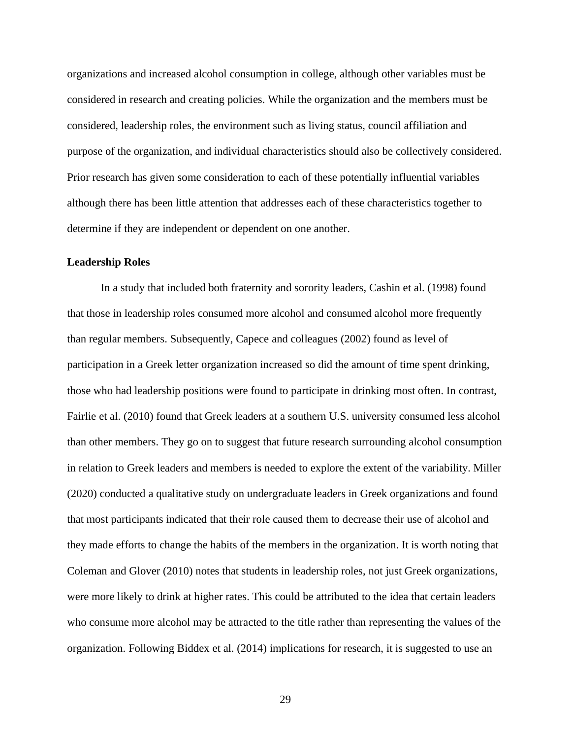organizations and increased alcohol consumption in college, although other variables must be considered in research and creating policies. While the organization and the members must be considered, leadership roles, the environment such as living status, council affiliation and purpose of the organization, and individual characteristics should also be collectively considered. Prior research has given some consideration to each of these potentially influential variables although there has been little attention that addresses each of these characteristics together to determine if they are independent or dependent on one another.

# <span id="page-29-0"></span>**Leadership Roles**

In a study that included both fraternity and sorority leaders, Cashin et al. (1998) found that those in leadership roles consumed more alcohol and consumed alcohol more frequently than regular members. Subsequently, Capece and colleagues (2002) found as level of participation in a Greek letter organization increased so did the amount of time spent drinking, those who had leadership positions were found to participate in drinking most often. In contrast, Fairlie et al. (2010) found that Greek leaders at a southern U.S. university consumed less alcohol than other members. They go on to suggest that future research surrounding alcohol consumption in relation to Greek leaders and members is needed to explore the extent of the variability. Miller (2020) conducted a qualitative study on undergraduate leaders in Greek organizations and found that most participants indicated that their role caused them to decrease their use of alcohol and they made efforts to change the habits of the members in the organization. It is worth noting that Coleman and Glover (2010) notes that students in leadership roles, not just Greek organizations, were more likely to drink at higher rates. This could be attributed to the idea that certain leaders who consume more alcohol may be attracted to the title rather than representing the values of the organization. Following Biddex et al. (2014) implications for research, it is suggested to use an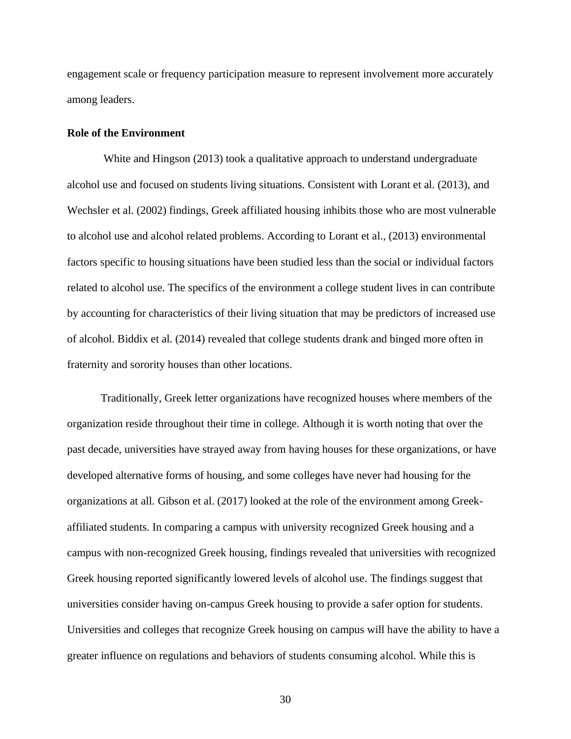engagement scale or frequency participation measure to represent involvement more accurately among leaders.

# <span id="page-30-0"></span>**Role of the Environment**

White and Hingson (2013) took a qualitative approach to understand undergraduate alcohol use and focused on students living situations. Consistent with Lorant et al. (2013), and Wechsler et al. (2002) findings, Greek affiliated housing inhibits those who are most vulnerable to alcohol use and alcohol related problems. According to Lorant et al., (2013) environmental factors specific to housing situations have been studied less than the social or individual factors related to alcohol use. The specifics of the environment a college student lives in can contribute by accounting for characteristics of their living situation that may be predictors of increased use of alcohol. Biddix et al. (2014) revealed that college students drank and binged more often in fraternity and sorority houses than other locations.

Traditionally, Greek letter organizations have recognized houses where members of the organization reside throughout their time in college. Although it is worth noting that over the past decade, universities have strayed away from having houses for these organizations, or have developed alternative forms of housing, and some colleges have never had housing for the organizations at all. Gibson et al. (2017) looked at the role of the environment among Greekaffiliated students. In comparing a campus with university recognized Greek housing and a campus with non-recognized Greek housing, findings revealed that universities with recognized Greek housing reported significantly lowered levels of alcohol use. The findings suggest that universities consider having on-campus Greek housing to provide a safer option for students. Universities and colleges that recognize Greek housing on campus will have the ability to have a greater influence on regulations and behaviors of students consuming alcohol. While this is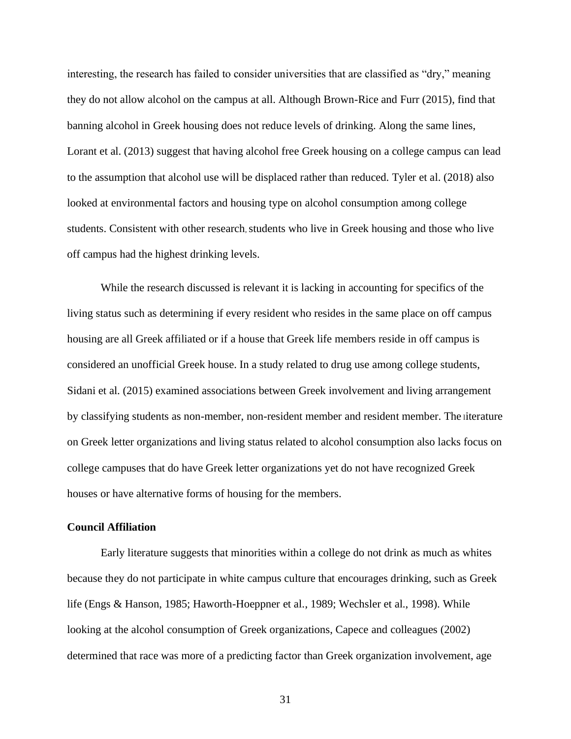interesting, the research has failed to consider universities that are classified as "dry," meaning they do not allow alcohol on the campus at all. Although Brown-Rice and Furr (2015), find that banning alcohol in Greek housing does not reduce levels of drinking. Along the same lines, Lorant et al. (2013) suggest that having alcohol free Greek housing on a college campus can lead to the assumption that alcohol use will be displaced rather than reduced. Tyler et al. (2018) also looked at environmental factors and housing type on alcohol consumption among college students. Consistent with other research, students who live in Greek housing and those who live off campus had the highest drinking levels.

While the research discussed is relevant it is lacking in accounting for specifics of the living status such as determining if every resident who resides in the same place on off campus housing are all Greek affiliated or if a house that Greek life members reside in off campus is considered an unofficial Greek house. In a study related to drug use among college students, Sidani et al. (2015) examined associations between Greek involvement and living arrangement by classifying students as non-member, non-resident member and resident member. The literature on Greek letter organizations and living status related to alcohol consumption also lacks focus on college campuses that do have Greek letter organizations yet do not have recognized Greek houses or have alternative forms of housing for the members.

# <span id="page-31-0"></span>**Council Affiliation**

Early literature suggests that minorities within a college do not drink as much as whites because they do not participate in white campus culture that encourages drinking, such as Greek life (Engs & Hanson, 1985; Haworth-Hoeppner et al., 1989; Wechsler et al., 1998). While looking at the alcohol consumption of Greek organizations, Capece and colleagues (2002) determined that race was more of a predicting factor than Greek organization involvement, age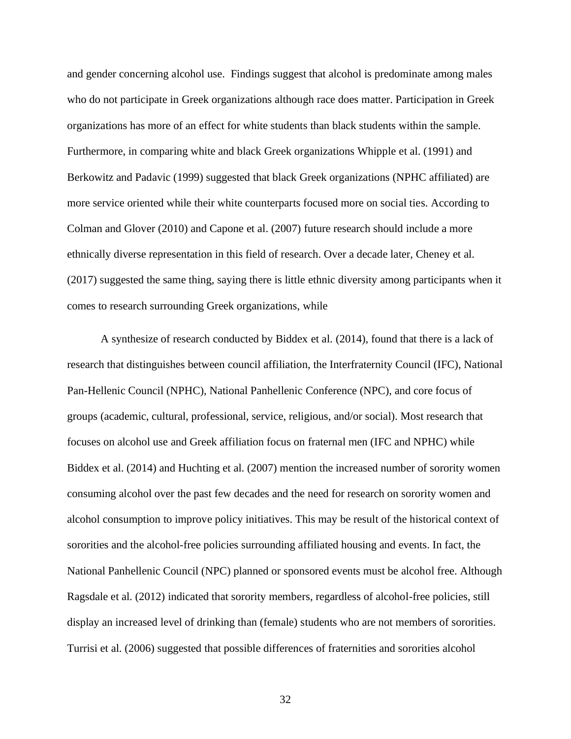and gender concerning alcohol use. Findings suggest that alcohol is predominate among males who do not participate in Greek organizations although race does matter. Participation in Greek organizations has more of an effect for white students than black students within the sample. Furthermore, in comparing white and black Greek organizations Whipple et al. (1991) and Berkowitz and Padavic (1999) suggested that black Greek organizations (NPHC affiliated) are more service oriented while their white counterparts focused more on social ties. According to Colman and Glover (2010) and Capone et al. (2007) future research should include a more ethnically diverse representation in this field of research. Over a decade later, Cheney et al. (2017) suggested the same thing, saying there is little ethnic diversity among participants when it comes to research surrounding Greek organizations, while

A synthesize of research conducted by Biddex et al. (2014), found that there is a lack of research that distinguishes between council affiliation, the Interfraternity Council (IFC), National Pan-Hellenic Council (NPHC), National Panhellenic Conference (NPC), and core focus of groups (academic, cultural, professional, service, religious, and/or social). Most research that focuses on alcohol use and Greek affiliation focus on fraternal men (IFC and NPHC) while Biddex et al. (2014) and Huchting et al. (2007) mention the increased number of sorority women consuming alcohol over the past few decades and the need for research on sorority women and alcohol consumption to improve policy initiatives. This may be result of the historical context of sororities and the alcohol-free policies surrounding affiliated housing and events. In fact, the National Panhellenic Council (NPC) planned or sponsored events must be alcohol free. Although Ragsdale et al. (2012) indicated that sorority members, regardless of alcohol-free policies, still display an increased level of drinking than (female) students who are not members of sororities. Turrisi et al. (2006) suggested that possible differences of fraternities and sororities alcohol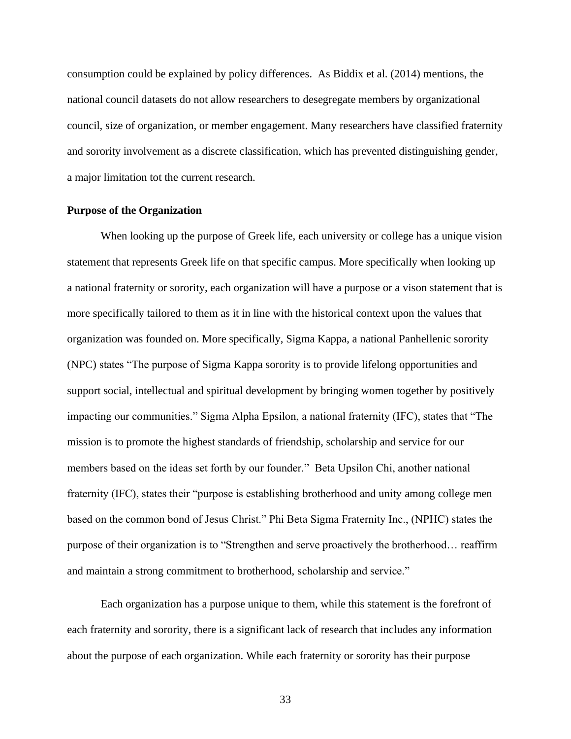consumption could be explained by policy differences. As Biddix et al. (2014) mentions, the national council datasets do not allow researchers to desegregate members by organizational council, size of organization, or member engagement. Many researchers have classified fraternity and sorority involvement as a discrete classification, which has prevented distinguishing gender, a major limitation tot the current research.

# <span id="page-33-0"></span>**Purpose of the Organization**

When looking up the purpose of Greek life, each university or college has a unique vision statement that represents Greek life on that specific campus. More specifically when looking up a national fraternity or sorority, each organization will have a purpose or a vison statement that is more specifically tailored to them as it in line with the historical context upon the values that organization was founded on. More specifically, Sigma Kappa, a national Panhellenic sorority (NPC) states "The purpose of Sigma Kappa sorority is to provide lifelong opportunities and support social, intellectual and spiritual development by bringing women together by positively impacting our communities." Sigma Alpha Epsilon, a national fraternity (IFC), states that "The mission is to promote the highest standards of friendship, scholarship and service for our members based on the ideas set forth by our founder." Beta Upsilon Chi, another national fraternity (IFC), states their "purpose is establishing brotherhood and unity among college men based on the common bond of Jesus Christ." Phi Beta Sigma Fraternity Inc., (NPHC) states the purpose of their organization is to "Strengthen and serve proactively the brotherhood… reaffirm and maintain a strong commitment to brotherhood, scholarship and service."

Each organization has a purpose unique to them, while this statement is the forefront of each fraternity and sorority, there is a significant lack of research that includes any information about the purpose of each organization. While each fraternity or sorority has their purpose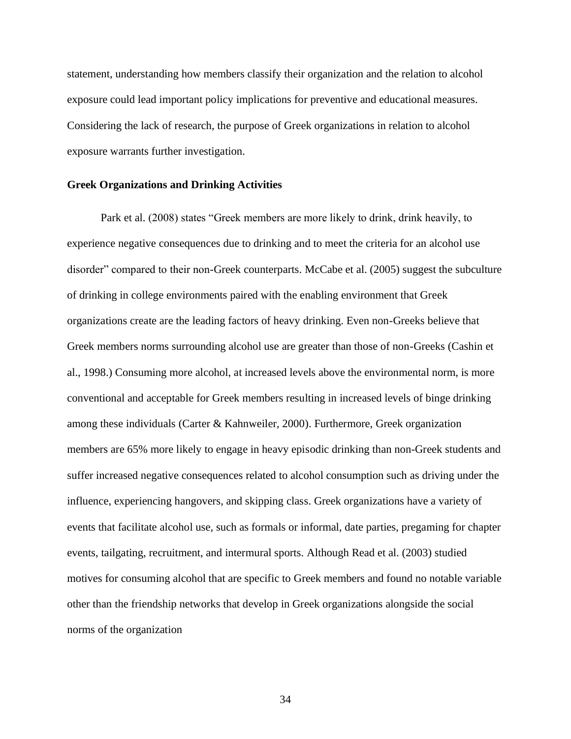statement, understanding how members classify their organization and the relation to alcohol exposure could lead important policy implications for preventive and educational measures. Considering the lack of research, the purpose of Greek organizations in relation to alcohol exposure warrants further investigation.

# **Greek Organizations and Drinking Activities**

Park et al. (2008) states "Greek members are more likely to drink, drink heavily, to experience negative consequences due to drinking and to meet the criteria for an alcohol use disorder" compared to their non-Greek counterparts. McCabe et al. (2005) suggest the subculture of drinking in college environments paired with the enabling environment that Greek organizations create are the leading factors of heavy drinking. Even non-Greeks believe that Greek members norms surrounding alcohol use are greater than those of non-Greeks (Cashin et al., 1998.) Consuming more alcohol, at increased levels above the environmental norm, is more conventional and acceptable for Greek members resulting in increased levels of binge drinking among these individuals (Carter & Kahnweiler, 2000). Furthermore, Greek organization members are 65% more likely to engage in heavy episodic drinking than non-Greek students and suffer increased negative consequences related to alcohol consumption such as driving under the influence, experiencing hangovers, and skipping class. Greek organizations have a variety of events that facilitate alcohol use, such as formals or informal, date parties, pregaming for chapter events, tailgating, recruitment, and intermural sports. Although Read et al. (2003) studied motives for consuming alcohol that are specific to Greek members and found no notable variable other than the friendship networks that develop in Greek organizations alongside the social norms of the organization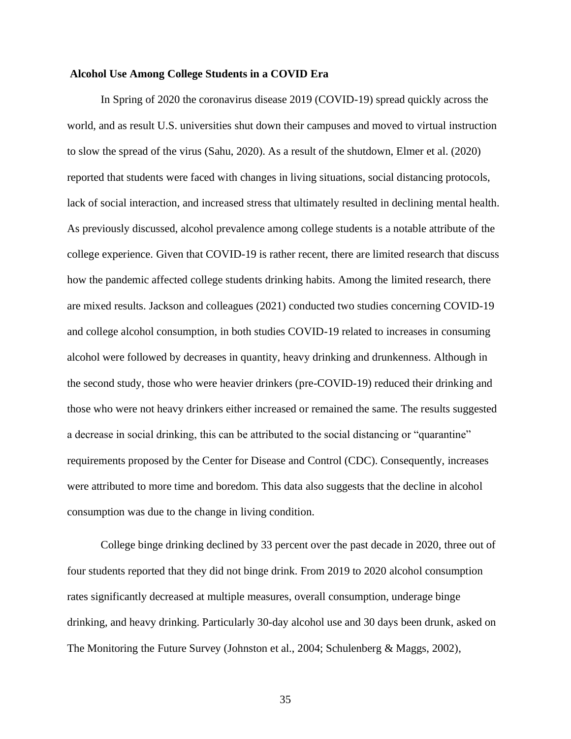# <span id="page-35-0"></span>**Alcohol Use Among College Students in a COVID Era**

In Spring of 2020 the coronavirus disease 2019 (COVID-19) spread quickly across the world, and as result U.S. universities shut down their campuses and moved to virtual instruction to slow the spread of the virus (Sahu, 2020). As a result of the shutdown, Elmer et al. (2020) reported that students were faced with changes in living situations, social distancing protocols, lack of social interaction, and increased stress that ultimately resulted in declining mental health. As previously discussed, alcohol prevalence among college students is a notable attribute of the college experience. Given that COVID-19 is rather recent, there are limited research that discuss how the pandemic affected college students drinking habits. Among the limited research, there are mixed results. Jackson and colleagues (2021) conducted two studies concerning COVID-19 and college alcohol consumption, in both studies COVID-19 related to increases in consuming alcohol were followed by decreases in quantity, heavy drinking and drunkenness. Although in the second study, those who were heavier drinkers (pre-COVID-19) reduced their drinking and those who were not heavy drinkers either increased or remained the same. The results suggested a decrease in social drinking, this can be attributed to the social distancing or "quarantine" requirements proposed by the Center for Disease and Control (CDC). Consequently, increases were attributed to more time and boredom. This data also suggests that the decline in alcohol consumption was due to the change in living condition.

College binge drinking declined by 33 percent over the past decade in 2020, three out of four students reported that they did not binge drink. From 2019 to 2020 alcohol consumption rates significantly decreased at multiple measures, overall consumption, underage binge drinking, and heavy drinking. Particularly 30-day alcohol use and 30 days been drunk, asked on The Monitoring the Future Survey (Johnston et al., 2004; Schulenberg & Maggs, 2002),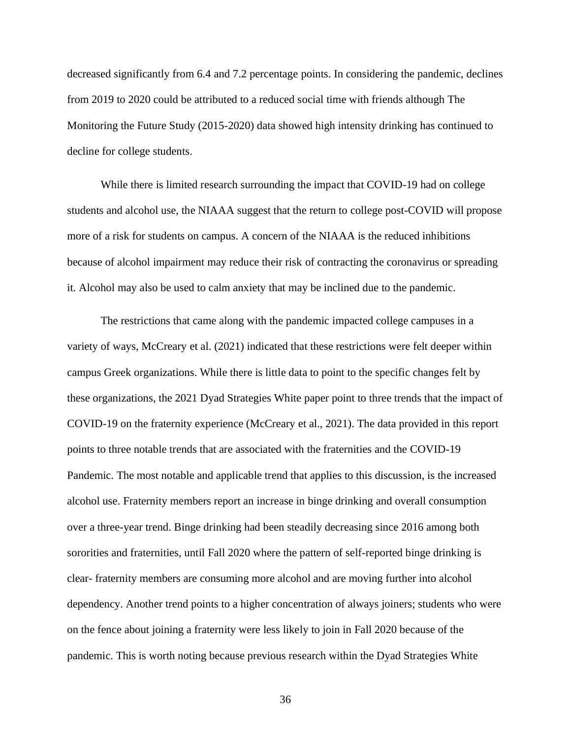decreased significantly from 6.4 and 7.2 percentage points. In considering the pandemic, declines from 2019 to 2020 could be attributed to a reduced social time with friends although The Monitoring the Future Study (2015-2020) data showed high intensity drinking has continued to decline for college students.

While there is limited research surrounding the impact that COVID-19 had on college students and alcohol use, the NIAAA suggest that the return to college post-COVID will propose more of a risk for students on campus. A concern of the NIAAA is the reduced inhibitions because of alcohol impairment may reduce their risk of contracting the coronavirus or spreading it. Alcohol may also be used to calm anxiety that may be inclined due to the pandemic.

The restrictions that came along with the pandemic impacted college campuses in a variety of ways, McCreary et al. (2021) indicated that these restrictions were felt deeper within campus Greek organizations. While there is little data to point to the specific changes felt by these organizations, the 2021 Dyad Strategies White paper point to three trends that the impact of COVID-19 on the fraternity experience (McCreary et al., 2021). The data provided in this report points to three notable trends that are associated with the fraternities and the COVID-19 Pandemic. The most notable and applicable trend that applies to this discussion, is the increased alcohol use. Fraternity members report an increase in binge drinking and overall consumption over a three-year trend. Binge drinking had been steadily decreasing since 2016 among both sororities and fraternities, until Fall 2020 where the pattern of self-reported binge drinking is clear- fraternity members are consuming more alcohol and are moving further into alcohol dependency. Another trend points to a higher concentration of always joiners; students who were on the fence about joining a fraternity were less likely to join in Fall 2020 because of the pandemic. This is worth noting because previous research within the Dyad Strategies White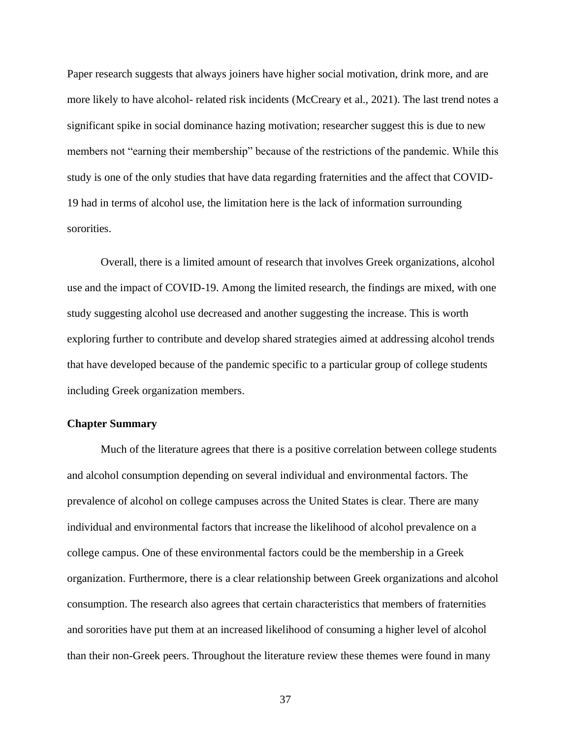Paper research suggests that always joiners have higher social motivation, drink more, and are more likely to have alcohol- related risk incidents (McCreary et al., 2021). The last trend notes a significant spike in social dominance hazing motivation; researcher suggest this is due to new members not "earning their membership" because of the restrictions of the pandemic. While this study is one of the only studies that have data regarding fraternities and the affect that COVID-19 had in terms of alcohol use, the limitation here is the lack of information surrounding sororities.

Overall, there is a limited amount of research that involves Greek organizations, alcohol use and the impact of COVID-19. Among the limited research, the findings are mixed, with one study suggesting alcohol use decreased and another suggesting the increase. This is worth exploring further to contribute and develop shared strategies aimed at addressing alcohol trends that have developed because of the pandemic specific to a particular group of college students including Greek organization members.

#### **Chapter Summary**

Much of the literature agrees that there is a positive correlation between college students and alcohol consumption depending on several individual and environmental factors. The prevalence of alcohol on college campuses across the United States is clear. There are many individual and environmental factors that increase the likelihood of alcohol prevalence on a college campus. One of these environmental factors could be the membership in a Greek organization. Furthermore, there is a clear relationship between Greek organizations and alcohol consumption. The research also agrees that certain characteristics that members of fraternities and sororities have put them at an increased likelihood of consuming a higher level of alcohol than their non-Greek peers. Throughout the literature review these themes were found in many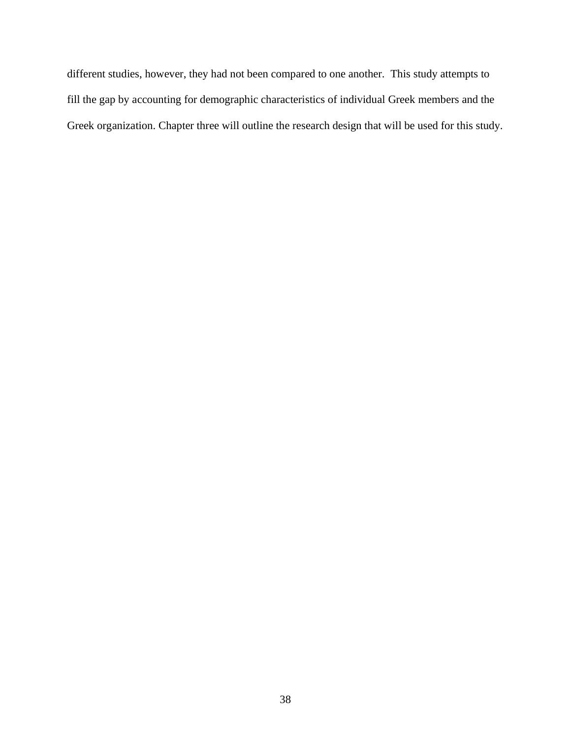different studies, however, they had not been compared to one another. This study attempts to fill the gap by accounting for demographic characteristics of individual Greek members and the Greek organization. Chapter three will outline the research design that will be used for this study.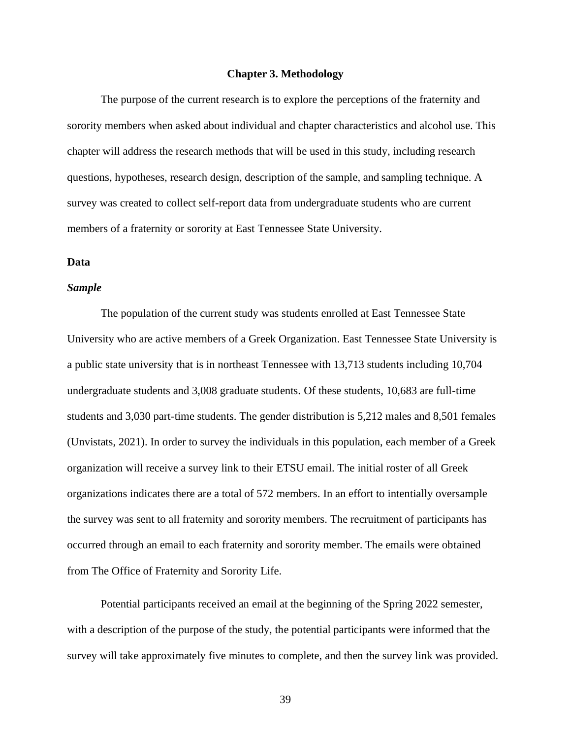#### **Chapter 3. Methodology**

The purpose of the current research is to explore the perceptions of the fraternity and sorority members when asked about individual and chapter characteristics and alcohol use. This chapter will address the research methods that will be used in this study, including research questions, hypotheses, research design, description of the sample, and sampling technique. A survey was created to collect self-report data from undergraduate students who are current members of a fraternity or sorority at East Tennessee State University.

### **Data**

### *Sample*

The population of the current study was students enrolled at East Tennessee State University who are active members of a Greek Organization. East Tennessee State University is a public state university that is in northeast Tennessee with 13,713 students including 10,704 undergraduate students and 3,008 graduate students. Of these students, 10,683 are full-time students and 3,030 part-time students. The gender distribution is 5,212 males and 8,501 females (Unvistats, 2021). In order to survey the individuals in this population, each member of a Greek organization will receive a survey link to their ETSU email. The initial roster of all Greek organizations indicates there are a total of 572 members. In an effort to intentially oversample the survey was sent to all fraternity and sorority members. The recruitment of participants has occurred through an email to each fraternity and sorority member. The emails were obtained from The Office of Fraternity and Sorority Life.

Potential participants received an email at the beginning of the Spring 2022 semester, with a description of the purpose of the study, the potential participants were informed that the survey will take approximately five minutes to complete, and then the survey link was provided.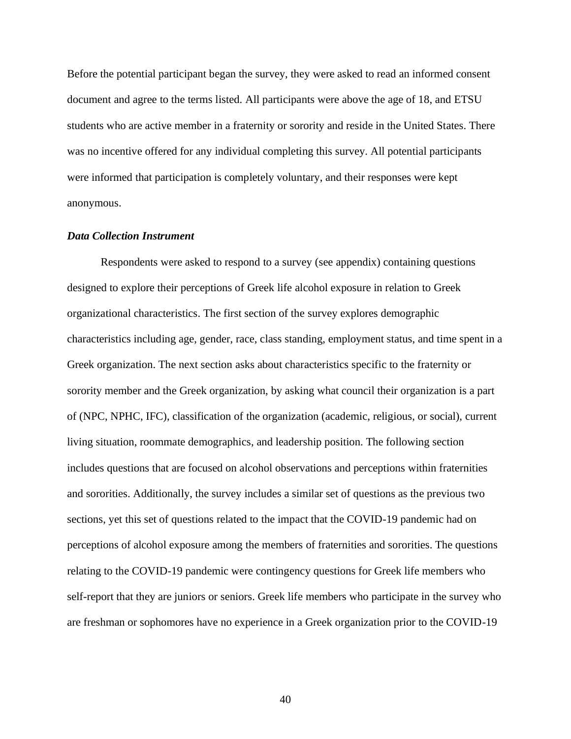Before the potential participant began the survey, they were asked to read an informed consent document and agree to the terms listed. All participants were above the age of 18, and ETSU students who are active member in a fraternity or sorority and reside in the United States. There was no incentive offered for any individual completing this survey. All potential participants were informed that participation is completely voluntary, and their responses were kept anonymous.

#### *Data Collection Instrument*

Respondents were asked to respond to a survey (see appendix) containing questions designed to explore their perceptions of Greek life alcohol exposure in relation to Greek organizational characteristics. The first section of the survey explores demographic characteristics including age, gender, race, class standing, employment status, and time spent in a Greek organization. The next section asks about characteristics specific to the fraternity or sorority member and the Greek organization, by asking what council their organization is a part of (NPC, NPHC, IFC), classification of the organization (academic, religious, or social), current living situation, roommate demographics, and leadership position. The following section includes questions that are focused on alcohol observations and perceptions within fraternities and sororities. Additionally, the survey includes a similar set of questions as the previous two sections, yet this set of questions related to the impact that the COVID-19 pandemic had on perceptions of alcohol exposure among the members of fraternities and sororities. The questions relating to the COVID-19 pandemic were contingency questions for Greek life members who self-report that they are juniors or seniors. Greek life members who participate in the survey who are freshman or sophomores have no experience in a Greek organization prior to the COVID-19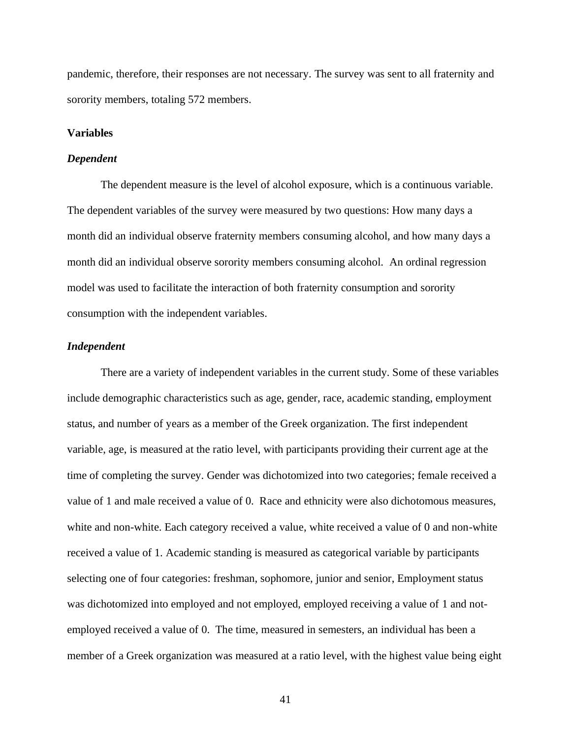pandemic, therefore, their responses are not necessary. The survey was sent to all fraternity and sorority members, totaling 572 members.

#### **Variables**

#### *Dependent*

The dependent measure is the level of alcohol exposure, which is a continuous variable. The dependent variables of the survey were measured by two questions: How many days a month did an individual observe fraternity members consuming alcohol, and how many days a month did an individual observe sorority members consuming alcohol. An ordinal regression model was used to facilitate the interaction of both fraternity consumption and sorority consumption with the independent variables.

### *Independent*

There are a variety of independent variables in the current study. Some of these variables include demographic characteristics such as age, gender, race, academic standing, employment status, and number of years as a member of the Greek organization. The first independent variable, age, is measured at the ratio level, with participants providing their current age at the time of completing the survey. Gender was dichotomized into two categories; female received a value of 1 and male received a value of 0. Race and ethnicity were also dichotomous measures, white and non-white. Each category received a value, white received a value of 0 and non-white received a value of 1. Academic standing is measured as categorical variable by participants selecting one of four categories: freshman, sophomore, junior and senior, Employment status was dichotomized into employed and not employed, employed receiving a value of 1 and notemployed received a value of 0. The time, measured in semesters, an individual has been a member of a Greek organization was measured at a ratio level, with the highest value being eight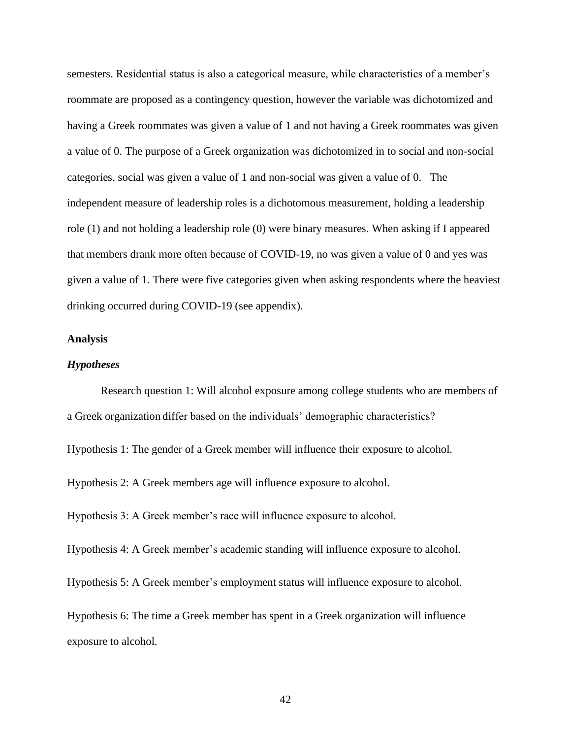semesters. Residential status is also a categorical measure, while characteristics of a member's roommate are proposed as a contingency question, however the variable was dichotomized and having a Greek roommates was given a value of 1 and not having a Greek roommates was given a value of 0. The purpose of a Greek organization was dichotomized in to social and non-social categories, social was given a value of 1 and non-social was given a value of 0. The independent measure of leadership roles is a dichotomous measurement, holding a leadership role (1) and not holding a leadership role (0) were binary measures. When asking if I appeared that members drank more often because of COVID-19, no was given a value of 0 and yes was given a value of 1. There were five categories given when asking respondents where the heaviest drinking occurred during COVID-19 (see appendix).

#### **Analysis**

### *Hypotheses*

Research question 1: Will alcohol exposure among college students who are members of a Greek organization differ based on the individuals' demographic characteristics?

Hypothesis 1: The gender of a Greek member will influence their exposure to alcohol.

Hypothesis 2: A Greek members age will influence exposure to alcohol.

Hypothesis 3: A Greek member's race will influence exposure to alcohol.

Hypothesis 4: A Greek member's academic standing will influence exposure to alcohol.

Hypothesis 5: A Greek member's employment status will influence exposure to alcohol.

Hypothesis 6: The time a Greek member has spent in a Greek organization will influence exposure to alcohol.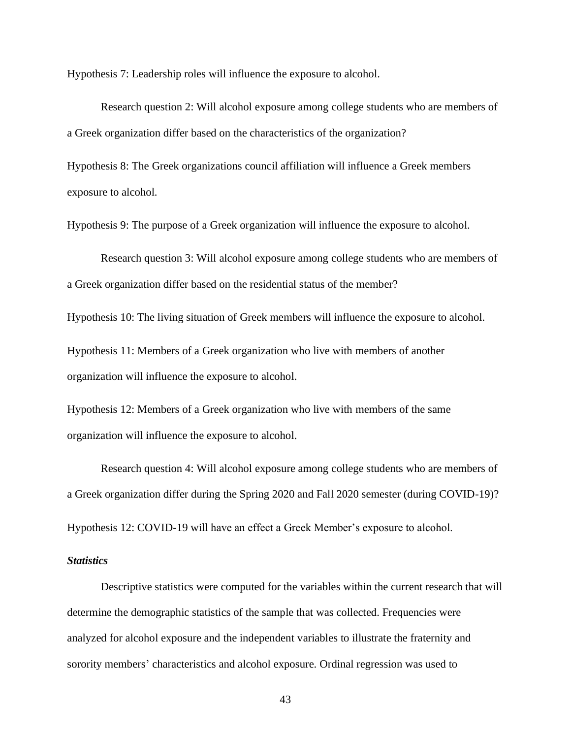Hypothesis 7: Leadership roles will influence the exposure to alcohol.

Research question 2: Will alcohol exposure among college students who are members of a Greek organization differ based on the characteristics of the organization?

Hypothesis 8: The Greek organizations council affiliation will influence a Greek members exposure to alcohol.

Hypothesis 9: The purpose of a Greek organization will influence the exposure to alcohol.

Research question 3: Will alcohol exposure among college students who are members of a Greek organization differ based on the residential status of the member?

Hypothesis 10: The living situation of Greek members will influence the exposure to alcohol.

Hypothesis 11: Members of a Greek organization who live with members of another organization will influence the exposure to alcohol.

Hypothesis 12: Members of a Greek organization who live with members of the same organization will influence the exposure to alcohol.

Research question 4: Will alcohol exposure among college students who are members of a Greek organization differ during the Spring 2020 and Fall 2020 semester (during COVID-19)?

Hypothesis 12: COVID-19 will have an effect a Greek Member's exposure to alcohol.

## *Statistics*

Descriptive statistics were computed for the variables within the current research that will determine the demographic statistics of the sample that was collected. Frequencies were analyzed for alcohol exposure and the independent variables to illustrate the fraternity and sorority members' characteristics and alcohol exposure. Ordinal regression was used to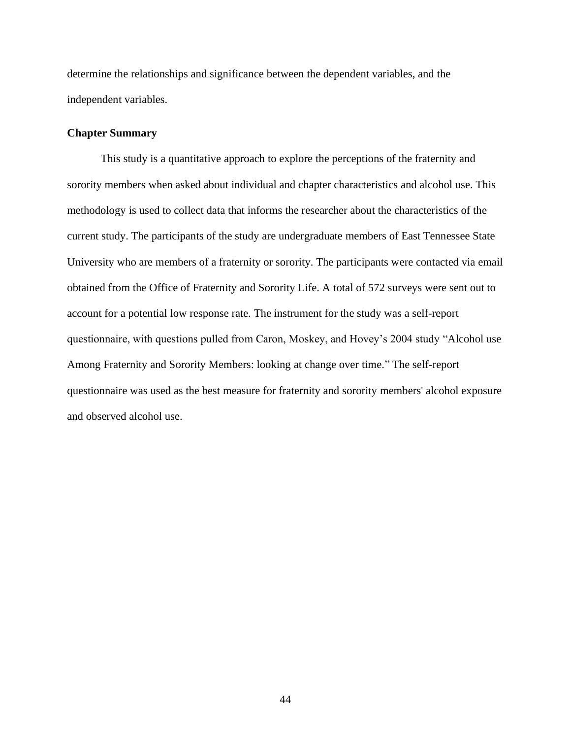determine the relationships and significance between the dependent variables, and the independent variables.

### **Chapter Summary**

This study is a quantitative approach to explore the perceptions of the fraternity and sorority members when asked about individual and chapter characteristics and alcohol use. This methodology is used to collect data that informs the researcher about the characteristics of the current study. The participants of the study are undergraduate members of East Tennessee State University who are members of a fraternity or sorority. The participants were contacted via email obtained from the Office of Fraternity and Sorority Life. A total of 572 surveys were sent out to account for a potential low response rate. The instrument for the study was a self-report questionnaire, with questions pulled from Caron, Moskey, and Hovey's 2004 study "Alcohol use Among Fraternity and Sorority Members: looking at change over time." The self-report questionnaire was used as the best measure for fraternity and sorority members' alcohol exposure and observed alcohol use.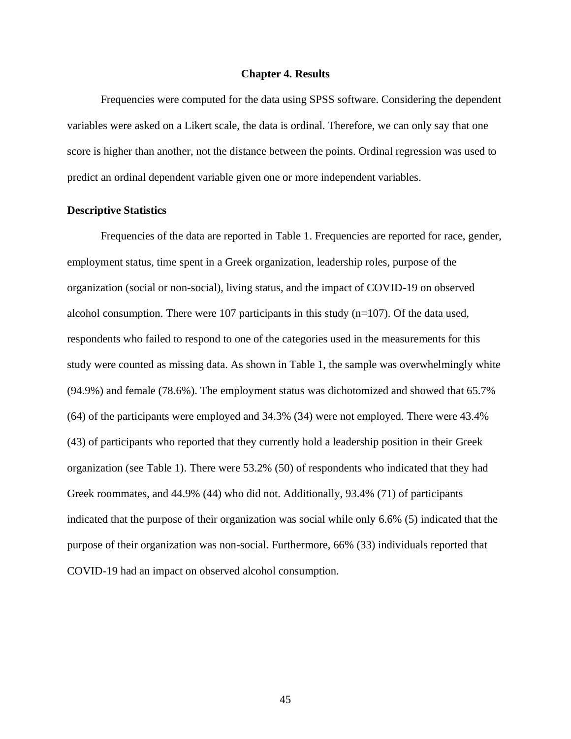## **Chapter 4. Results**

Frequencies were computed for the data using SPSS software. Considering the dependent variables were asked on a Likert scale, the data is ordinal. Therefore, we can only say that one score is higher than another, not the distance between the points. Ordinal regression was used to predict an ordinal dependent variable given one or more independent variables.

## **Descriptive Statistics**

Frequencies of the data are reported in Table 1. Frequencies are reported for race, gender, employment status, time spent in a Greek organization, leadership roles, purpose of the organization (social or non-social), living status, and the impact of COVID-19 on observed alcohol consumption. There were 107 participants in this study  $(n=107)$ . Of the data used, respondents who failed to respond to one of the categories used in the measurements for this study were counted as missing data. As shown in Table 1, the sample was overwhelmingly white (94.9%) and female (78.6%). The employment status was dichotomized and showed that 65.7% (64) of the participants were employed and 34.3% (34) were not employed. There were 43.4% (43) of participants who reported that they currently hold a leadership position in their Greek organization (see Table 1). There were 53.2% (50) of respondents who indicated that they had Greek roommates, and 44.9% (44) who did not. Additionally, 93.4% (71) of participants indicated that the purpose of their organization was social while only 6.6% (5) indicated that the purpose of their organization was non-social. Furthermore, 66% (33) individuals reported that COVID-19 had an impact on observed alcohol consumption.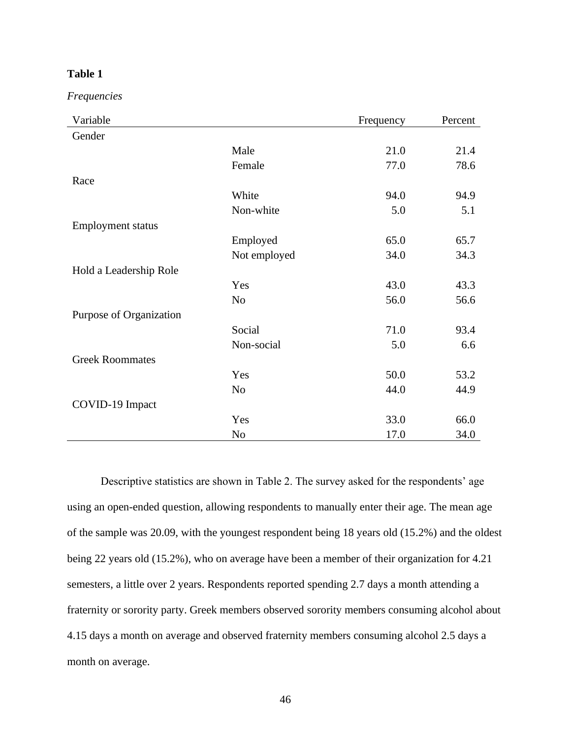# **Table 1**

*Frequencies*

| Variable                 |                | Frequency | Percent |
|--------------------------|----------------|-----------|---------|
| Gender                   |                |           |         |
|                          | Male           | 21.0      | 21.4    |
|                          | Female         | 77.0      | 78.6    |
| Race                     |                |           |         |
|                          | White          | 94.0      | 94.9    |
|                          | Non-white      | 5.0       | 5.1     |
| <b>Employment status</b> |                |           |         |
|                          | Employed       | 65.0      | 65.7    |
|                          | Not employed   | 34.0      | 34.3    |
| Hold a Leadership Role   |                |           |         |
|                          | Yes            | 43.0      | 43.3    |
|                          | N <sub>o</sub> | 56.0      | 56.6    |
| Purpose of Organization  |                |           |         |
|                          | Social         | 71.0      | 93.4    |
|                          | Non-social     | 5.0       | 6.6     |
| <b>Greek Roommates</b>   |                |           |         |
|                          | Yes            | 50.0      | 53.2    |
|                          | N <sub>o</sub> | 44.0      | 44.9    |
| COVID-19 Impact          |                |           |         |
|                          | Yes            | 33.0      | 66.0    |
|                          | No             | 17.0      | 34.0    |

Descriptive statistics are shown in Table 2. The survey asked for the respondents' age using an open-ended question, allowing respondents to manually enter their age. The mean age of the sample was 20.09, with the youngest respondent being 18 years old (15.2%) and the oldest being 22 years old (15.2%), who on average have been a member of their organization for 4.21 semesters, a little over 2 years. Respondents reported spending 2.7 days a month attending a fraternity or sorority party. Greek members observed sorority members consuming alcohol about 4.15 days a month on average and observed fraternity members consuming alcohol 2.5 days a month on average.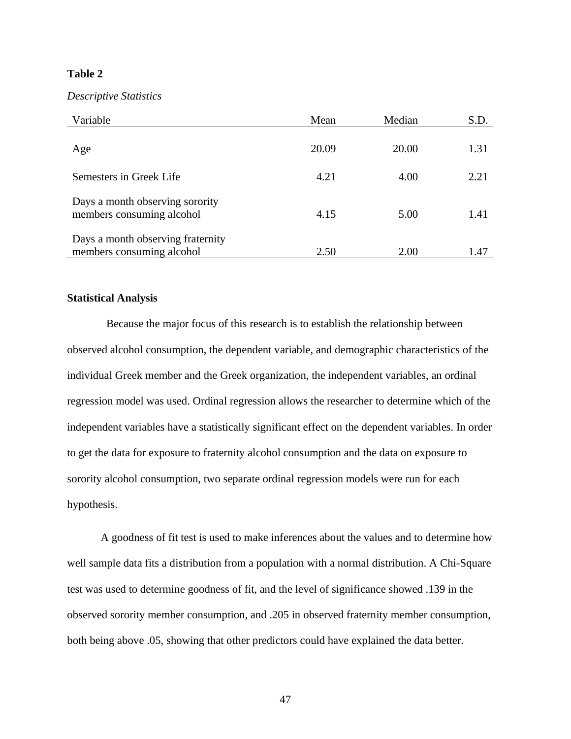## **Table 2**

#### *Descriptive Statistics*

| Variable                          | Mean  | Median | S.D. |
|-----------------------------------|-------|--------|------|
|                                   |       |        |      |
| Age                               | 20.09 | 20.00  | 1.31 |
|                                   |       |        |      |
| Semesters in Greek Life           | 4.21  | 4.00   | 2.21 |
| Days a month observing sorority   |       |        |      |
| members consuming alcohol         | 4.15  | 5.00   | 1.41 |
| Days a month observing fraternity |       |        |      |
| members consuming alcohol         | 2.50  | 2.00   | 1.47 |

### **Statistical Analysis**

 Because the major focus of this research is to establish the relationship between observed alcohol consumption, the dependent variable, and demographic characteristics of the individual Greek member and the Greek organization, the independent variables, an ordinal regression model was used. Ordinal regression allows the researcher to determine which of the independent variables have a statistically significant effect on the dependent variables. In order to get the data for exposure to fraternity alcohol consumption and the data on exposure to sorority alcohol consumption, two separate ordinal regression models were run for each hypothesis.

A goodness of fit test is used to make inferences about the values and to determine how well sample data fits a distribution from a population with a normal distribution. A Chi-Square test was used to determine goodness of fit, and the level of significance showed .139 in the observed sorority member consumption, and .205 in observed fraternity member consumption, both being above .05, showing that other predictors could have explained the data better.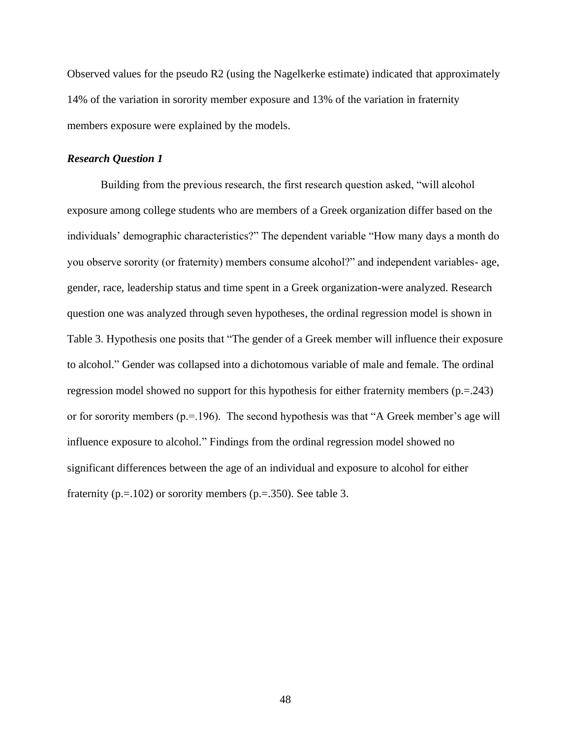Observed values for the pseudo R2 (using the Nagelkerke estimate) indicated that approximately 14% of the variation in sorority member exposure and 13% of the variation in fraternity members exposure were explained by the models.

### *Research Question 1*

Building from the previous research, the first research question asked, "will alcohol exposure among college students who are members of a Greek organization differ based on the individuals' demographic characteristics?" The dependent variable "How many days a month do you observe sorority (or fraternity) members consume alcohol?" and independent variables- age, gender, race, leadership status and time spent in a Greek organization-were analyzed. Research question one was analyzed through seven hypotheses, the ordinal regression model is shown in Table 3. Hypothesis one posits that "The gender of a Greek member will influence their exposure to alcohol." Gender was collapsed into a dichotomous variable of male and female. The ordinal regression model showed no support for this hypothesis for either fraternity members (p.=.243) or for sorority members (p.=.196). The second hypothesis was that "A Greek member's age will influence exposure to alcohol." Findings from the ordinal regression model showed no significant differences between the age of an individual and exposure to alcohol for either fraternity ( $p = 102$ ) or sorority members ( $p = 350$ ). See table 3.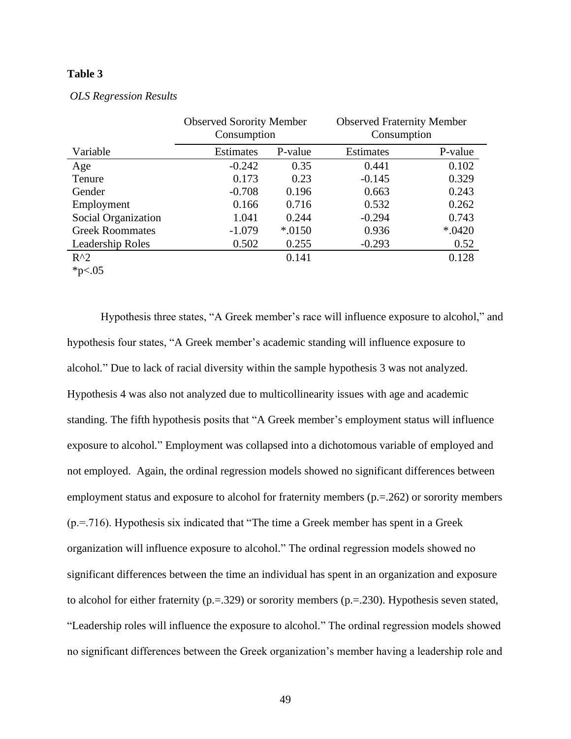## **Table 3**

|                        | <b>Observed Sorority Member</b><br>Consumption |         | <b>Observed Fraternity Member</b><br>Consumption |         |
|------------------------|------------------------------------------------|---------|--------------------------------------------------|---------|
| Variable               | Estimates                                      | P-value | Estimates                                        | P-value |
| Age                    | $-0.242$                                       | 0.35    | 0.441                                            | 0.102   |
| Tenure                 | 0.173                                          | 0.23    | $-0.145$                                         | 0.329   |
| Gender                 | $-0.708$                                       | 0.196   | 0.663                                            | 0.243   |
| Employment             | 0.166                                          | 0.716   | 0.532                                            | 0.262   |
| Social Organization    | 1.041                                          | 0.244   | $-0.294$                                         | 0.743   |
| <b>Greek Roommates</b> | $-1.079$                                       | $*0150$ | 0.936                                            | $*0420$ |
| Leadership Roles       | 0.502                                          | 0.255   | $-0.293$                                         | 0.52    |
| $R^2$                  |                                                | 0.141   |                                                  | 0.128   |
| * $p<.05$              |                                                |         |                                                  |         |

*OLS Regression Results*

Hypothesis three states, "A Greek member's race will influence exposure to alcohol," and hypothesis four states, "A Greek member's academic standing will influence exposure to alcohol." Due to lack of racial diversity within the sample hypothesis 3 was not analyzed. Hypothesis 4 was also not analyzed due to multicollinearity issues with age and academic standing. The fifth hypothesis posits that "A Greek member's employment status will influence exposure to alcohol." Employment was collapsed into a dichotomous variable of employed and not employed. Again, the ordinal regression models showed no significant differences between employment status and exposure to alcohol for fraternity members (p.=.262) or sorority members (p.=.716). Hypothesis six indicated that "The time a Greek member has spent in a Greek organization will influence exposure to alcohol." The ordinal regression models showed no significant differences between the time an individual has spent in an organization and exposure to alcohol for either fraternity (p.=.329) or sorority members (p.=.230). Hypothesis seven stated, "Leadership roles will influence the exposure to alcohol." The ordinal regression models showed no significant differences between the Greek organization's member having a leadership role and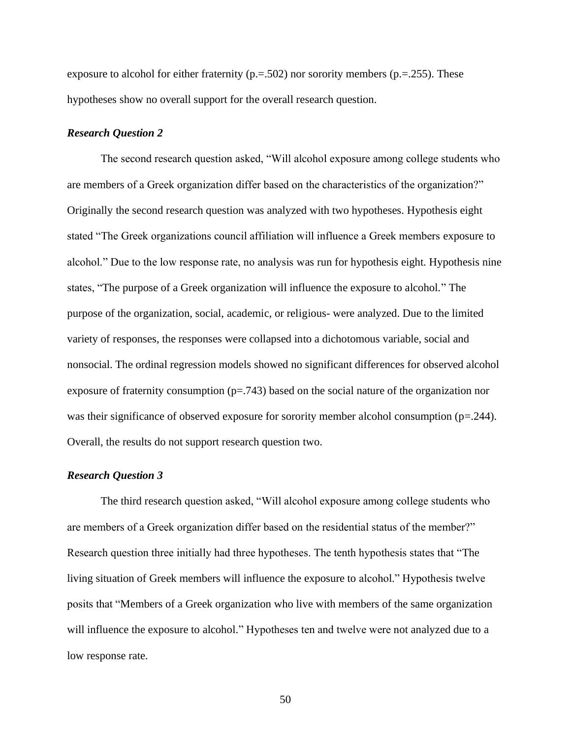exposure to alcohol for either fraternity ( $p = 0.502$ ) nor sorority members ( $p = 0.255$ ). These hypotheses show no overall support for the overall research question.

### *Research Question 2*

The second research question asked, "Will alcohol exposure among college students who are members of a Greek organization differ based on the characteristics of the organization?" Originally the second research question was analyzed with two hypotheses. Hypothesis eight stated "The Greek organizations council affiliation will influence a Greek members exposure to alcohol." Due to the low response rate, no analysis was run for hypothesis eight. Hypothesis nine states, "The purpose of a Greek organization will influence the exposure to alcohol." The purpose of the organization, social, academic, or religious- were analyzed. Due to the limited variety of responses, the responses were collapsed into a dichotomous variable, social and nonsocial. The ordinal regression models showed no significant differences for observed alcohol exposure of fraternity consumption ( $p=743$ ) based on the social nature of the organization nor was their significance of observed exposure for sorority member alcohol consumption (p=.244). Overall, the results do not support research question two.

#### *Research Question 3*

The third research question asked, "Will alcohol exposure among college students who are members of a Greek organization differ based on the residential status of the member?" Research question three initially had three hypotheses. The tenth hypothesis states that "The living situation of Greek members will influence the exposure to alcohol." Hypothesis twelve posits that "Members of a Greek organization who live with members of the same organization will influence the exposure to alcohol." Hypotheses ten and twelve were not analyzed due to a low response rate.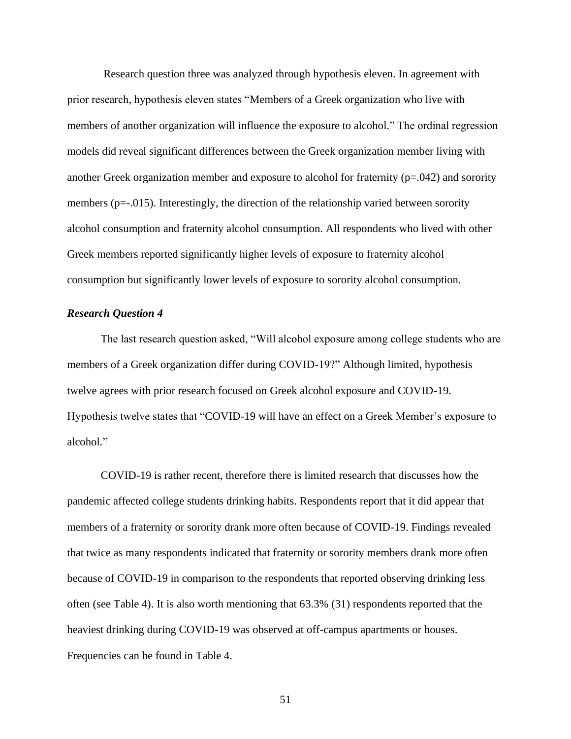Research question three was analyzed through hypothesis eleven. In agreement with prior research, hypothesis eleven states "Members of a Greek organization who live with members of another organization will influence the exposure to alcohol." The ordinal regression models did reveal significant differences between the Greek organization member living with another Greek organization member and exposure to alcohol for fraternity  $(p=0.042)$  and sorority members (p=-.015). Interestingly, the direction of the relationship varied between sorority alcohol consumption and fraternity alcohol consumption. All respondents who lived with other Greek members reported significantly higher levels of exposure to fraternity alcohol consumption but significantly lower levels of exposure to sorority alcohol consumption.

### *Research Question 4*

The last research question asked, "Will alcohol exposure among college students who are members of a Greek organization differ during COVID-19?" Although limited, hypothesis twelve agrees with prior research focused on Greek alcohol exposure and COVID-19. Hypothesis twelve states that "COVID-19 will have an effect on a Greek Member's exposure to alcohol."

COVID-19 is rather recent, therefore there is limited research that discusses how the pandemic affected college students drinking habits. Respondents report that it did appear that members of a fraternity or sorority drank more often because of COVID-19. Findings revealed that twice as many respondents indicated that fraternity or sorority members drank more often because of COVID-19 in comparison to the respondents that reported observing drinking less often (see Table 4). It is also worth mentioning that 63.3% (31) respondents reported that the heaviest drinking during COVID-19 was observed at off-campus apartments or houses. Frequencies can be found in Table 4.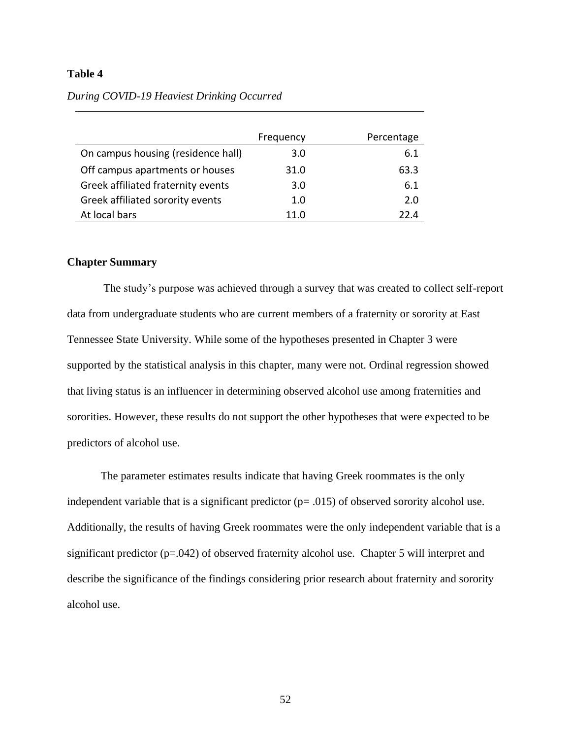## **Table 4**

|                                    | Frequency | Percentage |
|------------------------------------|-----------|------------|
| On campus housing (residence hall) | 3.0       | 6.1        |
| Off campus apartments or houses    | 31.0      | 63.3       |
| Greek affiliated fraternity events | 3.0       | 6.1        |
| Greek affiliated sorority events   | 1.0       | 2.0        |
| At local bars                      | 11 በ      | 77 A       |

*During COVID-19 Heaviest Drinking Occurred*

## **Chapter Summary**

The study's purpose was achieved through a survey that was created to collect self-report data from undergraduate students who are current members of a fraternity or sorority at East Tennessee State University. While some of the hypotheses presented in Chapter 3 were supported by the statistical analysis in this chapter, many were not. Ordinal regression showed that living status is an influencer in determining observed alcohol use among fraternities and sororities. However, these results do not support the other hypotheses that were expected to be predictors of alcohol use.

The parameter estimates results indicate that having Greek roommates is the only independent variable that is a significant predictor  $(p= .015)$  of observed sorority alcohol use. Additionally, the results of having Greek roommates were the only independent variable that is a significant predictor (p=.042) of observed fraternity alcohol use. Chapter 5 will interpret and describe the significance of the findings considering prior research about fraternity and sorority alcohol use.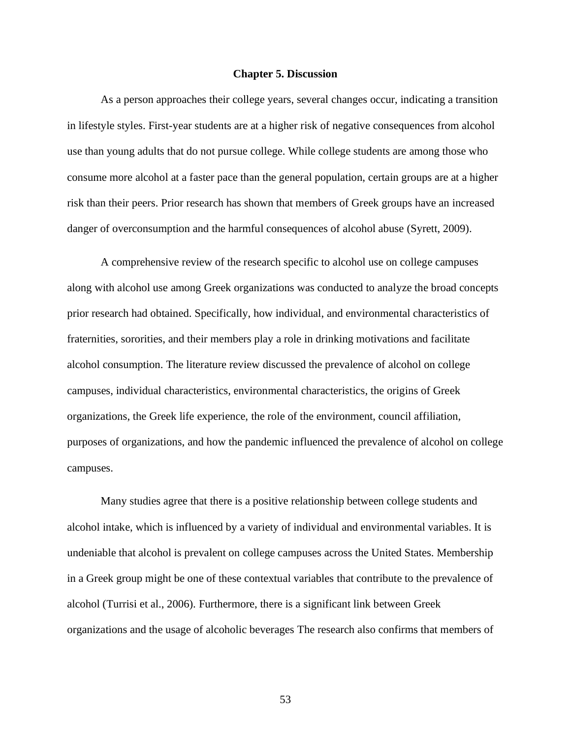#### **Chapter 5. Discussion**

As a person approaches their college years, several changes occur, indicating a transition in lifestyle styles. First-year students are at a higher risk of negative consequences from alcohol use than young adults that do not pursue college. While college students are among those who consume more alcohol at a faster pace than the general population, certain groups are at a higher risk than their peers. Prior research has shown that members of Greek groups have an increased danger of overconsumption and the harmful consequences of alcohol abuse (Syrett, 2009).

A comprehensive review of the research specific to alcohol use on college campuses along with alcohol use among Greek organizations was conducted to analyze the broad concepts prior research had obtained. Specifically, how individual, and environmental characteristics of fraternities, sororities, and their members play a role in drinking motivations and facilitate alcohol consumption. The literature review discussed the prevalence of alcohol on college campuses, individual characteristics, environmental characteristics, the origins of Greek organizations, the Greek life experience, the role of the environment, council affiliation, purposes of organizations, and how the pandemic influenced the prevalence of alcohol on college campuses.

Many studies agree that there is a positive relationship between college students and alcohol intake, which is influenced by a variety of individual and environmental variables. It is undeniable that alcohol is prevalent on college campuses across the United States. Membership in a Greek group might be one of these contextual variables that contribute to the prevalence of alcohol (Turrisi et al., 2006). Furthermore, there is a significant link between Greek organizations and the usage of alcoholic beverages The research also confirms that members of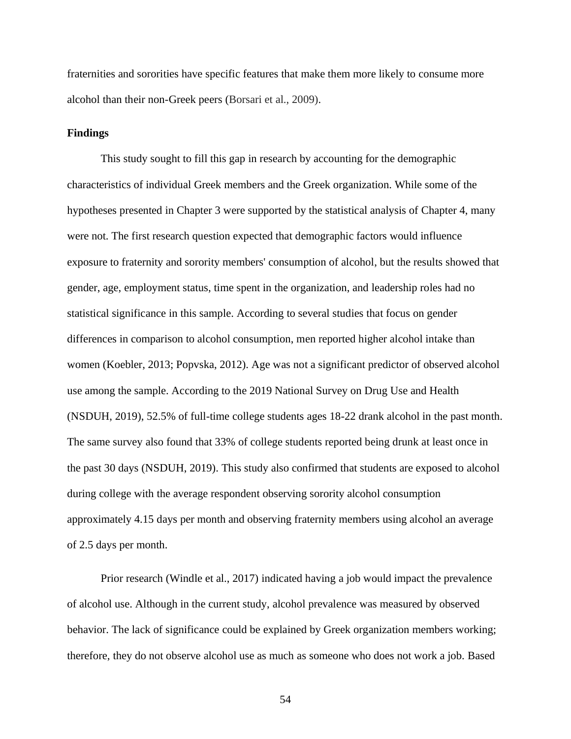fraternities and sororities have specific features that make them more likely to consume more alcohol than their non-Greek peers (Borsari et al., 2009).

### **Findings**

This study sought to fill this gap in research by accounting for the demographic characteristics of individual Greek members and the Greek organization. While some of the hypotheses presented in Chapter 3 were supported by the statistical analysis of Chapter 4, many were not. The first research question expected that demographic factors would influence exposure to fraternity and sorority members' consumption of alcohol, but the results showed that gender, age, employment status, time spent in the organization, and leadership roles had no statistical significance in this sample. According to several studies that focus on gender differences in comparison to alcohol consumption, men reported higher alcohol intake than women (Koebler, 2013; Popvska, 2012). Age was not a significant predictor of observed alcohol use among the sample. According to the 2019 National Survey on Drug Use and Health (NSDUH, 2019), 52.5% of full-time college students ages 18-22 drank alcohol in the past month. The same survey also found that 33% of college students reported being drunk at least once in the past 30 days (NSDUH, 2019). This study also confirmed that students are exposed to alcohol during college with the average respondent observing sorority alcohol consumption approximately 4.15 days per month and observing fraternity members using alcohol an average of 2.5 days per month.

Prior research (Windle et al., 2017) indicated having a job would impact the prevalence of alcohol use. Although in the current study, alcohol prevalence was measured by observed behavior. The lack of significance could be explained by Greek organization members working; therefore, they do not observe alcohol use as much as someone who does not work a job. Based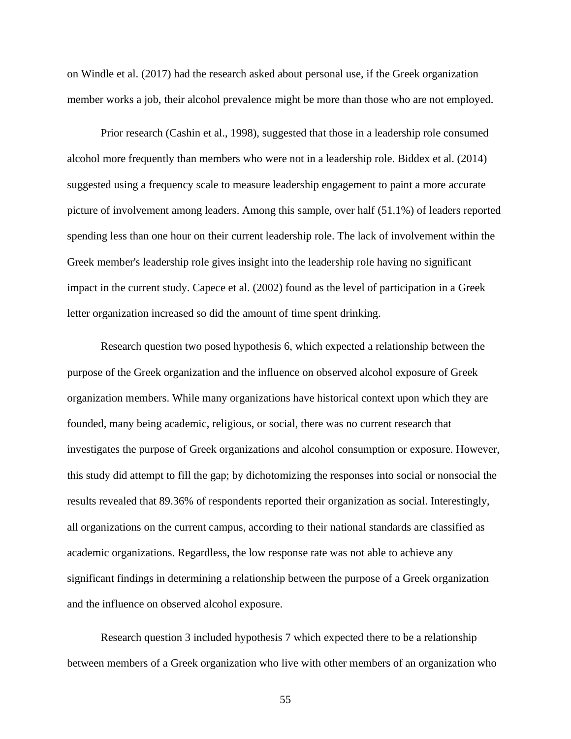on Windle et al. (2017) had the research asked about personal use, if the Greek organization member works a job, their alcohol prevalence might be more than those who are not employed.

Prior research (Cashin et al., 1998), suggested that those in a leadership role consumed alcohol more frequently than members who were not in a leadership role. Biddex et al. (2014) suggested using a frequency scale to measure leadership engagement to paint a more accurate picture of involvement among leaders. Among this sample, over half (51.1%) of leaders reported spending less than one hour on their current leadership role. The lack of involvement within the Greek member's leadership role gives insight into the leadership role having no significant impact in the current study. Capece et al. (2002) found as the level of participation in a Greek letter organization increased so did the amount of time spent drinking.

Research question two posed hypothesis 6, which expected a relationship between the purpose of the Greek organization and the influence on observed alcohol exposure of Greek organization members. While many organizations have historical context upon which they are founded, many being academic, religious, or social, there was no current research that investigates the purpose of Greek organizations and alcohol consumption or exposure. However, this study did attempt to fill the gap; by dichotomizing the responses into social or nonsocial the results revealed that 89.36% of respondents reported their organization as social. Interestingly, all organizations on the current campus, according to their national standards are classified as academic organizations. Regardless, the low response rate was not able to achieve any significant findings in determining a relationship between the purpose of a Greek organization and the influence on observed alcohol exposure.

Research question 3 included hypothesis 7 which expected there to be a relationship between members of a Greek organization who live with other members of an organization who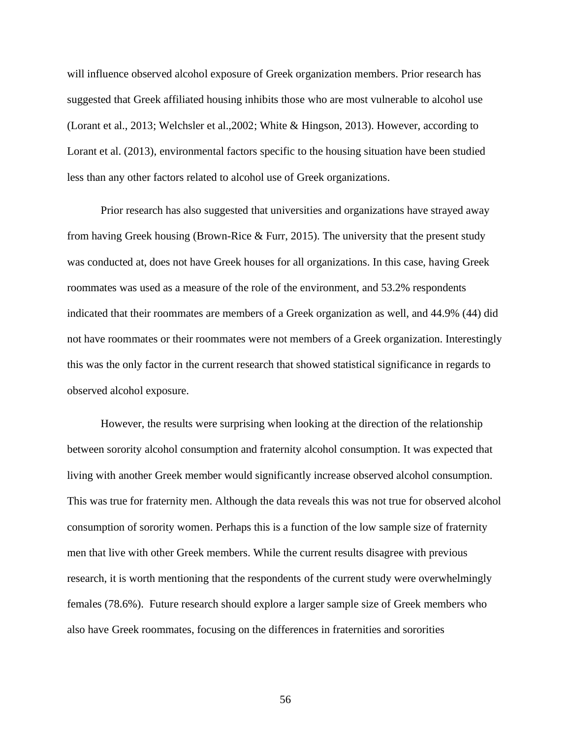will influence observed alcohol exposure of Greek organization members. Prior research has suggested that Greek affiliated housing inhibits those who are most vulnerable to alcohol use (Lorant et al., 2013; Welchsler et al.,2002; White & Hingson, 2013). However, according to Lorant et al. (2013), environmental factors specific to the housing situation have been studied less than any other factors related to alcohol use of Greek organizations.

Prior research has also suggested that universities and organizations have strayed away from having Greek housing (Brown-Rice & Furr, 2015). The university that the present study was conducted at, does not have Greek houses for all organizations. In this case, having Greek roommates was used as a measure of the role of the environment, and 53.2% respondents indicated that their roommates are members of a Greek organization as well, and 44.9% (44) did not have roommates or their roommates were not members of a Greek organization. Interestingly this was the only factor in the current research that showed statistical significance in regards to observed alcohol exposure.

However, the results were surprising when looking at the direction of the relationship between sorority alcohol consumption and fraternity alcohol consumption. It was expected that living with another Greek member would significantly increase observed alcohol consumption. This was true for fraternity men. Although the data reveals this was not true for observed alcohol consumption of sorority women. Perhaps this is a function of the low sample size of fraternity men that live with other Greek members. While the current results disagree with previous research, it is worth mentioning that the respondents of the current study were overwhelmingly females (78.6%). Future research should explore a larger sample size of Greek members who also have Greek roommates, focusing on the differences in fraternities and sororities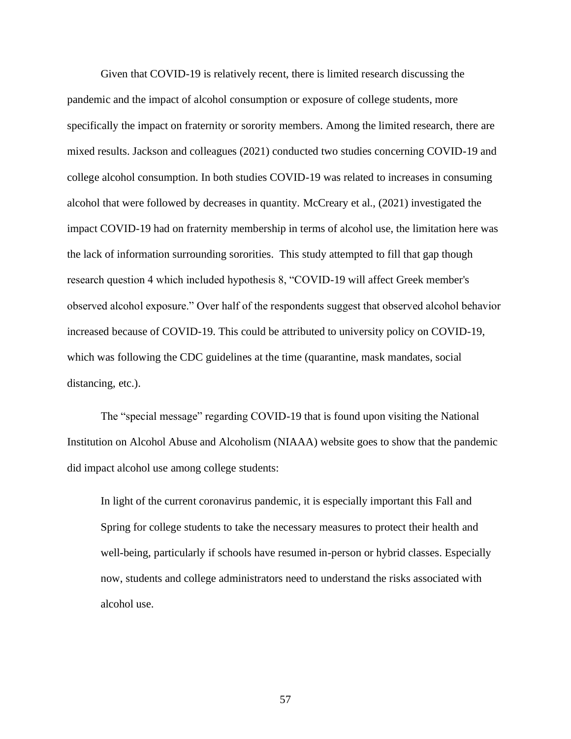Given that COVID-19 is relatively recent, there is limited research discussing the pandemic and the impact of alcohol consumption or exposure of college students, more specifically the impact on fraternity or sorority members. Among the limited research, there are mixed results. Jackson and colleagues (2021) conducted two studies concerning COVID-19 and college alcohol consumption. In both studies COVID-19 was related to increases in consuming alcohol that were followed by decreases in quantity. McCreary et al., (2021) investigated the impact COVID-19 had on fraternity membership in terms of alcohol use, the limitation here was the lack of information surrounding sororities. This study attempted to fill that gap though research question 4 which included hypothesis 8, "COVID-19 will affect Greek member's observed alcohol exposure." Over half of the respondents suggest that observed alcohol behavior increased because of COVID-19. This could be attributed to university policy on COVID-19, which was following the CDC guidelines at the time (quarantine, mask mandates, social distancing, etc.).

The "special message" regarding COVID-19 that is found upon visiting the National Institution on Alcohol Abuse and Alcoholism (NIAAA) website goes to show that the pandemic did impact alcohol use among college students:

In light of the current coronavirus pandemic, it is especially important this Fall and Spring for college students to take the necessary measures to protect their health and well-being, particularly if schools have resumed in-person or hybrid classes. Especially now, students and college administrators need to understand the risks associated with alcohol use.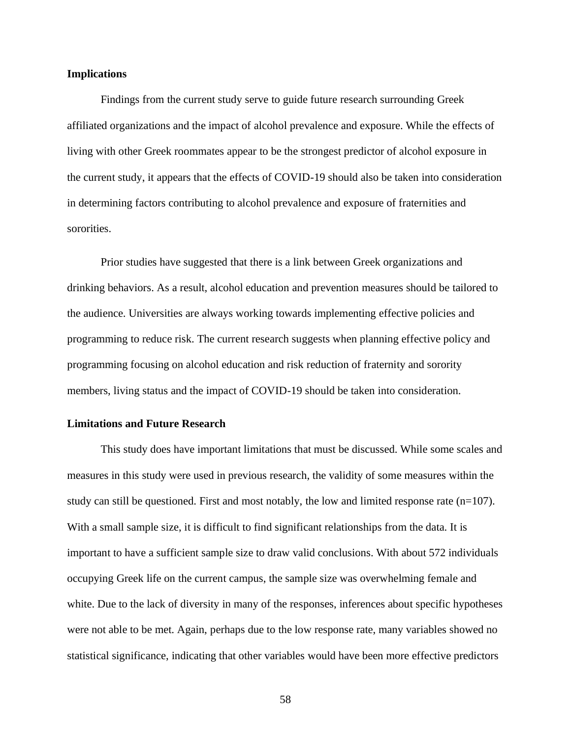## **Implications**

Findings from the current study serve to guide future research surrounding Greek affiliated organizations and the impact of alcohol prevalence and exposure. While the effects of living with other Greek roommates appear to be the strongest predictor of alcohol exposure in the current study, it appears that the effects of COVID-19 should also be taken into consideration in determining factors contributing to alcohol prevalence and exposure of fraternities and sororities.

Prior studies have suggested that there is a link between Greek organizations and drinking behaviors. As a result, alcohol education and prevention measures should be tailored to the audience. Universities are always working towards implementing effective policies and programming to reduce risk. The current research suggests when planning effective policy and programming focusing on alcohol education and risk reduction of fraternity and sorority members, living status and the impact of COVID-19 should be taken into consideration.

### **Limitations and Future Research**

This study does have important limitations that must be discussed. While some scales and measures in this study were used in previous research, the validity of some measures within the study can still be questioned. First and most notably, the low and limited response rate  $(n=107)$ . With a small sample size, it is difficult to find significant relationships from the data. It is important to have a sufficient sample size to draw valid conclusions. With about 572 individuals occupying Greek life on the current campus, the sample size was overwhelming female and white. Due to the lack of diversity in many of the responses, inferences about specific hypotheses were not able to be met. Again, perhaps due to the low response rate, many variables showed no statistical significance, indicating that other variables would have been more effective predictors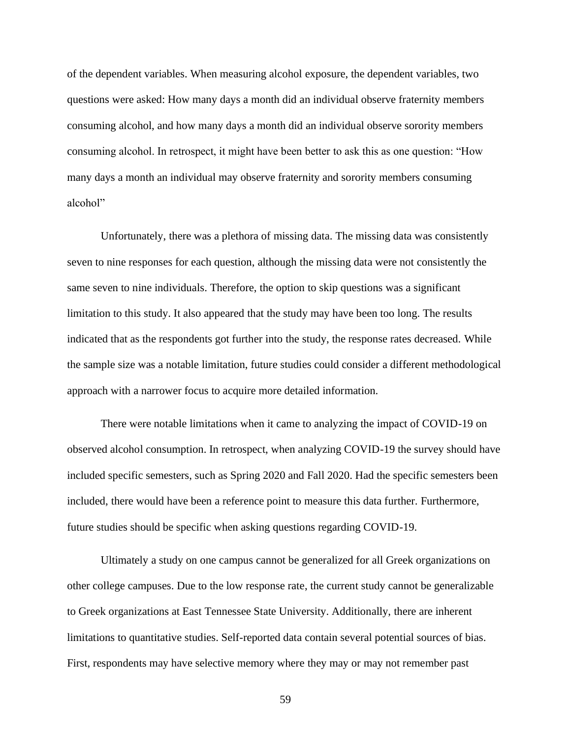of the dependent variables. When measuring alcohol exposure, the dependent variables, two questions were asked: How many days a month did an individual observe fraternity members consuming alcohol, and how many days a month did an individual observe sorority members consuming alcohol. In retrospect, it might have been better to ask this as one question: "How many days a month an individual may observe fraternity and sorority members consuming alcohol"

Unfortunately, there was a plethora of missing data. The missing data was consistently seven to nine responses for each question, although the missing data were not consistently the same seven to nine individuals. Therefore, the option to skip questions was a significant limitation to this study. It also appeared that the study may have been too long. The results indicated that as the respondents got further into the study, the response rates decreased. While the sample size was a notable limitation, future studies could consider a different methodological approach with a narrower focus to acquire more detailed information.

There were notable limitations when it came to analyzing the impact of COVID-19 on observed alcohol consumption. In retrospect, when analyzing COVID-19 the survey should have included specific semesters, such as Spring 2020 and Fall 2020. Had the specific semesters been included, there would have been a reference point to measure this data further. Furthermore, future studies should be specific when asking questions regarding COVID-19.

Ultimately a study on one campus cannot be generalized for all Greek organizations on other college campuses. Due to the low response rate, the current study cannot be generalizable to Greek organizations at East Tennessee State University. Additionally, there are inherent limitations to quantitative studies. Self-reported data contain several potential sources of bias. First, respondents may have selective memory where they may or may not remember past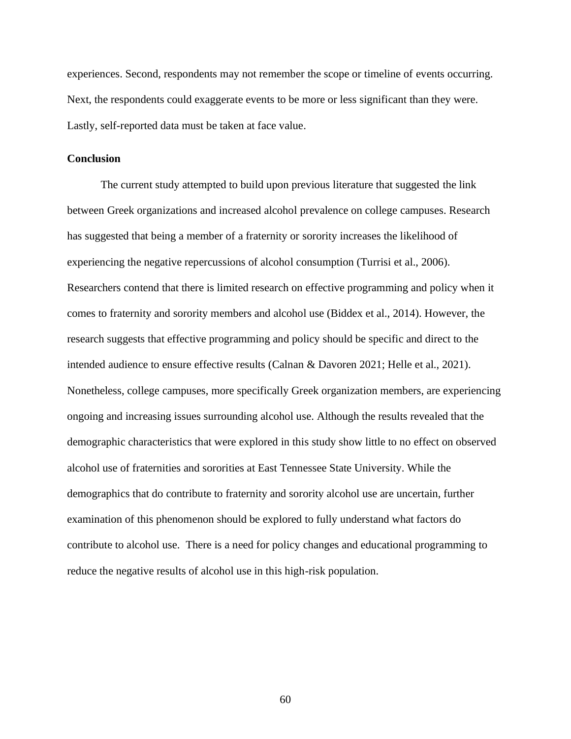experiences. Second, respondents may not remember the scope or timeline of events occurring. Next, the respondents could exaggerate events to be more or less significant than they were. Lastly, self-reported data must be taken at face value.

#### **Conclusion**

The current study attempted to build upon previous literature that suggested the link between Greek organizations and increased alcohol prevalence on college campuses. Research has suggested that being a member of a fraternity or sorority increases the likelihood of experiencing the negative repercussions of alcohol consumption (Turrisi et al., 2006). Researchers contend that there is limited research on effective programming and policy when it comes to fraternity and sorority members and alcohol use (Biddex et al., 2014). However, the research suggests that effective programming and policy should be specific and direct to the intended audience to ensure effective results (Calnan & Davoren 2021; Helle et al., 2021). Nonetheless, college campuses, more specifically Greek organization members, are experiencing ongoing and increasing issues surrounding alcohol use. Although the results revealed that the demographic characteristics that were explored in this study show little to no effect on observed alcohol use of fraternities and sororities at East Tennessee State University. While the demographics that do contribute to fraternity and sorority alcohol use are uncertain, further examination of this phenomenon should be explored to fully understand what factors do contribute to alcohol use. There is a need for policy changes and educational programming to reduce the negative results of alcohol use in this high-risk population.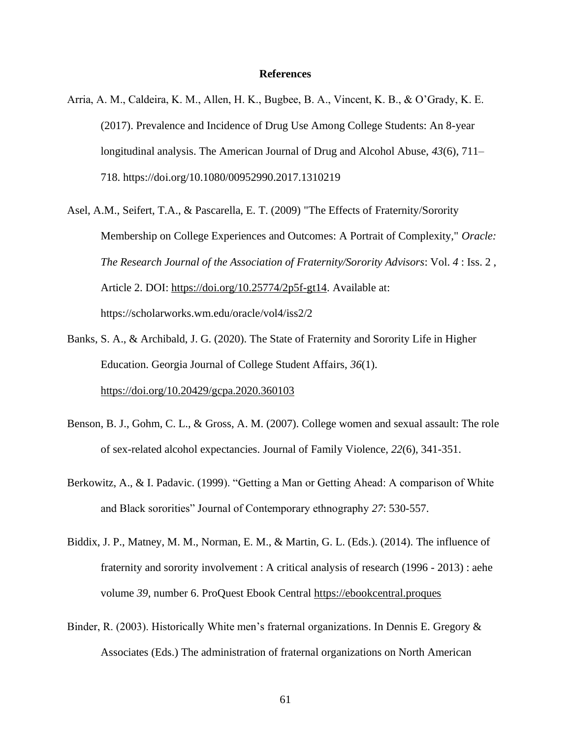#### **References**

- Arria, A. M., Caldeira, K. M., Allen, H. K., Bugbee, B. A., Vincent, K. B., & O'Grady, K. E. (2017). Prevalence and Incidence of Drug Use Among College Students: An 8-year longitudinal analysis. The American Journal of Drug and Alcohol Abuse, *43*(6), 711– 718. https://doi.org/10.1080/00952990.2017.1310219
- Asel, A.M., Seifert, T.A., & Pascarella, E. T. (2009) "The Effects of Fraternity/Sorority Membership on College Experiences and Outcomes: A Portrait of Complexity," *Oracle: The Research Journal of the Association of Fraternity/Sorority Advisors*: Vol. *4* : Iss. 2 , Article 2. DOI: [https://doi.org/10.25774/2p5f-gt14.](https://doi.org/10.25774/2p5f-gt14) Available at: https://scholarworks.wm.edu/oracle/vol4/iss2/2
- Banks, S. A., & Archibald, J. G. (2020). The State of Fraternity and Sorority Life in Higher Education. Georgia Journal of College Student Affairs, *36*(1). <https://doi.org/10.20429/gcpa.2020.360103>
- Benson, B. J., Gohm, C. L., & Gross, A. M. (2007). College women and sexual assault: The role of sex-related alcohol expectancies. Journal of Family Violence, *22*(6), 341-351.
- Berkowitz, A., & I. Padavic. (1999). "Getting a Man or Getting Ahead: A comparison of White and Black sororities" Journal of Contemporary ethnography *27*: 530-557.
- Biddix, J. P., Matney, M. M., Norman, E. M., & Martin, G. L. (Eds.). (2014). The influence of fraternity and sorority involvement : A critical analysis of research (1996 - 2013) : aehe volume *39*, number 6. ProQuest Ebook Central [https://ebookcentral.proques](https://ebookcentral.proquest.com/)
- Binder, R. (2003). Historically White men's fraternal organizations. In Dennis E. Gregory & Associates (Eds.) The administration of fraternal organizations on North American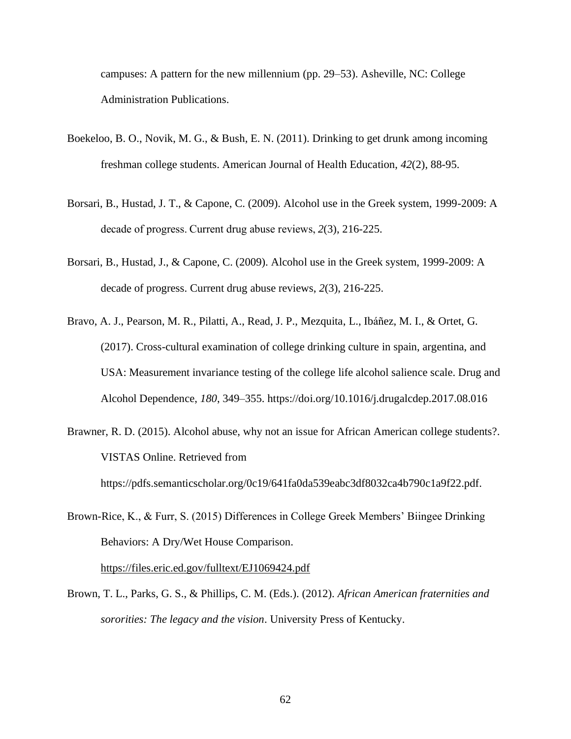campuses: A pattern for the new millennium (pp. 29–53). Asheville, NC: College Administration Publications.

- Boekeloo, B. O., Novik, M. G., & Bush, E. N. (2011). Drinking to get drunk among incoming freshman college students. American Journal of Health Education, *42*(2), 88-95.
- Borsari, B., Hustad, J. T., & Capone, C. (2009). Alcohol use in the Greek system, 1999-2009: A decade of progress. Current drug abuse reviews, *2*(3), 216-225.
- Borsari, B., Hustad, J., & Capone, C. (2009). Alcohol use in the Greek system, 1999-2009: A decade of progress. Current drug abuse reviews, *2*(3), 216-225.
- Bravo, A. J., Pearson, M. R., Pilatti, A., Read, J. P., Mezquita, L., Ibáñez, M. I., & Ortet, G. (2017). Cross-cultural examination of college drinking culture in spain, argentina, and USA: Measurement invariance testing of the college life alcohol salience scale. Drug and Alcohol Dependence, *180*, 349–355. https://doi.org/10.1016/j.drugalcdep.2017.08.016
- Brawner, R. D. (2015). Alcohol abuse, why not an issue for African American college students?. VISTAS Online. Retrieved from https://pdfs.semanticscholar.org/0c19/641fa0da539eabc3df8032ca4b790c1a9f22.pdf.
- Brown-Rice, K., & Furr, S. (2015) Differences in College Greek Members' Biingee Drinking Behaviors: A Dry/Wet House Comparison.

<https://files.eric.ed.gov/fulltext/EJ1069424.pdf>

Brown, T. L., Parks, G. S., & Phillips, C. M. (Eds.). (2012). *African American fraternities and sororities: The legacy and the vision*. University Press of Kentucky.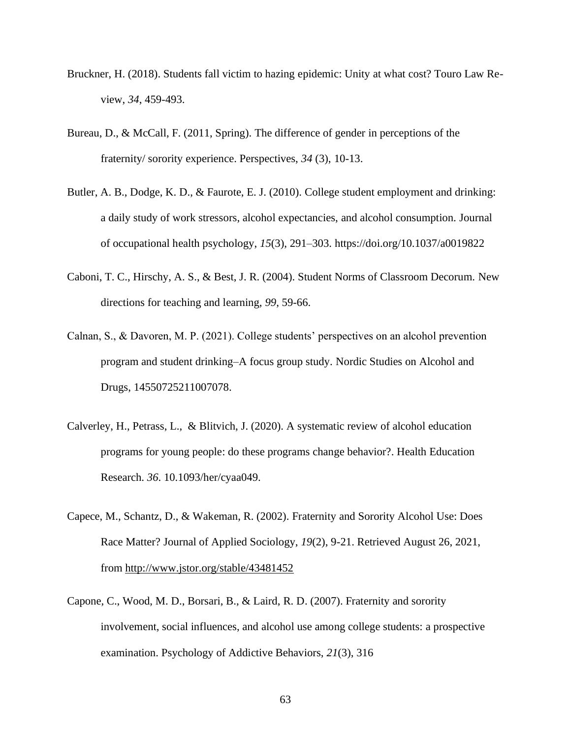- Bruckner, H. (2018). Students fall victim to hazing epidemic: Unity at what cost? Touro Law Review, *34*, 459-493.
- Bureau, D., & McCall, F. (2011, Spring). The difference of gender in perceptions of the fraternity/ sorority experience. Perspectives, *34* (3), 10-13.
- Butler, A. B., Dodge, K. D., & Faurote, E. J. (2010). College student employment and drinking: a daily study of work stressors, alcohol expectancies, and alcohol consumption. Journal of occupational health psychology, *15*(3), 291–303. https://doi.org/10.1037/a0019822
- Caboni, T. C., Hirschy, A. S., & Best, J. R. (2004). Student Norms of Classroom Decorum. New directions for teaching and learning, *99*, 59-66.
- Calnan, S., & Davoren, M. P. (2021). College students' perspectives on an alcohol prevention program and student drinking–A focus group study. Nordic Studies on Alcohol and Drugs, 14550725211007078.
- Calverley, H., Petrass, L., & Blitvich, J. (2020). A systematic review of alcohol education programs for young people: do these programs change behavior?. Health Education Research. *36*. 10.1093/her/cyaa049.
- Capece, M., Schantz, D., & Wakeman, R. (2002). Fraternity and Sorority Alcohol Use: Does Race Matter? Journal of Applied Sociology, *19*(2), 9-21. Retrieved August 26, 2021, from<http://www.jstor.org/stable/43481452>
- Capone, C., Wood, M. D., Borsari, B., & Laird, R. D. (2007). Fraternity and sorority involvement, social influences, and alcohol use among college students: a prospective examination. Psychology of Addictive Behaviors, *21*(3), 316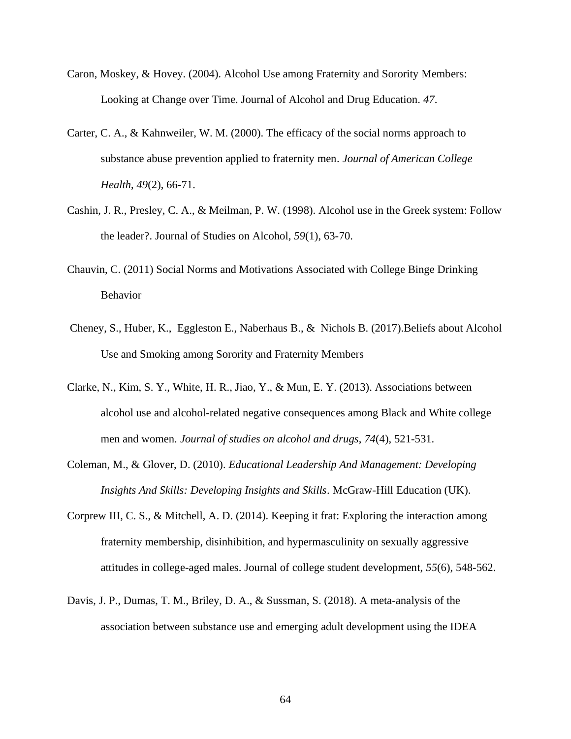- Caron, Moskey, & Hovey. (2004). Alcohol Use among Fraternity and Sorority Members: Looking at Change over Time. Journal of Alcohol and Drug Education. *47*.
- Carter, C. A., & Kahnweiler, W. M. (2000). The efficacy of the social norms approach to substance abuse prevention applied to fraternity men. *Journal of American College Health*, *49*(2), 66-71.
- Cashin, J. R., Presley, C. A., & Meilman, P. W. (1998). Alcohol use in the Greek system: Follow the leader?. Journal of Studies on Alcohol, *59*(1), 63-70.
- Chauvin, C. (2011) Social Norms and Motivations Associated with College Binge Drinking Behavior
- [Cheney,](https://go.gale.com/ps/advancedSearch.do?method=doSearch&searchType=AdvancedSearchForm&userGroupName=tel_a_etsul&inputFieldNames%5b0%5d=AU&prodId=AONE&inputFieldValues%5b0%5d=%22Marshall+K.+Cheney%22) S., [Huber,](https://go.gale.com/ps/advancedSearch.do?method=doSearch&searchType=AdvancedSearchForm&userGroupName=tel_a_etsul&inputFieldNames%5b0%5d=AU&prodId=AONE&inputFieldValues%5b0%5d=%22J.+Kathleen+Huber%22) K., [Eggleston](https://go.gale.com/ps/advancedSearch.do?method=doSearch&searchType=AdvancedSearchForm&userGroupName=tel_a_etsul&inputFieldNames%5b0%5d=AU&prodId=AONE&inputFieldValues%5b0%5d=%22Landon+Eggleston%22) E., [Naberhaus](https://go.gale.com/ps/advancedSearch.do?method=doSearch&searchType=AdvancedSearchForm&userGroupName=tel_a_etsul&inputFieldNames%5b0%5d=AU&prodId=AONE&inputFieldValues%5b0%5d=%22Bryce+Naberhaus%22) B., & [Nichols](https://go.gale.com/ps/advancedSearch.do?method=doSearch&searchType=AdvancedSearchForm&userGroupName=tel_a_etsul&inputFieldNames%5b0%5d=AU&prodId=AONE&inputFieldValues%5b0%5d=%22Brooklyn+Nichols%22) B. (2017).Beliefs about Alcohol Use and Smoking among Sorority and Fraternity Members
- Clarke, N., Kim, S. Y., White, H. R., Jiao, Y., & Mun, E. Y. (2013). Associations between alcohol use and alcohol-related negative consequences among Black and White college men and women. *Journal of studies on alcohol and drugs*, *74*(4), 521-531.
- Coleman, M., & Glover, D. (2010). *Educational Leadership And Management: Developing Insights And Skills: Developing Insights and Skills*. McGraw-Hill Education (UK).
- Corprew III, C. S., & Mitchell, A. D. (2014). Keeping it frat: Exploring the interaction among fraternity membership, disinhibition, and hypermasculinity on sexually aggressive attitudes in college-aged males. Journal of college student development, *55*(6), 548-562.
- Davis, J. P., Dumas, T. M., Briley, D. A., & Sussman, S. (2018). A meta-analysis of the association between substance use and emerging adult development using the IDEA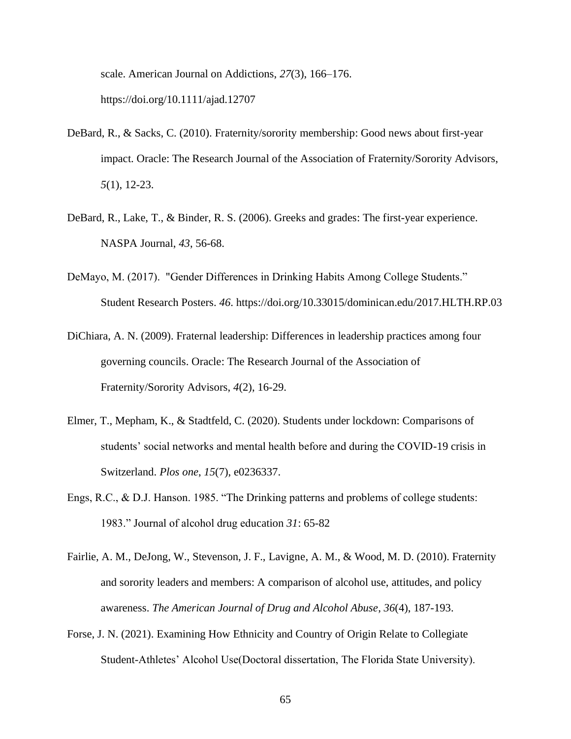scale. American Journal on Addictions, *27*(3), 166–176. https://doi.org/10.1111/ajad.12707

- DeBard, R., & Sacks, C. (2010). Fraternity/sorority membership: Good news about first-year impact. Oracle: The Research Journal of the Association of Fraternity/Sorority Advisors, *5*(1), 12-23.
- DeBard, R., Lake, T., & Binder, R. S. (2006). Greeks and grades: The first-year experience. NASPA Journal, *43*, 56-68.
- DeMayo, M. (2017). "Gender Differences in Drinking Habits Among College Students." Student Research Posters. *46*. https://doi.org/10.33015/dominican.edu/2017.HLTH.RP.03
- DiChiara, A. N. (2009). Fraternal leadership: Differences in leadership practices among four governing councils. Oracle: The Research Journal of the Association of Fraternity/Sorority Advisors, *4*(2), 16-29.
- Elmer, T., Mepham, K., & Stadtfeld, C. (2020). Students under lockdown: Comparisons of students' social networks and mental health before and during the COVID-19 crisis in Switzerland. *Plos one*, *15*(7), e0236337.
- Engs, R.C., & D.J. Hanson. 1985. "The Drinking patterns and problems of college students: 1983." Journal of alcohol drug education *31*: 65-82
- Fairlie, A. M., DeJong, W., Stevenson, J. F., Lavigne, A. M., & Wood, M. D. (2010). Fraternity and sorority leaders and members: A comparison of alcohol use, attitudes, and policy awareness. *The American Journal of Drug and Alcohol Abuse*, *36*(4), 187-193.
- Forse, J. N. (2021). Examining How Ethnicity and Country of Origin Relate to Collegiate Student-Athletes' Alcohol Use(Doctoral dissertation, The Florida State University).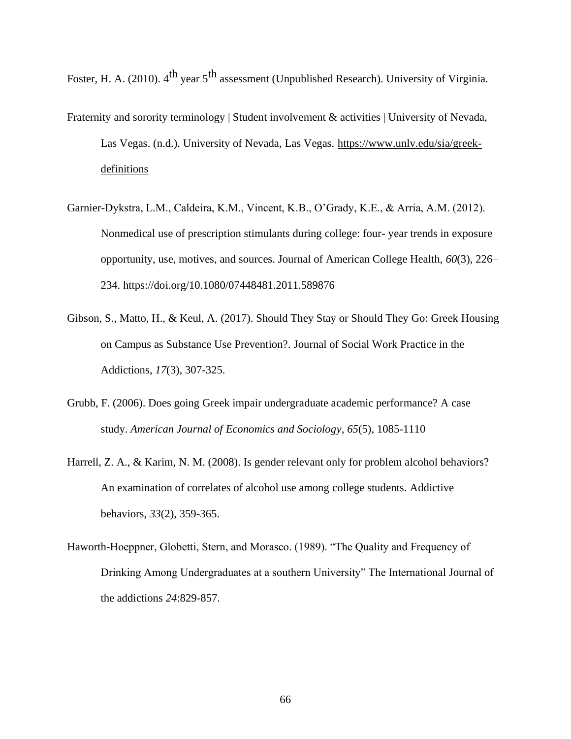Foster, H. A. (2010).  $4^{th}$  year  $5^{th}$  assessment (Unpublished Research). University of Virginia.

- Fraternity and sorority terminology | Student involvement & activities | University of Nevada, Las Vegas. (n.d.). University of Nevada, Las Vegas. [https://www.unlv.edu/sia/greek](https://www.unlv.edu/sia/greek-definitions)[definitions](https://www.unlv.edu/sia/greek-definitions)
- Garnier-Dykstra, L.M., Caldeira, K.M., Vincent, K.B., O'Grady, K.E., & Arria, A.M. (2012). Nonmedical use of prescription stimulants during college: four- year trends in exposure opportunity, use, motives, and sources. Journal of American College Health, *60*(3), 226– 234. https://doi.org/10.1080/07448481.2011.589876
- Gibson, S., Matto, H., & Keul, A. (2017). Should They Stay or Should They Go: Greek Housing on Campus as Substance Use Prevention?. Journal of Social Work Practice in the Addictions, *17*(3), 307-325.
- Grubb, F. (2006). Does going Greek impair undergraduate academic performance? A case study. *American Journal of Economics and Sociology*, *65*(5), 1085-1110
- Harrell, Z. A., & Karim, N. M. (2008). Is gender relevant only for problem alcohol behaviors? An examination of correlates of alcohol use among college students. Addictive behaviors, *33*(2), 359-365.
- Haworth-Hoeppner, Globetti, Stern, and Morasco. (1989). "The Quality and Frequency of Drinking Among Undergraduates at a southern University" The International Journal of the addictions *24*:829-857.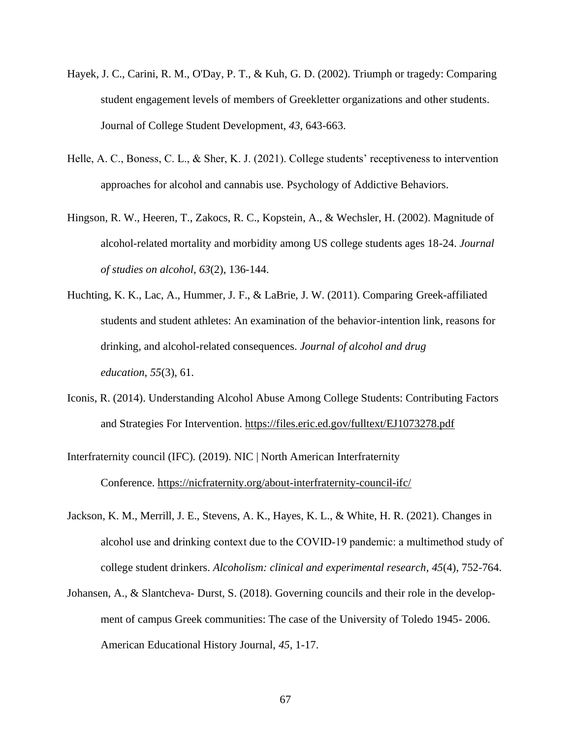- Hayek, J. C., Carini, R. M., O'Day, P. T., & Kuh, G. D. (2002). Triumph or tragedy: Comparing student engagement levels of members of Greekletter organizations and other students. Journal of College Student Development, *43*, 643-663.
- Helle, A. C., Boness, C. L., & Sher, K. J. (2021). College students' receptiveness to intervention approaches for alcohol and cannabis use. Psychology of Addictive Behaviors.
- Hingson, R. W., Heeren, T., Zakocs, R. C., Kopstein, A., & Wechsler, H. (2002). Magnitude of alcohol-related mortality and morbidity among US college students ages 18-24. *Journal of studies on alcohol*, *63*(2), 136-144.
- Huchting, K. K., Lac, A., Hummer, J. F., & LaBrie, J. W. (2011). Comparing Greek-affiliated students and student athletes: An examination of the behavior-intention link, reasons for drinking, and alcohol-related consequences. *Journal of alcohol and drug education*, *55*(3), 61.
- Iconis, R. (2014). Understanding Alcohol Abuse Among College Students: Contributing Factors and Strategies For Intervention.<https://files.eric.ed.gov/fulltext/EJ1073278.pdf>
- Interfraternity council (IFC)*.* (2019). NIC | North American Interfraternity Conference. <https://nicfraternity.org/about-interfraternity-council-ifc/>
- Jackson, K. M., Merrill, J. E., Stevens, A. K., Hayes, K. L., & White, H. R. (2021). Changes in alcohol use and drinking context due to the COVID‐19 pandemic: a multimethod study of college student drinkers. *Alcoholism: clinical and experimental research*, *45*(4), 752-764.
- Johansen, A., & Slantcheva- Durst, S. (2018). Governing councils and their role in the development of campus Greek communities: The case of the University of Toledo 1945- 2006. American Educational History Journal, *45*, 1-17.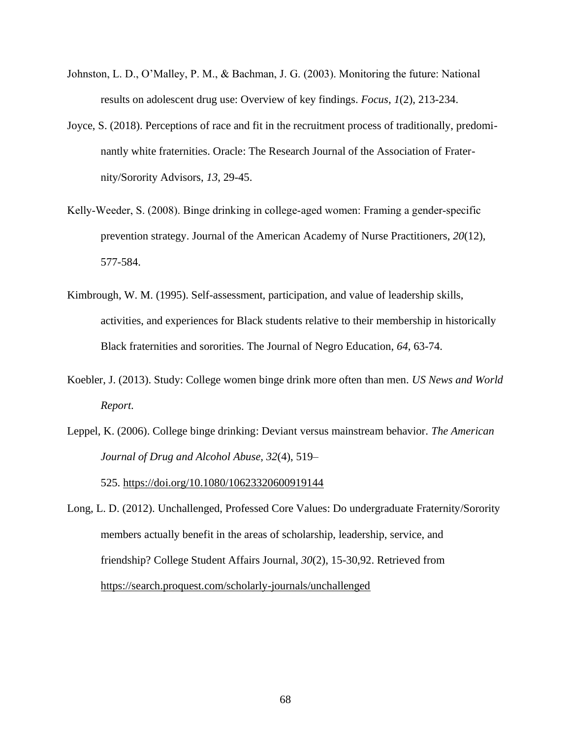- Johnston, L. D., O'Malley, P. M., & Bachman, J. G. (2003). Monitoring the future: National results on adolescent drug use: Overview of key findings. *Focus*, *1*(2), 213-234.
- Joyce, S. (2018). Perceptions of race and fit in the recruitment process of traditionally, predominantly white fraternities. Oracle: The Research Journal of the Association of Fraternity/Sorority Advisors, *13*, 29-45.
- Kelly-Weeder, S. (2008). Binge drinking in college-aged women: Framing a gender-specific prevention strategy. Journal of the American Academy of Nurse Practitioners, *20*(12), 577-584.
- Kimbrough, W. M. (1995). Self-assessment, participation, and value of leadership skills, activities, and experiences for Black students relative to their membership in historically Black fraternities and sororities. The Journal of Negro Education, *64*, 63-74.
- Koebler, J. (2013). Study: College women binge drink more often than men. *US News and World Report*.
- Leppel, K. (2006). College binge drinking: Deviant versus mainstream behavior. *The American Journal of Drug and Alcohol Abuse, 32*(4), 519–

525. [https://doi.org/10.1080/10623320600919144](https://psycnet.apa.org/doi/10.1080/10623320600919144)

Long, L. D. (2012). Unchallenged, Professed Core Values: Do undergraduate Fraternity/Sorority members actually benefit in the areas of scholarship, leadership, service, and friendship? College Student Affairs Journal, *30*(2), 15-30,92. Retrieved from <https://search.proquest.com/scholarly-journals/unchallenged>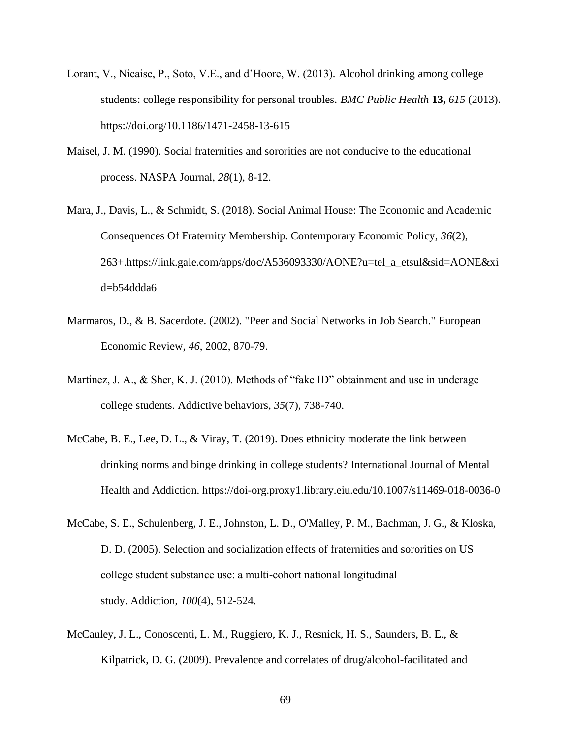- Lorant, V., Nicaise, P., Soto, V.E., and d'Hoore, W. (2013)*.* Alcohol drinking among college students: college responsibility for personal troubles. *BMC Public Health* **13,** *615* (2013). <https://doi.org/10.1186/1471-2458-13-615>
- Maisel, J. M. (1990). Social fraternities and sororities are not conducive to the educational process. NASPA Journal, *28*(1), 8-12.
- Mara, J., Davis, L., & Schmidt, S. (2018). Social Animal House: The Economic and Academic Consequences Of Fraternity Membership. Contemporary Economic Policy, *36*(2), 263+.https://link.gale.com/apps/doc/A536093330/AONE?u=tel\_a\_etsul&sid=AONE&xi d=b54ddda6
- Marmaros, D., & B. Sacerdote. (2002). "Peer and Social Networks in Job Search." European Economic Review, *46*, 2002, 870-79.
- Martinez, J. A., & Sher, K. J. (2010). Methods of "fake ID" obtainment and use in underage college students. Addictive behaviors, *35*(7), 738-740.
- McCabe, B. E., Lee, D. L., & Viray, T. (2019). Does ethnicity moderate the link between drinking norms and binge drinking in college students? International Journal of Mental Health and Addiction. https://doi-org.proxy1.library.eiu.edu/10.1007/s11469-018-0036-0
- McCabe, S. E., Schulenberg, J. E., Johnston, L. D., O'Malley, P. M., Bachman, J. G., & Kloska, D. D. (2005). Selection and socialization effects of fraternities and sororities on US college student substance use: a multi‐cohort national longitudinal study. Addiction, *100*(4), 512-524.
- McCauley, J. L., Conoscenti, L. M., Ruggiero, K. J., Resnick, H. S., Saunders, B. E., & Kilpatrick, D. G. (2009). Prevalence and correlates of drug/alcohol-facilitated and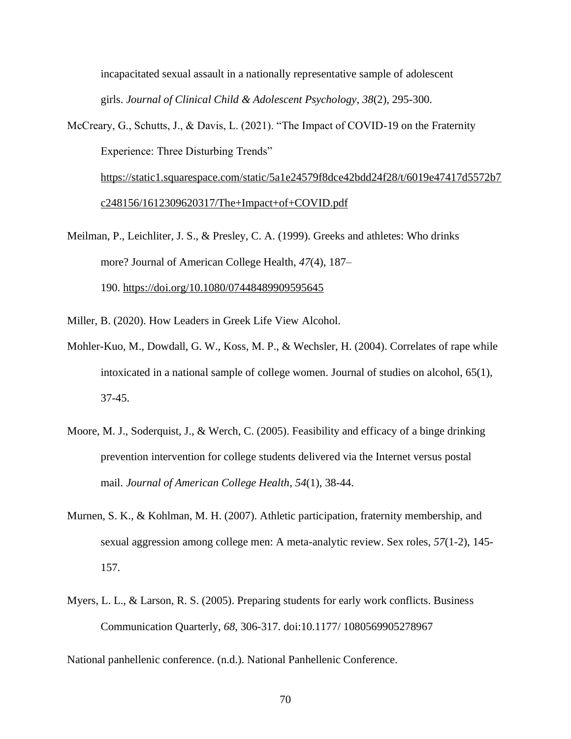incapacitated sexual assault in a nationally representative sample of adolescent girls. *Journal of Clinical Child & Adolescent Psychology*, *38*(2), 295-300.

McCreary, G., Schutts, J., & Davis, L. (2021). "The Impact of COVID-19 on the Fraternity Experience: Three Disturbing Trends" [https://static1.squarespace.com/static/5a1e24579f8dce42bdd24f28/t/6019e47417d5572b7](https://static1.squarespace.com/static/5a1e24579f8dce42bdd24f28/t/6019e47417d5572b7c248156/1612309620317/The+Impact+of+COVID.pdf)

[c248156/1612309620317/The+Impact+of+COVID.pdf](https://static1.squarespace.com/static/5a1e24579f8dce42bdd24f28/t/6019e47417d5572b7c248156/1612309620317/The+Impact+of+COVID.pdf) 

- Meilman, P., Leichliter, J. S., & Presley, C. A. (1999). Greeks and athletes: Who drinks more? Journal of American College Health, *47*(4), 187– 190. [https://doi.org/10.1080/07448489909595645](https://psycnet.apa.org/doi/10.1080/07448489909595645)
- Miller, B. (2020). How Leaders in Greek Life View Alcohol.
- Mohler-Kuo, M., Dowdall, G. W., Koss, M. P., & Wechsler, H. (2004). Correlates of rape while intoxicated in a national sample of college women. Journal of studies on alcohol, 65(1), 37-45.
- Moore, M. J., Soderquist, J., & Werch, C. (2005). Feasibility and efficacy of a binge drinking prevention intervention for college students delivered via the Internet versus postal mail. *Journal of American College Health*, *54*(1), 38-44.
- Murnen, S. K., & Kohlman, M. H. (2007). Athletic participation, fraternity membership, and sexual aggression among college men: A meta-analytic review. Sex roles, *57*(1-2), 145- 157.
- Myers, L. L., & Larson, R. S. (2005). Preparing students for early work conflicts. Business Communication Quarterly, *68*, 306-317. doi:10.1177/ 1080569905278967

National panhellenic conference. (n.d.). National Panhellenic Conference.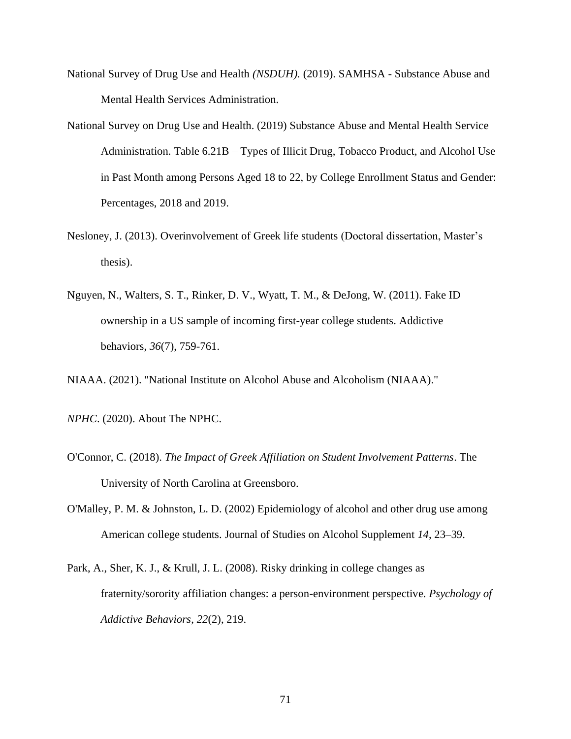- National Survey of Drug Use and Health *(NSDUH).* (2019). SAMHSA Substance Abuse and Mental Health Services Administration.
- National Survey on Drug Use and Health. (2019) Substance Abuse and Mental Health Service Administration. Table 6.21B – Types of Illicit Drug, Tobacco Product, and Alcohol Use in Past Month among Persons Aged 18 to 22, by College Enrollment Status and Gender: Percentages, 2018 and 2019.
- Nesloney, J. (2013). Overinvolvement of Greek life students (Doctoral dissertation, Master's thesis).
- Nguyen, N., Walters, S. T., Rinker, D. V., Wyatt, T. M., & DeJong, W. (2011). Fake ID ownership in a US sample of incoming first-year college students. Addictive behaviors, *36*(7), 759-761.

NIAAA. (2021). "National Institute on Alcohol Abuse and Alcoholism (NIAAA)."

- *NPHC*. (2020). About The NPHC.
- O'Connor, C. (2018). *The Impact of Greek Affiliation on Student Involvement Patterns*. The University of North Carolina at Greensboro.
- O'Malley, P. M. & Johnston, L. D. (2002) Epidemiology of alcohol and other drug use among American college students. Journal of Studies on Alcohol Supplement *14*, 23–39.
- Park, A., Sher, K. J., & Krull, J. L. (2008). Risky drinking in college changes as fraternity/sorority affiliation changes: a person-environment perspective. *Psychology of Addictive Behaviors*, *22*(2), 219.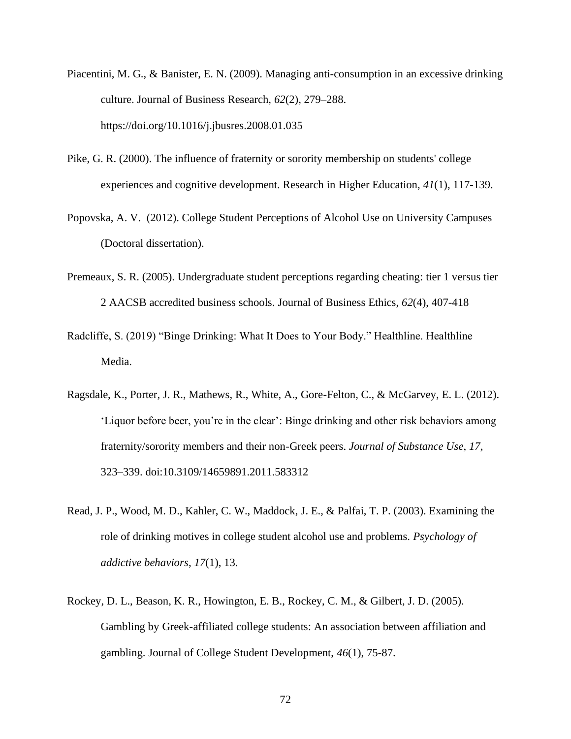- Piacentini, M. G., & Banister, E. N. (2009). Managing anti-consumption in an excessive drinking culture. Journal of Business Research, *62*(2), 279–288. https://doi.org/10.1016/j.jbusres.2008.01.035
- Pike, G. R. (2000). The influence of fraternity or sorority membership on students' college experiences and cognitive development. Research in Higher Education, *41*(1), 117-139.
- Popovska, A. V. (2012). College Student Perceptions of Alcohol Use on University Campuses (Doctoral dissertation).
- Premeaux, S. R. (2005). Undergraduate student perceptions regarding cheating: tier 1 versus tier 2 AACSB accredited business schools. Journal of Business Ethics, *62*(4), 407-418
- Radcliffe, S. (2019) "Binge Drinking: What It Does to Your Body." Healthline. Healthline Media.
- Ragsdale, K., Porter, J. R., Mathews, R., White, A., Gore-Felton, C., & McGarvey, E. L. (2012). 'Liquor before beer, you're in the clear': Binge drinking and other risk behaviors among fraternity/sorority members and their non-Greek peers. *Journal of Substance Use*, *17*, 323–339. doi:10.3109/14659891.2011.583312
- Read, J. P., Wood, M. D., Kahler, C. W., Maddock, J. E., & Palfai, T. P. (2003). Examining the role of drinking motives in college student alcohol use and problems. *Psychology of addictive behaviors*, *17*(1), 13.
- Rockey, D. L., Beason, K. R., Howington, E. B., Rockey, C. M., & Gilbert, J. D. (2005). Gambling by Greek-affiliated college students: An association between affiliation and gambling. Journal of College Student Development, *46*(1), 75-87.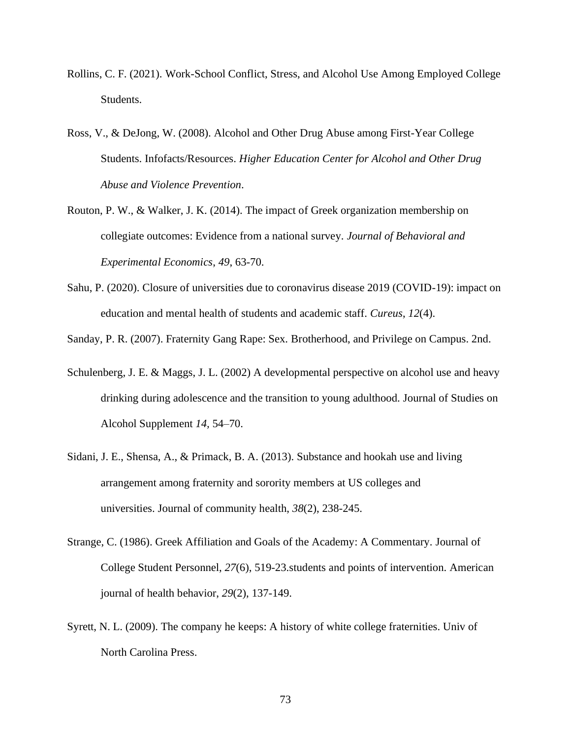- Rollins, C. F. (2021). Work-School Conflict, Stress, and Alcohol Use Among Employed College Students.
- Ross, V., & DeJong, W. (2008). Alcohol and Other Drug Abuse among First-Year College Students. Infofacts/Resources. *Higher Education Center for Alcohol and Other Drug Abuse and Violence Prevention*.
- Routon, P. W., & Walker, J. K. (2014). The impact of Greek organization membership on collegiate outcomes: Evidence from a national survey. *Journal of Behavioral and Experimental Economics*, *49*, 63-70.
- Sahu, P. (2020). Closure of universities due to coronavirus disease 2019 (COVID-19): impact on education and mental health of students and academic staff. *Cureus*, *12*(4).

Sanday, P. R. (2007). Fraternity Gang Rape: Sex. Brotherhood, and Privilege on Campus. 2nd.

- Schulenberg, J. E. & Maggs, J. L. (2002) A developmental perspective on alcohol use and heavy drinking during adolescence and the transition to young adulthood. Journal of Studies on Alcohol Supplement *14,* 54–70.
- Sidani, J. E., Shensa, A., & Primack, B. A. (2013). Substance and hookah use and living arrangement among fraternity and sorority members at US colleges and universities. Journal of community health, *38*(2), 238-245.
- Strange, C. (1986). Greek Affiliation and Goals of the Academy: A Commentary. Journal of College Student Personnel, *27*(6), 519-23.students and points of intervention. American journal of health behavior, *29*(2), 137-149.
- Syrett, N. L. (2009). The company he keeps: A history of white college fraternities. Univ of North Carolina Press.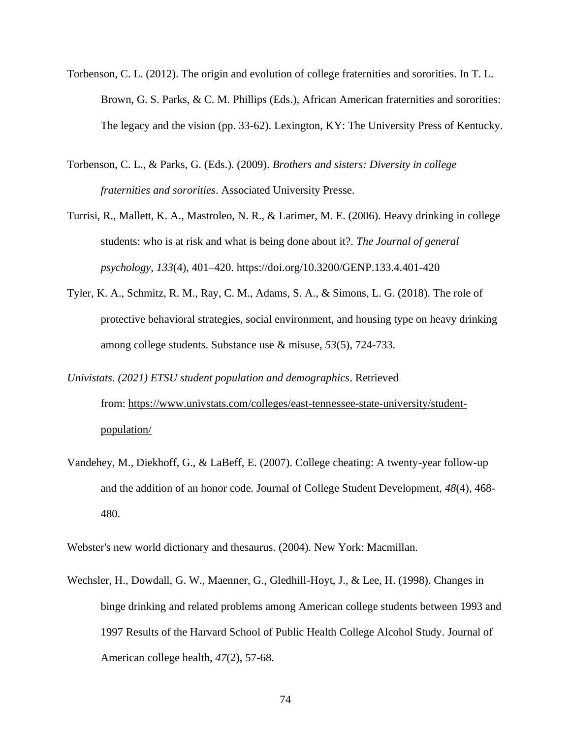- Torbenson, C. L. (2012). The origin and evolution of college fraternities and sororities. In T. L. Brown, G. S. Parks, & C. M. Phillips (Eds.), African American fraternities and sororities: The legacy and the vision (pp. 33-62). Lexington, KY: The University Press of Kentucky.
- Torbenson, C. L., & Parks, G. (Eds.). (2009). *Brothers and sisters: Diversity in college fraternities and sororities*. Associated University Presse.
- Turrisi, R., Mallett, K. A., Mastroleo, N. R., & Larimer, M. E. (2006). Heavy drinking in college students: who is at risk and what is being done about it?. *The Journal of general psychology*, *133*(4), 401–420. https://doi.org/10.3200/GENP.133.4.401-420
- Tyler, K. A., Schmitz, R. M., Ray, C. M., Adams, S. A., & Simons, L. G. (2018). The role of protective behavioral strategies, social environment, and housing type on heavy drinking among college students. Substance use & misuse, *53*(5), 724-733.
- *Univistats. (2021) ETSU student population and demographics*. Retrieved from: [https://www.univstats.com/colleges/east-tennessee-state-university/student](https://www.univstats.com/colleges/east-tennessee-state-university/student-population/)[population/](https://www.univstats.com/colleges/east-tennessee-state-university/student-population/)
- Vandehey, M., Diekhoff, G., & LaBeff, E. (2007). College cheating: A twenty-year follow-up and the addition of an honor code. Journal of College Student Development, *48*(4), 468- 480.

Webster's new world dictionary and thesaurus. (2004). New York: Macmillan.

Wechsler, H., Dowdall, G. W., Maenner, G., Gledhill-Hoyt, J., & Lee, H. (1998). Changes in binge drinking and related problems among American college students between 1993 and 1997 Results of the Harvard School of Public Health College Alcohol Study. Journal of American college health, *47*(2), 57-68.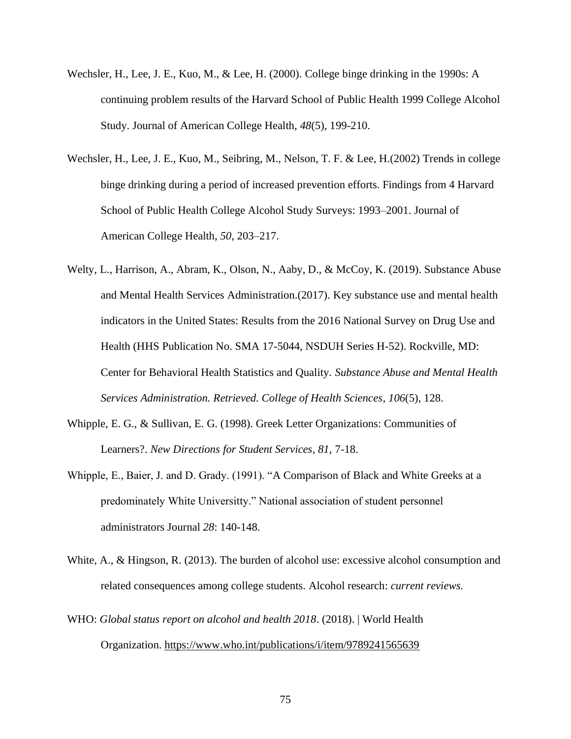- Wechsler, H., Lee, J. E., Kuo, M., & Lee, H. (2000). College binge drinking in the 1990s: A continuing problem results of the Harvard School of Public Health 1999 College Alcohol Study. Journal of American College Health, *48*(5), 199-210.
- Wechsler, H., Lee, J. E., Kuo, M., Seibring, M., Nelson, T. F. & Lee, H.(2002) Trends in college binge drinking during a period of increased prevention efforts. Findings from 4 Harvard School of Public Health College Alcohol Study Surveys: 1993–2001. Journal of American College Health, *50*, 203–217.
- Welty, L., Harrison, A., Abram, K., Olson, N., Aaby, D., & McCoy, K. (2019). Substance Abuse and Mental Health Services Administration.(2017). Key substance use and mental health indicators in the United States: Results from the 2016 National Survey on Drug Use and Health (HHS Publication No. SMA 17-5044, NSDUH Series H-52). Rockville, MD: Center for Behavioral Health Statistics and Quality. *Substance Abuse and Mental Health Services Administration. Retrieved. College of Health Sciences*, *106*(5), 128.
- Whipple, E. G., & Sullivan, E. G. (1998). Greek Letter Organizations: Communities of Learners?. *New Directions for Student Services*, *81*, 7-18.
- Whipple, E., Baier, J. and D. Grady. (1991). "A Comparison of Black and White Greeks at a predominately White Universitty." National association of student personnel administrators Journal *28*: 140-148.
- White, A., & Hingson, R. (2013). The burden of alcohol use: excessive alcohol consumption and related consequences among college students. Alcohol research: *current reviews.*
- WHO: *Global status report on alcohol and health 2018*. (2018). | World Health Organization. <https://www.who.int/publications/i/item/9789241565639>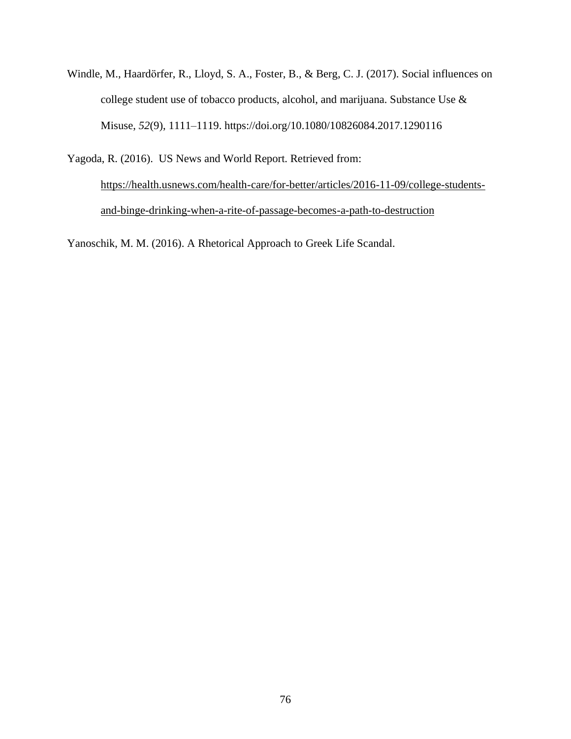Windle, M., Haardörfer, R., Lloyd, S. A., Foster, B., & Berg, C. J. (2017). Social influences on college student use of tobacco products, alcohol, and marijuana. Substance Use & Misuse, *52*(9), 1111–1119. https://doi.org/10.1080/10826084.2017.1290116

Yagoda, R. (2016). US News and World Report. Retrieved from:

[https://health.usnews.com/health-care/for-better/articles/2016-11-09/college-students](https://health.usnews.com/health-care/for-better/articles/2016-11-09/college-students-and-binge-drinking-when-a-rite-of-passage-becomes-a-path-to-destruction)[and-binge-drinking-when-a-rite-of-passage-becomes-a-path-to-destruction](https://health.usnews.com/health-care/for-better/articles/2016-11-09/college-students-and-binge-drinking-when-a-rite-of-passage-becomes-a-path-to-destruction)

Yanoschik, M. M. (2016). A Rhetorical Approach to Greek Life Scandal.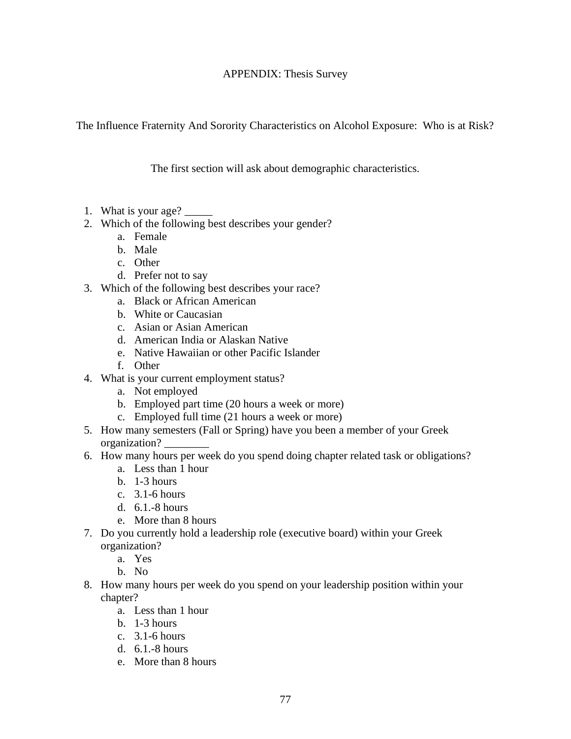The Influence Fraternity And Sorority Characteristics on Alcohol Exposure: Who is at Risk?

The first section will ask about demographic characteristics.

- 1. What is your age?
- 2. Which of the following best describes your gender?
	- a. Female
	- b. Male
	- c. Other
	- d. Prefer not to say
- 3. Which of the following best describes your race?
	- a. Black or African American
	- b. White or Caucasian
	- c. Asian or Asian American
	- d. American India or Alaskan Native
	- e. Native Hawaiian or other Pacific Islander
	- f. Other
- 4. What is your current employment status?
	- a. Not employed
	- b. Employed part time (20 hours a week or more)
	- c. Employed full time (21 hours a week or more)
- 5. How many semesters (Fall or Spring) have you been a member of your Greek organization? \_\_\_\_\_\_\_\_
- 6. How many hours per week do you spend doing chapter related task or obligations?
	- a. Less than 1 hour
	- b. 1-3 hours
	- c. 3.1-6 hours
	- d. 6.1.-8 hours
	- e. More than 8 hours
- 7. Do you currently hold a leadership role (executive board) within your Greek organization?
	- a. Yes
	- b. No
- 8. How many hours per week do you spend on your leadership position within your chapter?
	- a. Less than 1 hour
	- b. 1-3 hours
	- c. 3.1-6 hours
	- d. 6.1.-8 hours
	- e. More than 8 hours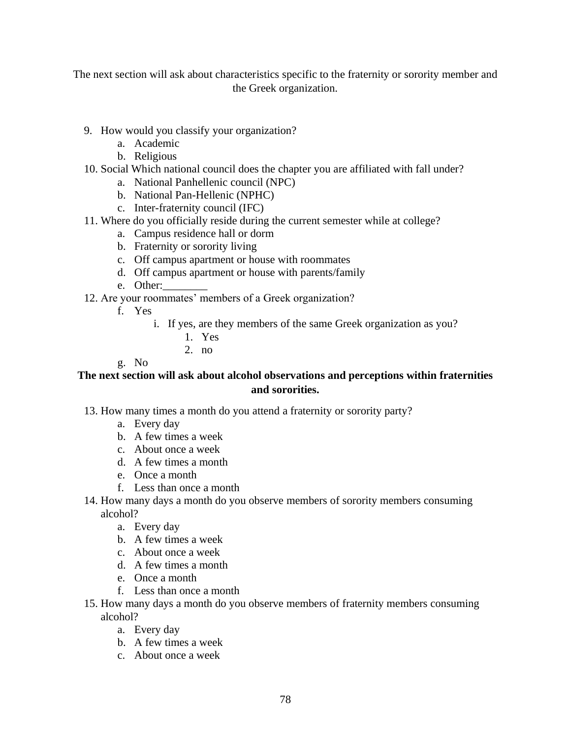The next section will ask about characteristics specific to the fraternity or sorority member and the Greek organization.

- 9. How would you classify your organization?
	- a. Academic
	- b. Religious
- 10. Social Which national council does the chapter you are affiliated with fall under?
	- a. National Panhellenic council (NPC)
	- b. National Pan-Hellenic (NPHC)
	- c. Inter-fraternity council (IFC)
- 11. Where do you officially reside during the current semester while at college?
	- a. Campus residence hall or dorm
	- b. Fraternity or sorority living
	- c. Off campus apartment or house with roommates
	- d. Off campus apartment or house with parents/family
	- e. Other:
- 12. Are your roommates' members of a Greek organization?
	- f. Yes
		- i. If yes, are they members of the same Greek organization as you?
			- 1. Yes
				- 2. no

g. No

## **The next section will ask about alcohol observations and perceptions within fraternities and sororities.**

- 13. How many times a month do you attend a fraternity or sorority party?
	- a. Every day
	- b. A few times a week
	- c. About once a week
	- d. A few times a month
	- e. Once a month
	- f. Less than once a month
- 14. How many days a month do you observe members of sorority members consuming alcohol?
	- a. Every day
	- b. A few times a week
	- c. About once a week
	- d. A few times a month
	- e. Once a month
	- f. Less than once a month
- 15. How many days a month do you observe members of fraternity members consuming alcohol?
	- a. Every day
	- b. A few times a week
	- c. About once a week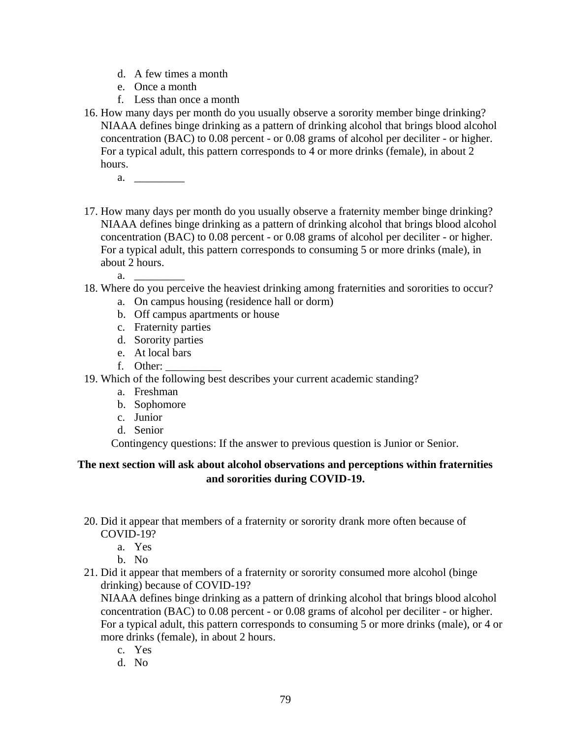- d. A few times a month
- e. Once a month
- f. Less than once a month
- 16. How many days per month do you usually observe a sorority member binge drinking? NIAAA defines binge drinking as a pattern of drinking alcohol that brings blood alcohol concentration (BAC) to 0.08 percent - or 0.08 grams of alcohol per deciliter - or higher. For a typical adult, this pattern corresponds to 4 or more drinks (female), in about 2 hours.
	- a. \_\_\_\_\_\_\_\_\_
- 17. How many days per month do you usually observe a fraternity member binge drinking? NIAAA defines binge drinking as a pattern of drinking alcohol that brings blood alcohol concentration (BAC) to 0.08 percent - or 0.08 grams of alcohol per deciliter - or higher. For a typical adult, this pattern corresponds to consuming 5 or more drinks (male), in about 2 hours.
- 18. Where do you perceive the heaviest drinking among fraternities and sororities to occur?
	- a. On campus housing (residence hall or dorm)
	- b. Off campus apartments or house
	- c. Fraternity parties
	- d. Sorority parties
	- e. At local bars
	- f. Other:

 $a_{\cdot}$ 

- 19. Which of the following best describes your current academic standing?
	- a. Freshman
	- b. Sophomore
	- c. Junior
	- d. Senior

Contingency questions: If the answer to previous question is Junior or Senior.

## **The next section will ask about alcohol observations and perceptions within fraternities and sororities during COVID-19.**

- 20. Did it appear that members of a fraternity or sorority drank more often because of COVID-19?
	- a. Yes
	- b. No
- 21. Did it appear that members of a fraternity or sorority consumed more alcohol (binge drinking) because of COVID-19?

NIAAA defines binge drinking as a pattern of drinking alcohol that brings blood alcohol concentration (BAC) to 0.08 percent - or 0.08 grams of alcohol per deciliter - or higher. For a typical adult, this pattern corresponds to consuming 5 or more drinks (male), or 4 or more drinks (female), in about 2 hours.

- c. Yes
- d. No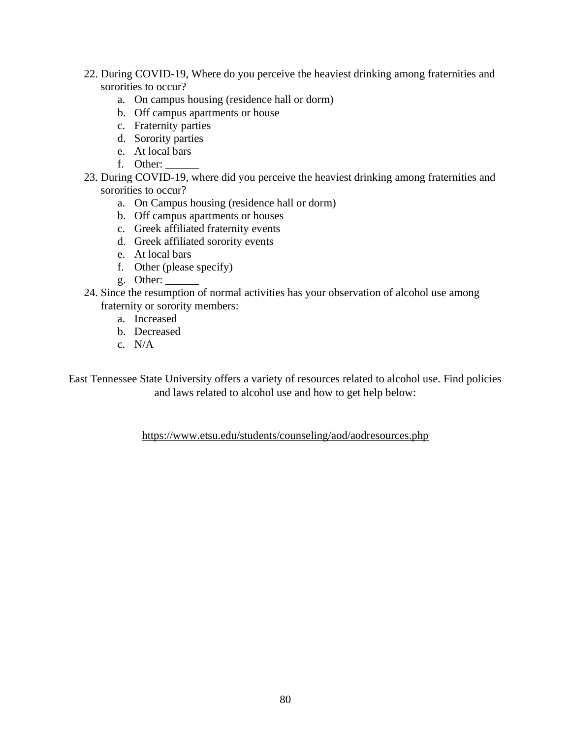- 22. During COVID-19, Where do you perceive the heaviest drinking among fraternities and sororities to occur?
	- a. On campus housing (residence hall or dorm)
	- b. Off campus apartments or house
	- c. Fraternity parties
	- d. Sorority parties
	- e. At local bars
	- f. Other:
- 23. During COVID-19, where did you perceive the heaviest drinking among fraternities and sororities to occur?
	- a. On Campus housing (residence hall or dorm)
	- b. Off campus apartments or houses
	- c. Greek affiliated fraternity events
	- d. Greek affiliated sorority events
	- e. At local bars
	- f. Other (please specify)
	- g. Other:  $\_\_$
- 24. Since the resumption of normal activities has your observation of alcohol use among fraternity or sorority members:
	- a. Increased
	- b. Decreased
	- c. N/A

East Tennessee State University offers a variety of resources related to alcohol use. Find policies and laws related to alcohol use and how to get help below:

<https://www.etsu.edu/students/counseling/aod/aodresources.php>